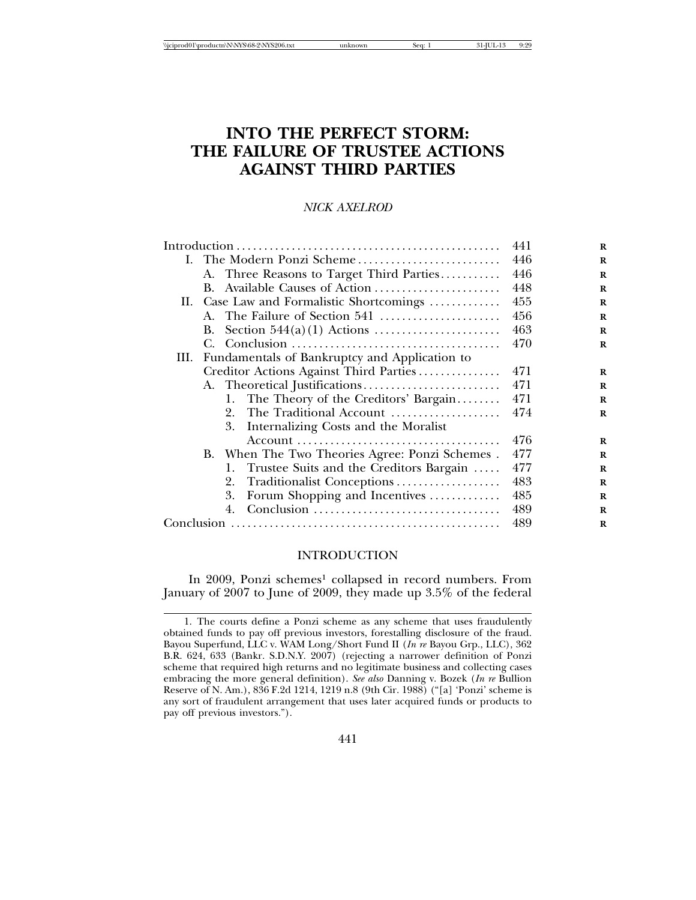# **INTO THE PERFECT STORM: THE FAILURE OF TRUSTEE ACTIONS AGAINST THIRD PARTIES**

# *NICK AXELROD*

|  |                                           | 441                                                | R   |          |
|--|-------------------------------------------|----------------------------------------------------|-----|----------|
|  | I. The Modern Ponzi Scheme                |                                                    | 446 | $\bf{R}$ |
|  |                                           | A. Three Reasons to Target Third Parties           | 446 | $\bf{R}$ |
|  |                                           | B. Available Causes of Action                      | 448 | R        |
|  | II. Case Law and Formalistic Shortcomings |                                                    | 455 | $\bf{R}$ |
|  |                                           | A. The Failure of Section 541                      | 456 | R        |
|  | В.                                        |                                                    | 463 | R        |
|  |                                           |                                                    | 470 | R        |
|  |                                           | III. Fundamentals of Bankruptcy and Application to |     |          |
|  |                                           | Creditor Actions Against Third Parties             | 471 | $\bf{R}$ |
|  |                                           |                                                    | 471 | R        |
|  |                                           | 1. The Theory of the Creditors' Bargain            | 471 | $\bf{R}$ |
|  |                                           | The Traditional Account<br>2.                      | 474 | R        |
|  |                                           | 3.<br>Internalizing Costs and the Moralist         |     |          |
|  |                                           |                                                    | 476 | R        |
|  |                                           | B. When The Two Theories Agree: Ponzi Schemes.     | 477 | R        |
|  |                                           | Trustee Suits and the Creditors Bargain<br>1.      | 477 | $\bf{R}$ |
|  |                                           | Traditionalist Conceptions<br>2.                   | 483 | R        |
|  |                                           | Forum Shopping and Incentives<br>3.                | 485 | $\bf{R}$ |
|  |                                           | 4.                                                 | 489 | $\bf{R}$ |
|  |                                           | 489                                                | R   |          |
|  |                                           |                                                    |     |          |

#### INTRODUCTION

In 2009, Ponzi schemes<sup>1</sup> collapsed in record numbers. From January of 2007 to June of 2009, they made up 3.5% of the federal

<sup>1.</sup> The courts define a Ponzi scheme as any scheme that uses fraudulently obtained funds to pay off previous investors, forestalling disclosure of the fraud. Bayou Superfund, LLC v. WAM Long/Short Fund II (*In re* Bayou Grp., LLC), 362 B.R. 624, 633 (Bankr. S.D.N.Y. 2007) (rejecting a narrower definition of Ponzi scheme that required high returns and no legitimate business and collecting cases embracing the more general definition). *See also* Danning v. Bozek (*In re* Bullion Reserve of N. Am.), 836 F.2d 1214, 1219 n.8 (9th Cir. 1988) ("[a] 'Ponzi' scheme is any sort of fraudulent arrangement that uses later acquired funds or products to pay off previous investors.").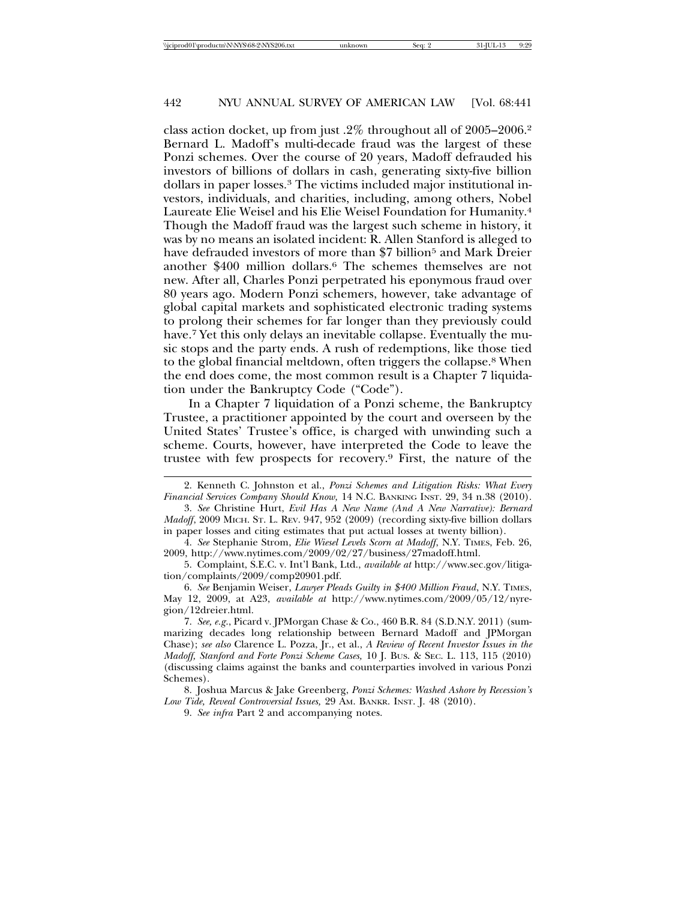class action docket, up from just .2% throughout all of 2005–2006.2 Bernard L. Madoff's multi-decade fraud was the largest of these Ponzi schemes. Over the course of 20 years, Madoff defrauded his investors of billions of dollars in cash, generating sixty-five billion dollars in paper losses.3 The victims included major institutional investors, individuals, and charities, including, among others, Nobel Laureate Elie Weisel and his Elie Weisel Foundation for Humanity.4 Though the Madoff fraud was the largest such scheme in history, it was by no means an isolated incident: R. Allen Stanford is alleged to have defrauded investors of more than \$7 billion<sup>5</sup> and Mark Dreier another \$400 million dollars.6 The schemes themselves are not new. After all, Charles Ponzi perpetrated his eponymous fraud over 80 years ago. Modern Ponzi schemers, however, take advantage of global capital markets and sophisticated electronic trading systems to prolong their schemes for far longer than they previously could have.<sup>7</sup> Yet this only delays an inevitable collapse. Eventually the music stops and the party ends. A rush of redemptions, like those tied to the global financial meltdown, often triggers the collapse.8 When the end does come, the most common result is a Chapter 7 liquidation under the Bankruptcy Code ("Code").

In a Chapter 7 liquidation of a Ponzi scheme, the Bankruptcy Trustee, a practitioner appointed by the court and overseen by the United States' Trustee's office, is charged with unwinding such a scheme. Courts, however, have interpreted the Code to leave the trustee with few prospects for recovery.9 First, the nature of the

9. *See infra* Part 2 and accompanying notes.

<sup>2.</sup> Kenneth C. Johnston et al., *Ponzi Schemes and Litigation Risks: What Every Financial Services Company Should Know,* 14 N.C. BANKING INST. 29, 34 n.38 (2010).

<sup>3.</sup> *See* Christine Hurt, *Evil Has A New Name (And A New Narrative): Bernard Madoff*, 2009 MICH. ST. L. REV. 947, 952 (2009) (recording sixty-five billion dollars in paper losses and citing estimates that put actual losses at twenty billion).

<sup>4.</sup> *See* Stephanie Strom, *Elie Wiesel Levels Scorn at Madoff*, N.Y. TIMES, Feb. 26, 2009, http://www.nytimes.com/2009/02/27/business/27madoff.html.

<sup>5.</sup> Complaint, S.E.C. v. Int'l Bank, Ltd., *available at* http://www.sec.gov/litigation/complaints/2009/comp20901.pdf.

<sup>6.</sup> *See* Benjamin Weiser, *Lawyer Pleads Guilty in \$400 Million Fraud*, N.Y. TIMES, May 12, 2009, at A23, *available at* http://www.nytimes.com/2009/05/12/nyregion/12dreier.html.

<sup>7.</sup> *See, e.g*., Picard v. JPMorgan Chase & Co., 460 B.R. 84 (S.D.N.Y. 2011) (summarizing decades long relationship between Bernard Madoff and JPMorgan Chase); *see also* Clarence L. Pozza, Jr., et al., *A Review of Recent Investor Issues in the Madoff, Stanford and Forte Ponzi Scheme Cases,* 10 J. BUS. & SEC. L. 113, 115 (2010) (discussing claims against the banks and counterparties involved in various Ponzi Schemes).

<sup>8.</sup> Joshua Marcus & Jake Greenberg, *Ponzi Schemes: Washed Ashore by Recession's Low Tide, Reveal Controversial Issues,* 29 AM. BANKR. INST. J. 48 (2010).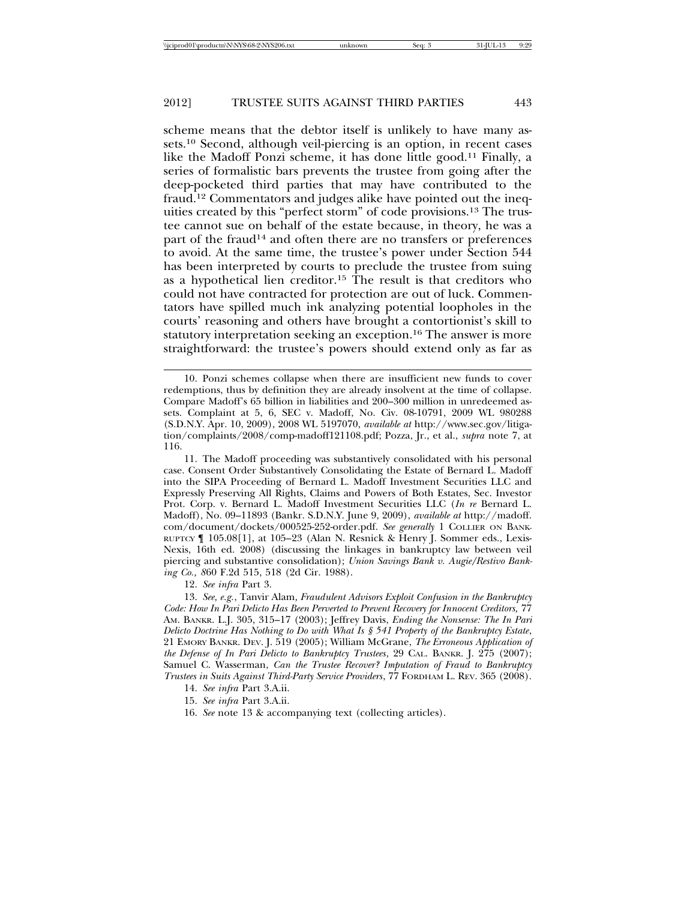scheme means that the debtor itself is unlikely to have many assets.10 Second, although veil-piercing is an option, in recent cases like the Madoff Ponzi scheme, it has done little good.11 Finally, a series of formalistic bars prevents the trustee from going after the deep-pocketed third parties that may have contributed to the fraud.12 Commentators and judges alike have pointed out the inequities created by this "perfect storm" of code provisions.13 The trustee cannot sue on behalf of the estate because, in theory, he was a part of the fraud14 and often there are no transfers or preferences to avoid. At the same time, the trustee's power under Section 544 has been interpreted by courts to preclude the trustee from suing as a hypothetical lien creditor.15 The result is that creditors who could not have contracted for protection are out of luck. Commentators have spilled much ink analyzing potential loopholes in the courts' reasoning and others have brought a contortionist's skill to statutory interpretation seeking an exception.16 The answer is more straightforward: the trustee's powers should extend only as far as

12. *See infra* Part 3.

13. *See, e.g.*, Tanvir Alam*, Fraudulent Advisors Exploit Confusion in the Bankruptcy Code: How In Pari Delicto Has Been Perverted to Prevent Recovery for Innocent Creditors,* 77 AM. BANKR. L.J. 305, 315–17 (2003); Jeffrey Davis, *Ending the Nonsense: The In Pari Delicto Doctrine Has Nothing to Do with What Is § 541 Property of the Bankruptcy Estate*, 21 EMORY BANKR. DEV. J. 519 (2005); William McGrane, *The Erroneous Application of the Defense of In Pari Delicto to Bankruptcy Trustees*, 29 CAL. BANKR. J. 275 (2007); Samuel C. Wasserman, *Can the Trustee Recover? Imputation of Fraud to Bankruptcy Trustees in Suits Against Third-Party Service Providers*, 77 FORDHAM L. REV. 365 (2008).

14. *See infra* Part 3.A.ii.

15. *See infra* Part 3.A.ii.

16. *See* note 13 & accompanying text (collecting articles).

<sup>10.</sup> Ponzi schemes collapse when there are insufficient new funds to cover redemptions, thus by definition they are already insolvent at the time of collapse. Compare Madoff's 65 billion in liabilities and 200–300 million in unredeemed assets. Complaint at 5, 6, SEC v. Madoff, No. Civ. 08-10791, 2009 WL 980288 (S.D.N.Y. Apr. 10, 2009), 2008 WL 5197070, *available at* http://www.sec.gov/litigation/complaints/2008/comp-madoff121108.pdf; Pozza, Jr., et al., *supra* note 7, at 116.

<sup>11.</sup> The Madoff proceeding was substantively consolidated with his personal case. Consent Order Substantively Consolidating the Estate of Bernard L. Madoff into the SIPA Proceeding of Bernard L. Madoff Investment Securities LLC and Expressly Preserving All Rights, Claims and Powers of Both Estates, Sec. Investor Prot. Corp. v. Bernard L. Madoff Investment Securities LLC (*In re* Bernard L. Madoff), No. 09–11893 (Bankr. S.D.N.Y. June 9, 2009), *available at* http://madoff. com/document/dockets/000525-252-order.pdf. *See generally* 1 COLLIER ON BANK-RUPTCY ¶ 105.08[1], at 105–23 (Alan N. Resnick & Henry J. Sommer eds., Lexis-Nexis, 16th ed. 2008) (discussing the linkages in bankruptcy law between veil piercing and substantive consolidation); *Union Savings Bank v. Augie/Restivo Banking Co., 8*60 F.2d 515, 518 (2d Cir. 1988).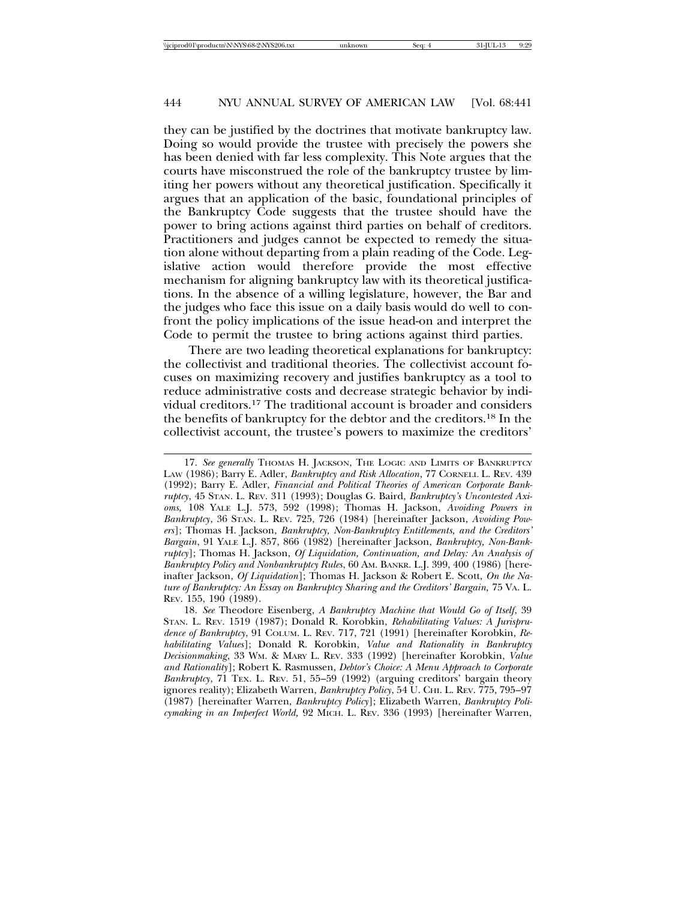they can be justified by the doctrines that motivate bankruptcy law. Doing so would provide the trustee with precisely the powers she has been denied with far less complexity. This Note argues that the courts have misconstrued the role of the bankruptcy trustee by limiting her powers without any theoretical justification. Specifically it argues that an application of the basic, foundational principles of the Bankruptcy Code suggests that the trustee should have the power to bring actions against third parties on behalf of creditors. Practitioners and judges cannot be expected to remedy the situation alone without departing from a plain reading of the Code. Legislative action would therefore provide the most effective mechanism for aligning bankruptcy law with its theoretical justifications. In the absence of a willing legislature, however, the Bar and the judges who face this issue on a daily basis would do well to confront the policy implications of the issue head-on and interpret the Code to permit the trustee to bring actions against third parties.

There are two leading theoretical explanations for bankruptcy: the collectivist and traditional theories. The collectivist account focuses on maximizing recovery and justifies bankruptcy as a tool to reduce administrative costs and decrease strategic behavior by individual creditors.17 The traditional account is broader and considers the benefits of bankruptcy for the debtor and the creditors.18 In the collectivist account, the trustee's powers to maximize the creditors'

<sup>17.</sup> See generally THOMAS H. JACKSON, THE LOGIC AND LIMITS OF BANKRUPTCY LAW (1986); Barry E. Adler, *Bankruptcy and Risk Allocation*, 77 CORNELL L. REV. 439 (1992); Barry E. Adler, *Financial and Political Theories of American Corporate Bankruptcy*, 45 STAN. L. REV. 311 (1993); Douglas G. Baird, *Bankruptcy's Uncontested Axioms,* 108 YALE L.J. 573, 592 (1998); Thomas H. Jackson, *Avoiding Powers in Bankruptcy*, 36 STAN. L. REV. 725, 726 (1984) [hereinafter Jackson, *Avoiding Powers*]; Thomas H. Jackson, *Bankruptcy, Non-Bankruptcy Entitlements, and the Creditors' Bargain*, 91 YALE L.J. 857, 866 (1982) [hereinafter Jackson, *Bankruptcy, Non-Bankruptcy*]; Thomas H. Jackson, *Of Liquidation, Continuation, and Delay: An Analysis of Bankruptcy Policy and Nonbankruptcy Rules*, 60 AM. BANKR. L.J. 399, 400 (1986) [hereinafter Jackson, *Of Liquidation*]; Thomas H. Jackson & Robert E. Scott, *On the Nature of Bankruptcy: An Essay on Bankruptcy Sharing and the Creditors' Bargain,* 75 VA. L. REV. 155, 190 (1989).

<sup>18.</sup> *See* Theodore Eisenberg, *A Bankruptcy Machine that Would Go of Itself*, 39 STAN. L. REV. 1519 (1987); Donald R. Korobkin, *Rehabilitating Values: A Jurisprudence of Bankruptcy*, 91 COLUM. L. REV. 717, 721 (1991) [hereinafter Korobkin, *Rehabilitating Values*]; Donald R. Korobkin, *Value and Rationality in Bankruptcy Decisionmaking*, 33 WM. & MARY L. REV. 333 (1992) [hereinafter Korobkin, *Value and Rationality*]; Robert K. Rasmussen, *Debtor's Choice: A Menu Approach to Corporate Bankruptcy*, 71 TEX. L. REV. 51, 55–59 (1992) (arguing creditors' bargain theory ignores reality); Elizabeth Warren, *Bankruptcy Policy*, 54 U. CHI. L. REV. 775, 795–97 (1987) [hereinafter Warren, *Bankruptcy Policy*]; Elizabeth Warren, *Bankruptcy Policymaking in an Imperfect World,* 92 MICH. L. REV. 336 (1993) [hereinafter Warren,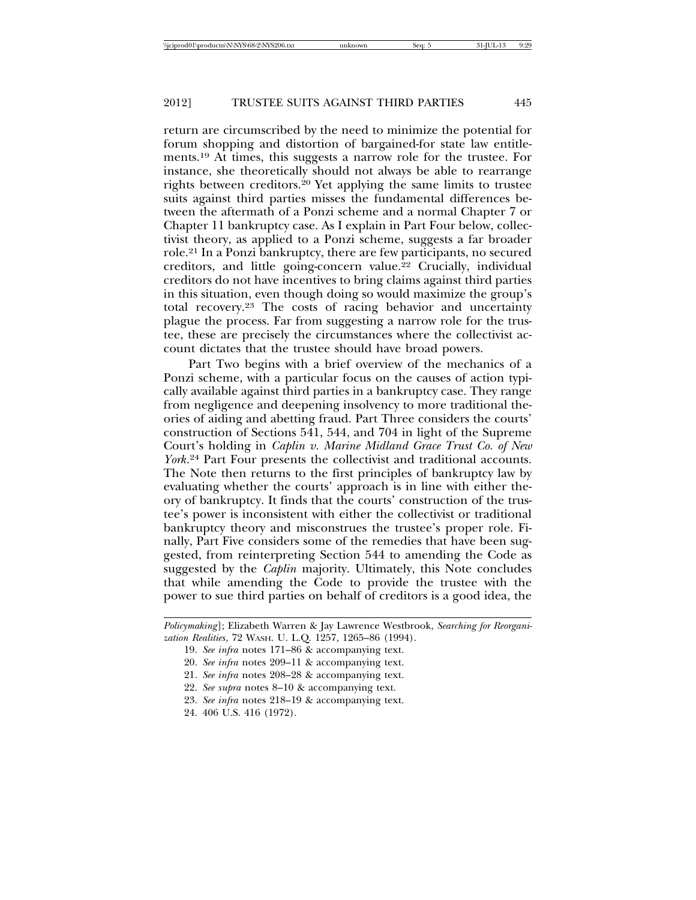return are circumscribed by the need to minimize the potential for forum shopping and distortion of bargained-for state law entitlements.19 At times, this suggests a narrow role for the trustee. For instance, she theoretically should not always be able to rearrange rights between creditors.20 Yet applying the same limits to trustee suits against third parties misses the fundamental differences between the aftermath of a Ponzi scheme and a normal Chapter 7 or Chapter 11 bankruptcy case. As I explain in Part Four below, collectivist theory, as applied to a Ponzi scheme, suggests a far broader role.21 In a Ponzi bankruptcy, there are few participants, no secured creditors, and little going-concern value.22 Crucially, individual creditors do not have incentives to bring claims against third parties in this situation, even though doing so would maximize the group's total recovery.23 The costs of racing behavior and uncertainty plague the process. Far from suggesting a narrow role for the trustee, these are precisely the circumstances where the collectivist account dictates that the trustee should have broad powers.

Part Two begins with a brief overview of the mechanics of a Ponzi scheme, with a particular focus on the causes of action typically available against third parties in a bankruptcy case. They range from negligence and deepening insolvency to more traditional theories of aiding and abetting fraud. Part Three considers the courts' construction of Sections 541, 544, and 704 in light of the Supreme Court's holding in *Caplin v. Marine Midland Grace Trust Co. of New York*. 24 Part Four presents the collectivist and traditional accounts. The Note then returns to the first principles of bankruptcy law by evaluating whether the courts' approach is in line with either theory of bankruptcy. It finds that the courts' construction of the trustee's power is inconsistent with either the collectivist or traditional bankruptcy theory and misconstrues the trustee's proper role. Finally, Part Five considers some of the remedies that have been suggested, from reinterpreting Section 544 to amending the Code as suggested by the *Caplin* majority. Ultimately, this Note concludes that while amending the Code to provide the trustee with the power to sue third parties on behalf of creditors is a good idea, the

*Policymaking*]; Elizabeth Warren & Jay Lawrence Westbrook, *Searching for Reorganization Realities*, 72 WASH. U. L.Q. 1257, 1265–86 (1994).

<sup>19.</sup> *See infra* notes 171–86 & accompanying text.

<sup>20.</sup> *See infra* notes 209–11 & accompanying text.

<sup>21.</sup> *See infra* notes 208–28 & accompanying text.

<sup>22.</sup> *See supra* notes 8–10 & accompanying text.

<sup>23.</sup> *See infra* notes 218–19 & accompanying text.

<sup>24. 406</sup> U.S. 416 (1972).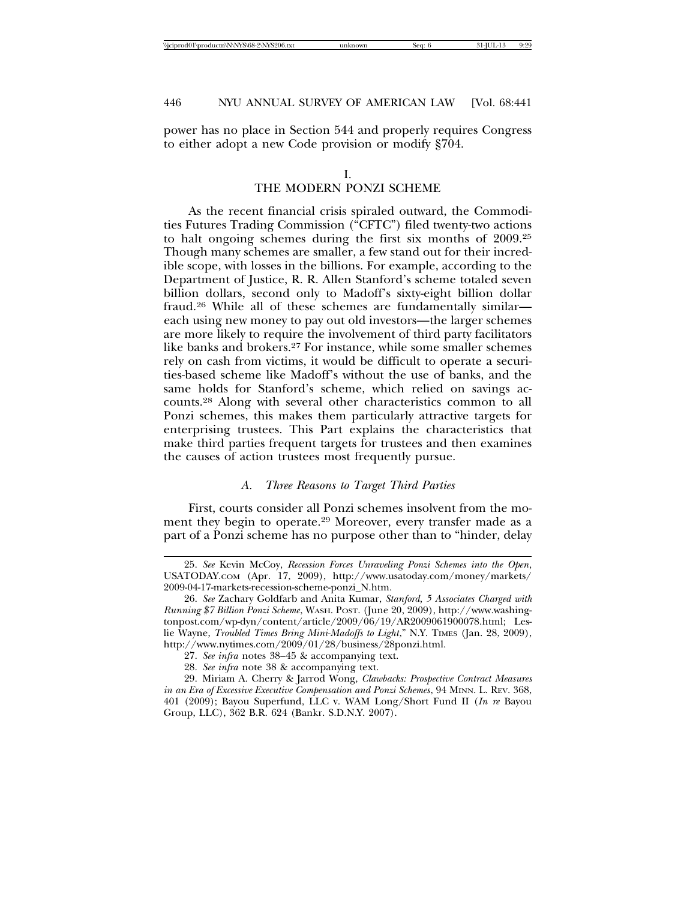power has no place in Section 544 and properly requires Congress to either adopt a new Code provision or modify §704.

### I.

# THE MODERN PONZI SCHEME

As the recent financial crisis spiraled outward, the Commodities Futures Trading Commission ("CFTC") filed twenty-two actions to halt ongoing schemes during the first six months of 2009.25 Though many schemes are smaller, a few stand out for their incredible scope, with losses in the billions. For example, according to the Department of Justice, R. R. Allen Stanford's scheme totaled seven billion dollars, second only to Madoff's sixty-eight billion dollar fraud.26 While all of these schemes are fundamentally similar each using new money to pay out old investors—the larger schemes are more likely to require the involvement of third party facilitators like banks and brokers.27 For instance, while some smaller schemes rely on cash from victims, it would be difficult to operate a securities-based scheme like Madoff's without the use of banks, and the same holds for Stanford's scheme, which relied on savings accounts.28 Along with several other characteristics common to all Ponzi schemes, this makes them particularly attractive targets for enterprising trustees. This Part explains the characteristics that make third parties frequent targets for trustees and then examines the causes of action trustees most frequently pursue.

### *A. Three Reasons to Target Third Parties*

First, courts consider all Ponzi schemes insolvent from the moment they begin to operate.<sup>29</sup> Moreover, every transfer made as a part of a Ponzi scheme has no purpose other than to "hinder, delay

<sup>25.</sup> *See* Kevin McCoy, *Recession Forces Unraveling Ponzi Schemes into the Open*, USATODAY.COM (Apr. 17, 2009), http://www.usatoday.com/money/markets/ 2009-04-17-markets-recession-scheme-ponzi\_N.htm.

<sup>26.</sup> *See* Zachary Goldfarb and Anita Kumar, *Stanford, 5 Associates Charged with Running \$7 Billion Ponzi Scheme*, WASH. POST. (June 20, 2009), http://www.washingtonpost.com/wp-dyn/content/article/2009/06/19/AR2009061900078.html; Leslie Wayne, *Troubled Times Bring Mini-Madoffs to Light*," N.Y. TIMES (Jan. 28, 2009), http://www.nytimes.com/2009/01/28/business/28ponzi.html.

<sup>27.</sup> *See infra* notes 38–45 & accompanying text.

<sup>28.</sup> *See infra* note 38 & accompanying text.

<sup>29.</sup> Miriam A. Cherry & Jarrod Wong, *Clawbacks: Prospective Contract Measures in an Era of Excessive Executive Compensation and Ponzi Schemes*, 94 MINN. L. REV. 368, 401 (2009); Bayou Superfund, LLC v. WAM Long/Short Fund II (*In re* Bayou Group, LLC), 362 B.R. 624 (Bankr. S.D.N.Y. 2007).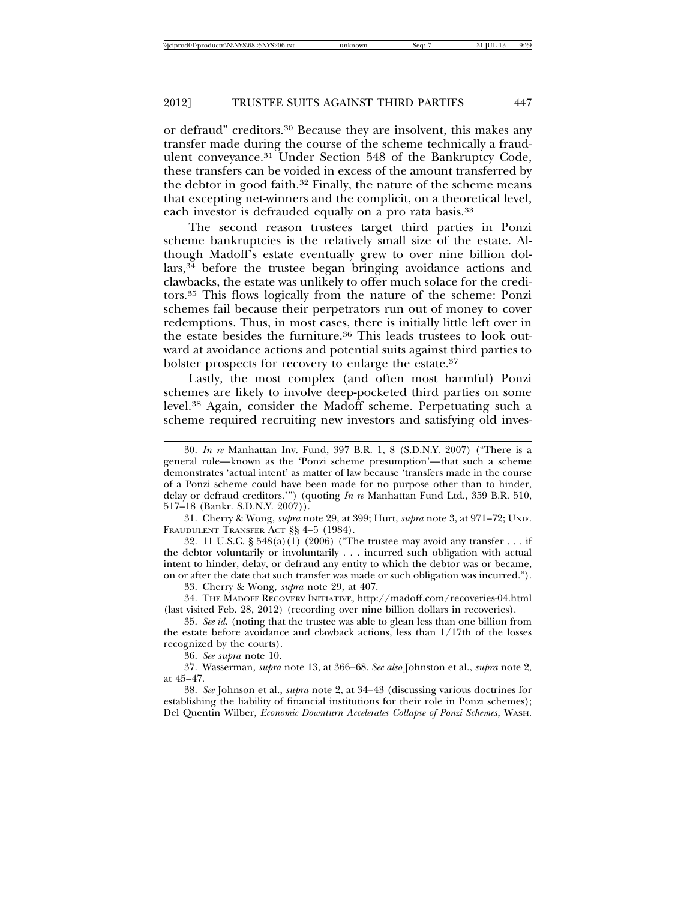or defraud" creditors.30 Because they are insolvent, this makes any transfer made during the course of the scheme technically a fraudulent conveyance.31 Under Section 548 of the Bankruptcy Code, these transfers can be voided in excess of the amount transferred by the debtor in good faith.32 Finally, the nature of the scheme means that excepting net-winners and the complicit, on a theoretical level, each investor is defrauded equally on a pro rata basis.<sup>33</sup>

The second reason trustees target third parties in Ponzi scheme bankruptcies is the relatively small size of the estate. Although Madoff's estate eventually grew to over nine billion dollars,34 before the trustee began bringing avoidance actions and clawbacks, the estate was unlikely to offer much solace for the creditors.35 This flows logically from the nature of the scheme: Ponzi schemes fail because their perpetrators run out of money to cover redemptions. Thus, in most cases, there is initially little left over in the estate besides the furniture.<sup>36</sup> This leads trustees to look outward at avoidance actions and potential suits against third parties to bolster prospects for recovery to enlarge the estate.37

Lastly, the most complex (and often most harmful) Ponzi schemes are likely to involve deep-pocketed third parties on some level.38 Again, consider the Madoff scheme. Perpetuating such a scheme required recruiting new investors and satisfying old inves-

31. Cherry & Wong, *supra* note 29, at 399; Hurt, *supra* note 3, at 971–72; UNIF. FRAUDULENT TRANSFER ACT §§ 4-5 (1984).

32. 11 U.S.C. § 548(a)(1) (2006) ("The trustee may avoid any transfer . . . if the debtor voluntarily or involuntarily . . . incurred such obligation with actual intent to hinder, delay, or defraud any entity to which the debtor was or became, on or after the date that such transfer was made or such obligation was incurred.").

33. Cherry & Wong, *supra* note 29, at 407.

34. THE MADOFF RECOVERY INITIATIVE, http://madoff.com/recoveries-04.html (last visited Feb. 28, 2012) (recording over nine billion dollars in recoveries).

35. *See id.* (noting that the trustee was able to glean less than one billion from the estate before avoidance and clawback actions, less than 1/17th of the losses recognized by the courts).

36. *See supra* note 10.

37. Wasserman, *supra* note 13, at 366–68. *See also* Johnston et al., *supra* note 2, at 45–47.

38. *See* Johnson et al., *supra* note 2, at 34–43 (discussing various doctrines for establishing the liability of financial institutions for their role in Ponzi schemes); Del Quentin Wilber, *Economic Downturn Accelerates Collapse of Ponzi Schemes*, WASH.

<sup>30.</sup> *In re* Manhattan Inv. Fund, 397 B.R. 1, 8 (S.D.N.Y. 2007) ("There is a general rule—known as the 'Ponzi scheme presumption'—that such a scheme demonstrates 'actual intent' as matter of law because 'transfers made in the course of a Ponzi scheme could have been made for no purpose other than to hinder, delay or defraud creditors.'") (quoting *In re* Manhattan Fund Ltd., 359 B.R. 510, 517–18 (Bankr. S.D.N.Y. 2007)).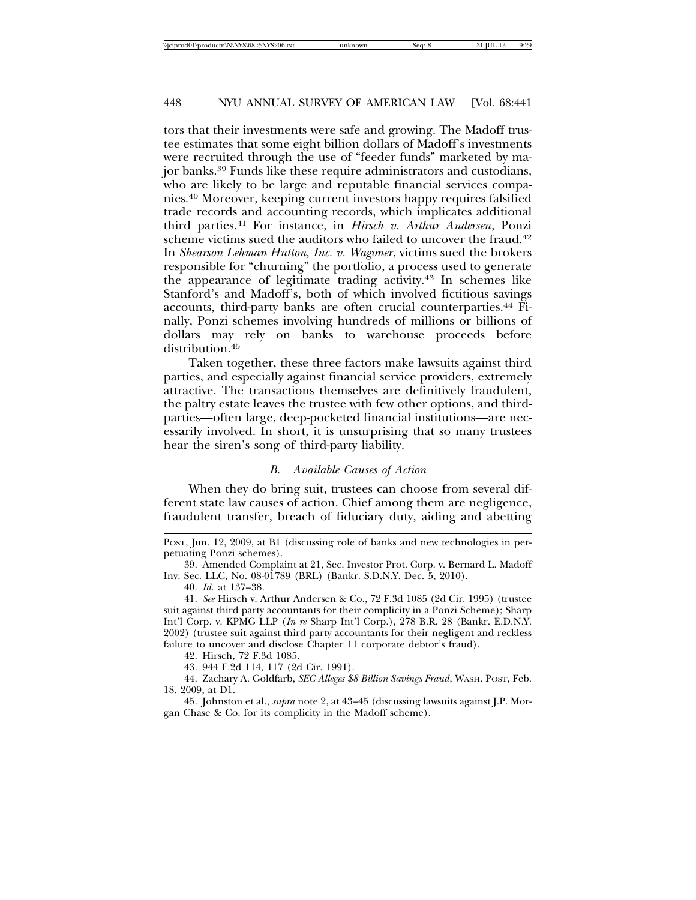tors that their investments were safe and growing. The Madoff trustee estimates that some eight billion dollars of Madoff's investments were recruited through the use of "feeder funds" marketed by major banks.39 Funds like these require administrators and custodians, who are likely to be large and reputable financial services companies.40 Moreover, keeping current investors happy requires falsified trade records and accounting records, which implicates additional third parties.41 For instance, in *Hirsch v. Arthur Andersen*, Ponzi scheme victims sued the auditors who failed to uncover the fraud.<sup>42</sup> In *Shearson Lehman Hutton, Inc. v. Wagoner*, victims sued the brokers responsible for "churning" the portfolio, a process used to generate the appearance of legitimate trading activity.43 In schemes like Stanford's and Madoff's, both of which involved fictitious savings accounts, third-party banks are often crucial counterparties.<sup>44</sup> Finally, Ponzi schemes involving hundreds of millions or billions of dollars may rely on banks to warehouse proceeds before distribution.<sup>45</sup>

Taken together, these three factors make lawsuits against third parties, and especially against financial service providers, extremely attractive. The transactions themselves are definitively fraudulent, the paltry estate leaves the trustee with few other options, and thirdparties—often large, deep-pocketed financial institutions—are necessarily involved. In short, it is unsurprising that so many trustees hear the siren's song of third-party liability.

#### *B. Available Causes of Action*

When they do bring suit, trustees can choose from several different state law causes of action. Chief among them are negligence, fraudulent transfer, breach of fiduciary duty, aiding and abetting

40. *Id.* at 137–38.

42. Hirsch, 72 F.3d 1085.

43. 944 F.2d 114, 117 (2d Cir. 1991).

44. Zachary A. Goldfarb, *SEC Alleges \$8 Billion Savings Fraud*, WASH. POST, Feb. 18, 2009, at D1.

45. Johnston et al., *supra* note 2, at 43–45 (discussing lawsuits against J.P. Morgan Chase & Co. for its complicity in the Madoff scheme).

POST, Jun. 12, 2009, at B1 (discussing role of banks and new technologies in perpetuating Ponzi schemes).

<sup>39.</sup> Amended Complaint at 21, Sec. Investor Prot. Corp. v. Bernard L. Madoff Inv. Sec. LLC, No. 08-01789 (BRL) (Bankr. S.D.N.Y. Dec. 5, 2010).

<sup>41.</sup> *See* Hirsch v. Arthur Andersen & Co., 72 F.3d 1085 (2d Cir. 1995) (trustee suit against third party accountants for their complicity in a Ponzi Scheme); Sharp Int'l Corp. v. KPMG LLP (*In re* Sharp Int'l Corp.), 278 B.R. 28 (Bankr. E.D.N.Y. 2002) (trustee suit against third party accountants for their negligent and reckless failure to uncover and disclose Chapter 11 corporate debtor's fraud).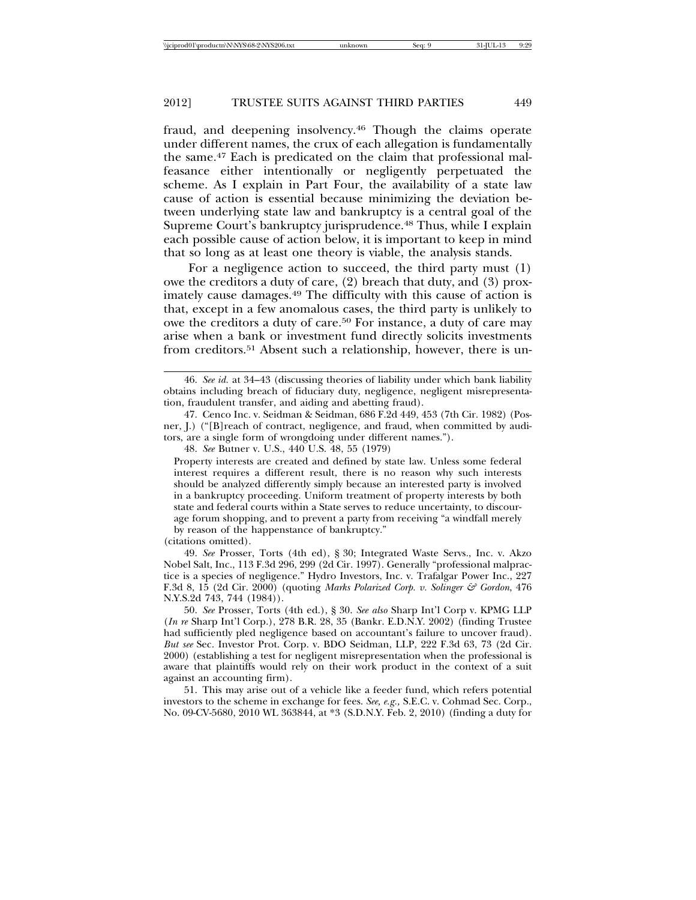fraud, and deepening insolvency.46 Though the claims operate under different names, the crux of each allegation is fundamentally the same.47 Each is predicated on the claim that professional malfeasance either intentionally or negligently perpetuated the scheme. As I explain in Part Four, the availability of a state law cause of action is essential because minimizing the deviation between underlying state law and bankruptcy is a central goal of the Supreme Court's bankruptcy jurisprudence.<sup>48</sup> Thus, while I explain each possible cause of action below, it is important to keep in mind that so long as at least one theory is viable, the analysis stands.

For a negligence action to succeed, the third party must (1) owe the creditors a duty of care, (2) breach that duty, and (3) proximately cause damages.49 The difficulty with this cause of action is that, except in a few anomalous cases, the third party is unlikely to owe the creditors a duty of care.<sup>50</sup> For instance, a duty of care may arise when a bank or investment fund directly solicits investments from creditors.51 Absent such a relationship, however, there is un-

Property interests are created and defined by state law. Unless some federal interest requires a different result, there is no reason why such interests should be analyzed differently simply because an interested party is involved in a bankruptcy proceeding. Uniform treatment of property interests by both state and federal courts within a State serves to reduce uncertainty, to discourage forum shopping, and to prevent a party from receiving "a windfall merely by reason of the happenstance of bankruptcy."

(citations omitted).

49. *See* Prosser, Torts (4th ed), § 30; Integrated Waste Servs., Inc. v. Akzo Nobel Salt, Inc., 113 F.3d 296, 299 (2d Cir. 1997). Generally "professional malpractice is a species of negligence." Hydro Investors, Inc. v. Trafalgar Power Inc., 227 F.3d 8, 15 (2d Cir. 2000) (quoting *Marks Polarized Corp. v. Solinger & Gordon*, 476 N.Y.S.2d 743, 744 (1984)).

50. *See* Prosser, Torts (4th ed.), § 30. *See also* Sharp Int'l Corp v. KPMG LLP (*In re* Sharp Int'l Corp.), 278 B.R. 28, 35 (Bankr. E.D.N.Y. 2002) (finding Trustee had sufficiently pled negligence based on accountant's failure to uncover fraud). *But see* Sec. Investor Prot. Corp. v. BDO Seidman, LLP, 222 F.3d 63, 73 (2d Cir. 2000) (establishing a test for negligent misrepresentation when the professional is aware that plaintiffs would rely on their work product in the context of a suit against an accounting firm).

51. This may arise out of a vehicle like a feeder fund, which refers potential investors to the scheme in exchange for fees. *See, e.g.,* S.E.C. v. Cohmad Sec. Corp., No. 09-CV-5680, 2010 WL 363844, at \*3 (S.D.N.Y. Feb. 2, 2010) (finding a duty for

<sup>46.</sup> *See id.* at 34–43 (discussing theories of liability under which bank liability obtains including breach of fiduciary duty, negligence, negligent misrepresentation, fraudulent transfer, and aiding and abetting fraud).

<sup>47.</sup> Cenco Inc. v. Seidman & Seidman, 686 F.2d 449, 453 (7th Cir. 1982) (Posner, J.) ("[B]reach of contract, negligence, and fraud, when committed by auditors, are a single form of wrongdoing under different names.").

<sup>48.</sup> *See* Butner v. U.S., 440 U.S. 48, 55 (1979)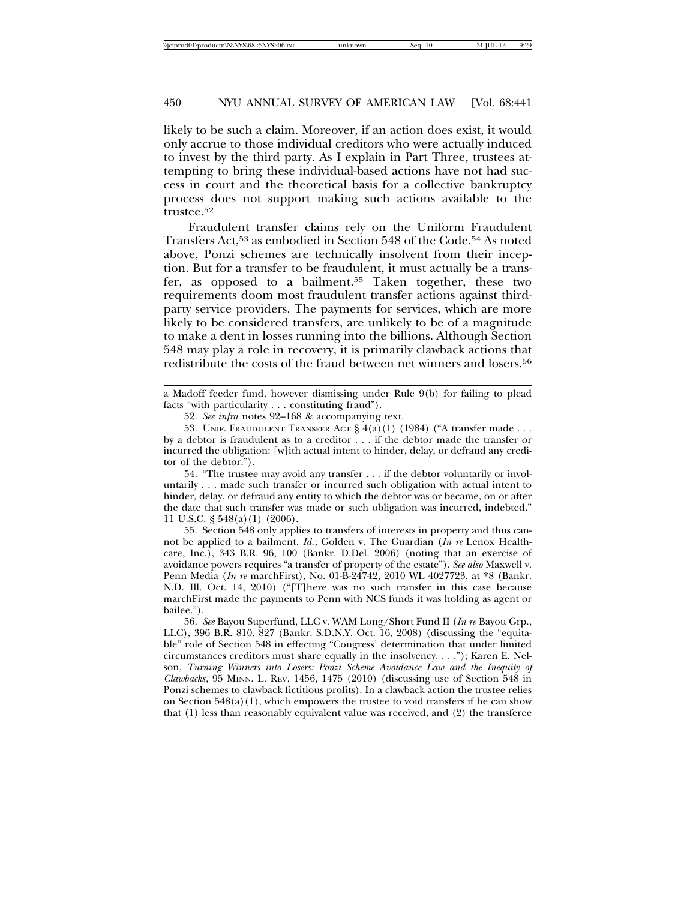likely to be such a claim. Moreover, if an action does exist, it would only accrue to those individual creditors who were actually induced to invest by the third party. As I explain in Part Three, trustees attempting to bring these individual-based actions have not had success in court and the theoretical basis for a collective bankruptcy process does not support making such actions available to the trustee.52

Fraudulent transfer claims rely on the Uniform Fraudulent Transfers Act,53 as embodied in Section 548 of the Code.54 As noted above, Ponzi schemes are technically insolvent from their inception. But for a transfer to be fraudulent, it must actually be a transfer, as opposed to a bailment.55 Taken together, these two requirements doom most fraudulent transfer actions against thirdparty service providers. The payments for services, which are more likely to be considered transfers, are unlikely to be of a magnitude to make a dent in losses running into the billions. Although Section 548 may play a role in recovery, it is primarily clawback actions that redistribute the costs of the fraud between net winners and losers.56

54. "The trustee may avoid any transfer . . . if the debtor voluntarily or involuntarily . . . made such transfer or incurred such obligation with actual intent to hinder, delay, or defraud any entity to which the debtor was or became, on or after the date that such transfer was made or such obligation was incurred, indebted." 11 U.S.C. § 548(a)(1) (2006).

55. Section 548 only applies to transfers of interests in property and thus cannot be applied to a bailment. *Id.*; Golden v. The Guardian (*In re* Lenox Healthcare, Inc.), 343 B.R. 96, 100 (Bankr. D.Del. 2006) (noting that an exercise of avoidance powers requires "a transfer of property of the estate"). *See also* Maxwell v. Penn Media (*In re* marchFirst), No. 01-B-24742, 2010 WL 4027723, at \*8 (Bankr. N.D. Ill. Oct. 14, 2010) ("[T]here was no such transfer in this case because marchFirst made the payments to Penn with NCS funds it was holding as agent or bailee.").

56. *See* Bayou Superfund, LLC v. WAM Long/Short Fund II (*In re* Bayou Grp., LLC), 396 B.R. 810, 827 (Bankr. S.D.N.Y. Oct. 16, 2008) (discussing the "equitable" role of Section 548 in effecting "Congress' determination that under limited circumstances creditors must share equally in the insolvency. . . ."); Karen E. Nelson, *Turning Winners into Losers: Ponzi Scheme Avoidance Law and the Inequity of Clawbacks*, 95 MINN. L. REV. 1456, 1475 (2010) (discussing use of Section 548 in Ponzi schemes to clawback fictitious profits). In a clawback action the trustee relies on Section  $548(a)(1)$ , which empowers the trustee to void transfers if he can show that (1) less than reasonably equivalent value was received, and (2) the transferee

a Madoff feeder fund, however dismissing under Rule 9(b) for failing to plead facts "with particularity . . . constituting fraud").

<sup>52.</sup> *See infra* notes 92–168 & accompanying text.

<sup>53.</sup> UNIF. FRAUDULENT TRANSFER ACT  $\S 4(a)(1)$  (1984) ("A transfer made ... by a debtor is fraudulent as to a creditor . . . if the debtor made the transfer or incurred the obligation: [w]ith actual intent to hinder, delay, or defraud any creditor of the debtor.").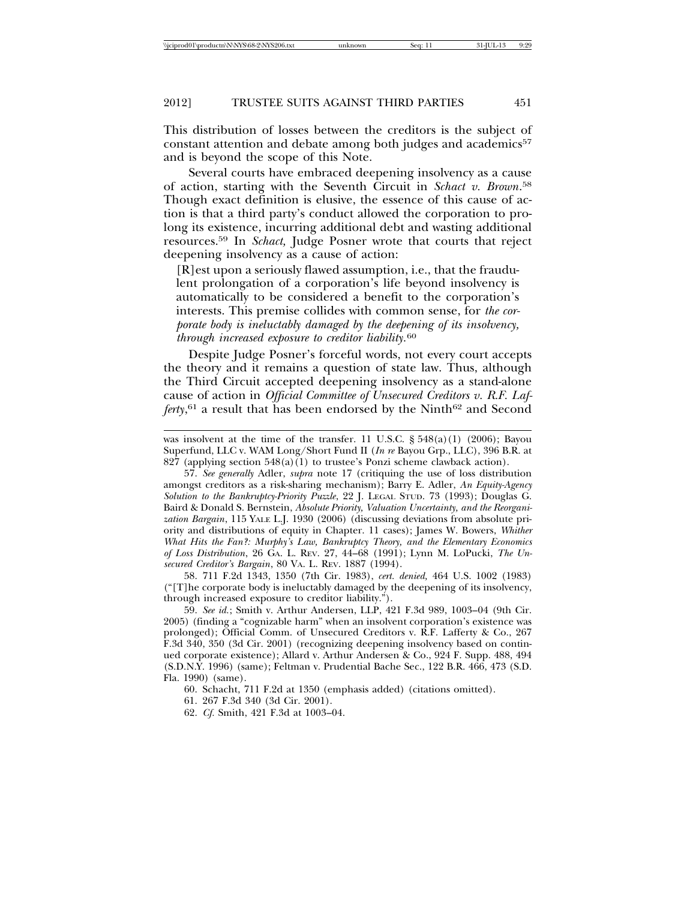This distribution of losses between the creditors is the subject of constant attention and debate among both judges and academics<sup>57</sup> and is beyond the scope of this Note.

Several courts have embraced deepening insolvency as a cause of action, starting with the Seventh Circuit in *Schact v. Brown*. 58 Though exact definition is elusive, the essence of this cause of action is that a third party's conduct allowed the corporation to prolong its existence, incurring additional debt and wasting additional resources.59 In *Schact,* Judge Posner wrote that courts that reject deepening insolvency as a cause of action:

[R]est upon a seriously flawed assumption, i.e., that the fraudulent prolongation of a corporation's life beyond insolvency is automatically to be considered a benefit to the corporation's interests. This premise collides with common sense, for *the corporate body is ineluctably damaged by the deepening of its insolvency, through increased exposure to creditor liability.*<sup>60</sup>

Despite Judge Posner's forceful words, not every court accepts the theory and it remains a question of state law. Thus, although the Third Circuit accepted deepening insolvency as a stand-alone cause of action in *Official Committee of Unsecured Creditors v. R.F. Laf*ferty,<sup>61</sup> a result that has been endorsed by the Ninth<sup>62</sup> and Second

58. 711 F.2d 1343, 1350 (7th Cir. 1983), *cert. denied,* 464 U.S. 1002 (1983) ("[T]he corporate body is ineluctably damaged by the deepening of its insolvency, through increased exposure to creditor liability.").

59. *See id.*; Smith v. Arthur Andersen, LLP, 421 F.3d 989, 1003–04 (9th Cir. 2005) (finding a "cognizable harm" when an insolvent corporation's existence was prolonged); Official Comm. of Unsecured Creditors v. R.F. Lafferty & Co., 267 F.3d 340, 350 (3d Cir. 2001) (recognizing deepening insolvency based on continued corporate existence); Allard v. Arthur Andersen & Co., 924 F. Supp. 488, 494 (S.D.N.Y. 1996) (same); Feltman v. Prudential Bache Sec., 122 B.R. 466, 473 (S.D. Fla. 1990) (same).

60. Schacht, 711 F.2d at 1350 (emphasis added) (citations omitted).

61. 267 F.3d 340 (3d Cir. 2001).

62. *Cf.* Smith, 421 F.3d at 1003–04.

was insolvent at the time of the transfer. 11 U.S.C.  $\S$  548(a)(1) (2006); Bayou Superfund, LLC v. WAM Long/Short Fund II (*In re* Bayou Grp., LLC), 396 B.R. at 827 (applying section  $548(a)(1)$  to trustee's Ponzi scheme clawback action).

<sup>57.</sup> *See generally* Adler, *supra* note 17 (critiquing the use of loss distribution amongst creditors as a risk-sharing mechanism); Barry E. Adler, *An Equity-Agency Solution to the Bankruptcy-Priority Puzzle*, 22 J. LEGAL STUD. 73 (1993); Douglas G. Baird & Donald S. Bernstein, *Absolute Priority, Valuation Uncertainty, and the Reorganization Bargain*, 115 YALE L.J. 1930 (2006) (discussing deviations from absolute priority and distributions of equity in Chapter. 11 cases); James W. Bowers, *Whither What Hits the Fan?: Murphy's Law, Bankruptcy Theory, and the Elementary Economics of Loss Distribution*, 26 GA. L. REV. 27, 44–68 (1991); Lynn M. LoPucki, *The Unsecured Creditor's Bargain*, 80 VA. L. REV. 1887 (1994).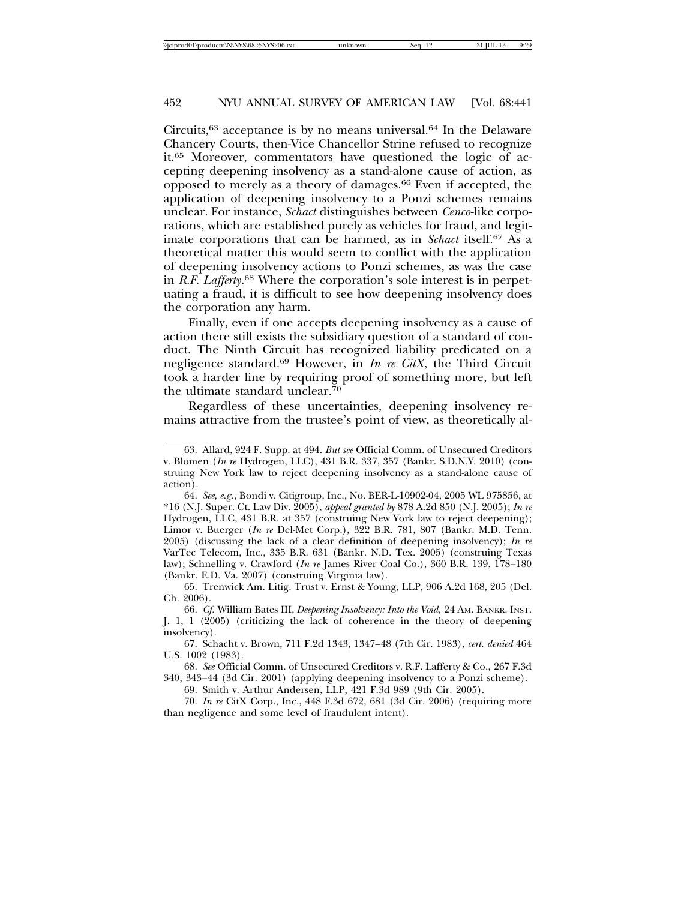Circuits,63 acceptance is by no means universal.64 In the Delaware Chancery Courts, then-Vice Chancellor Strine refused to recognize it.65 Moreover, commentators have questioned the logic of accepting deepening insolvency as a stand-alone cause of action, as opposed to merely as a theory of damages.66 Even if accepted, the application of deepening insolvency to a Ponzi schemes remains unclear. For instance, *Schact* distinguishes between *Cenco-*like corporations, which are established purely as vehicles for fraud, and legitimate corporations that can be harmed, as in *Schact* itself.67 As a theoretical matter this would seem to conflict with the application of deepening insolvency actions to Ponzi schemes, as was the case in *R.F. Lafferty*. <sup>68</sup> Where the corporation's sole interest is in perpetuating a fraud, it is difficult to see how deepening insolvency does the corporation any harm.

Finally, even if one accepts deepening insolvency as a cause of action there still exists the subsidiary question of a standard of conduct. The Ninth Circuit has recognized liability predicated on a negligence standard.69 However, in *In re CitX*, the Third Circuit took a harder line by requiring proof of something more, but left the ultimate standard unclear.70

Regardless of these uncertainties, deepening insolvency remains attractive from the trustee's point of view, as theoretically al-

65. Trenwick Am. Litig. Trust v. Ernst & Young, LLP, 906 A.2d 168, 205 (Del. Ch. 2006).

66. *Cf.* William Bates III, *Deepening Insolvency: Into the Void,* 24 AM. BANKR. INST. J. 1, 1 (2005) (criticizing the lack of coherence in the theory of deepening insolvency).

67. Schacht v. Brown, 711 F.2d 1343, 1347–48 (7th Cir. 1983), *cert. denied* 464 U.S. 1002 (1983).

68. *See* Official Comm. of Unsecured Creditors v. R.F. Lafferty & Co., 267 F.3d 340, 343–44 (3d Cir. 2001) (applying deepening insolvency to a Ponzi scheme).

69. Smith v. Arthur Andersen, LLP, 421 F.3d 989 (9th Cir. 2005).

70. *In re* CitX Corp., Inc., 448 F.3d 672, 681 (3d Cir. 2006) (requiring more than negligence and some level of fraudulent intent).

<sup>63.</sup> Allard, 924 F. Supp. at 494. *But see* Official Comm. of Unsecured Creditors v. Blomen (*In re* Hydrogen, LLC), 431 B.R. 337, 357 (Bankr. S.D.N.Y. 2010) (construing New York law to reject deepening insolvency as a stand-alone cause of action).

<sup>64.</sup> *See, e.g.*, Bondi v. Citigroup, Inc., No. BER-L-10902-04, 2005 WL 975856, at \*16 (N.J. Super. Ct. Law Div. 2005), *appeal granted by* 878 A.2d 850 (N.J. 2005); *In re* Hydrogen, LLC, 431 B.R. at 357 (construing New York law to reject deepening); Limor v. Buerger (*In re* Del-Met Corp.), 322 B.R. 781, 807 (Bankr. M.D. Tenn. 2005) (discussing the lack of a clear definition of deepening insolvency); *In re* VarTec Telecom, Inc., 335 B.R. 631 (Bankr. N.D. Tex. 2005) (construing Texas law); Schnelling v. Crawford (*In re* James River Coal Co.), 360 B.R. 139, 178–180 (Bankr. E.D. Va. 2007) (construing Virginia law).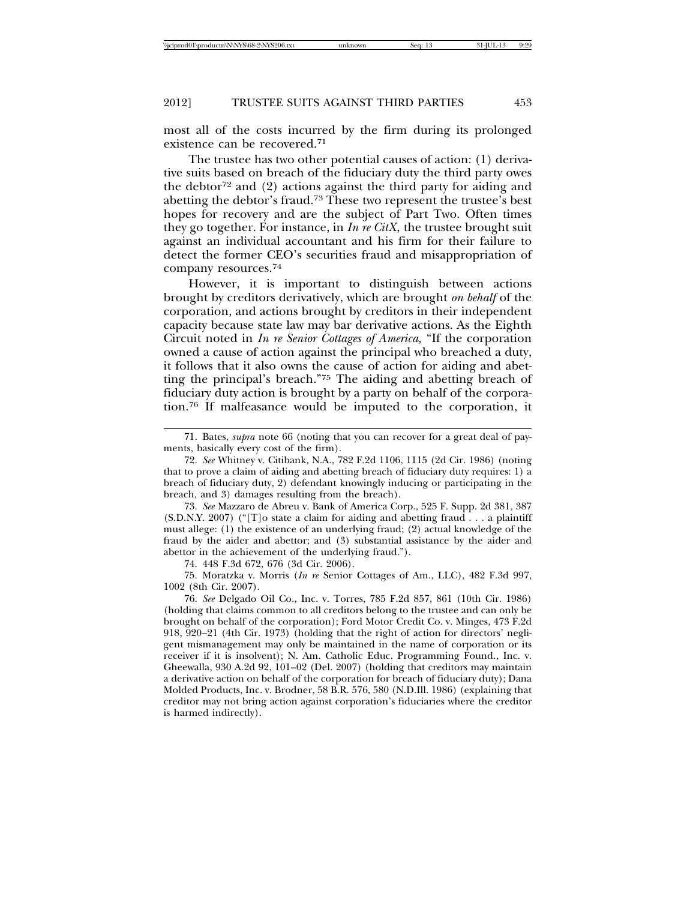most all of the costs incurred by the firm during its prolonged existence can be recovered.71

The trustee has two other potential causes of action: (1) derivative suits based on breach of the fiduciary duty the third party owes the debtor<sup>72</sup> and  $(2)$  actions against the third party for aiding and abetting the debtor's fraud.73 These two represent the trustee's best hopes for recovery and are the subject of Part Two. Often times they go together. For instance, in *In re CitX*, the trustee brought suit against an individual accountant and his firm for their failure to detect the former CEO's securities fraud and misappropriation of company resources.74

However, it is important to distinguish between actions brought by creditors derivatively, which are brought *on behalf* of the corporation, and actions brought by creditors in their independent capacity because state law may bar derivative actions. As the Eighth Circuit noted in *In re Senior Cottages of America,* "If the corporation owned a cause of action against the principal who breached a duty, it follows that it also owns the cause of action for aiding and abetting the principal's breach."75 The aiding and abetting breach of fiduciary duty action is brought by a party on behalf of the corporation.76 If malfeasance would be imputed to the corporation, it

73. *See* Mazzaro de Abreu v. Bank of America Corp., 525 F. Supp. 2d 381, 387 (S.D.N.Y. 2007) ("[T]o state a claim for aiding and abetting fraud . . . a plaintiff must allege: (1) the existence of an underlying fraud; (2) actual knowledge of the fraud by the aider and abettor; and (3) substantial assistance by the aider and abettor in the achievement of the underlying fraud.").

74. 448 F.3d 672, 676 (3d Cir. 2006).

75. Moratzka v. Morris (*In re* Senior Cottages of Am., LLC), 482 F.3d 997, 1002 (8th Cir. 2007).

76. *See* Delgado Oil Co., Inc. v. Torres, 785 F.2d 857, 861 (10th Cir. 1986) (holding that claims common to all creditors belong to the trustee and can only be brought on behalf of the corporation); Ford Motor Credit Co. v. Minges, 473 F.2d 918, 920–21 (4th Cir. 1973) (holding that the right of action for directors' negligent mismanagement may only be maintained in the name of corporation or its receiver if it is insolvent); N. Am. Catholic Educ. Programming Found., Inc. v. Gheewalla, 930 A.2d 92, 101–02 (Del. 2007) (holding that creditors may maintain a derivative action on behalf of the corporation for breach of fiduciary duty); Dana Molded Products, Inc. v. Brodner, 58 B.R. 576, 580 (N.D.Ill. 1986) (explaining that creditor may not bring action against corporation's fiduciaries where the creditor is harmed indirectly).

<sup>71.</sup> Bates, *supra* note 66 (noting that you can recover for a great deal of payments, basically every cost of the firm).

<sup>72.</sup> *See* Whitney v. Citibank, N.A., 782 F.2d 1106, 1115 (2d Cir. 1986) (noting that to prove a claim of aiding and abetting breach of fiduciary duty requires: 1) a breach of fiduciary duty, 2) defendant knowingly inducing or participating in the breach, and 3) damages resulting from the breach).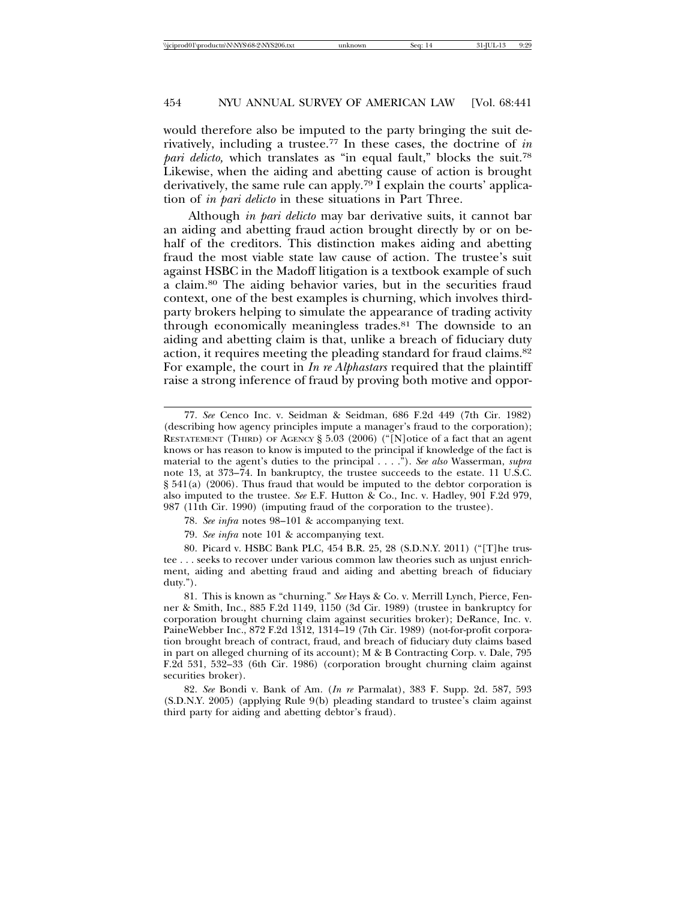would therefore also be imputed to the party bringing the suit derivatively, including a trustee.77 In these cases, the doctrine of *in pari delicto*, which translates as "in equal fault," blocks the suit.<sup>78</sup> Likewise, when the aiding and abetting cause of action is brought derivatively, the same rule can apply.79 I explain the courts' application of *in pari delicto* in these situations in Part Three.

Although *in pari delicto* may bar derivative suits, it cannot bar an aiding and abetting fraud action brought directly by or on behalf of the creditors. This distinction makes aiding and abetting fraud the most viable state law cause of action. The trustee's suit against HSBC in the Madoff litigation is a textbook example of such a claim.80 The aiding behavior varies, but in the securities fraud context, one of the best examples is churning, which involves thirdparty brokers helping to simulate the appearance of trading activity through economically meaningless trades.81 The downside to an aiding and abetting claim is that, unlike a breach of fiduciary duty action, it requires meeting the pleading standard for fraud claims.82 For example, the court in *In re Alphastars* required that the plaintiff raise a strong inference of fraud by proving both motive and oppor-

<sup>77.</sup> *See* Cenco Inc. v. Seidman & Seidman, 686 F.2d 449 (7th Cir. 1982) (describing how agency principles impute a manager's fraud to the corporation); RESTATEMENT (THIRD) OF AGENCY § 5.03 (2006) ("[N]otice of a fact that an agent knows or has reason to know is imputed to the principal if knowledge of the fact is material to the agent's duties to the principal . . . ."). *See also* Wasserman, *supra* note 13, at 373–74. In bankruptcy, the trustee succeeds to the estate. 11 U.S.C. § 541(a) (2006). Thus fraud that would be imputed to the debtor corporation is also imputed to the trustee. *See* E.F. Hutton & Co., Inc. v. Hadley, 901 F.2d 979, 987 (11th Cir. 1990) (imputing fraud of the corporation to the trustee).

<sup>78.</sup> *See infra* notes 98–101 & accompanying text.

<sup>79.</sup> *See infra* note 101 & accompanying text.

<sup>80.</sup> Picard v. HSBC Bank PLC, 454 B.R. 25, 28 (S.D.N.Y. 2011) ("[T]he trustee . . . seeks to recover under various common law theories such as unjust enrichment, aiding and abetting fraud and aiding and abetting breach of fiduciary duty.").

<sup>81.</sup> This is known as "churning." *See* Hays & Co. v. Merrill Lynch, Pierce, Fenner & Smith, Inc., 885 F.2d 1149, 1150 (3d Cir. 1989) (trustee in bankruptcy for corporation brought churning claim against securities broker); DeRance, Inc. v. PaineWebber Inc., 872 F.2d 1312, 1314–19 (7th Cir. 1989) (not-for-profit corporation brought breach of contract, fraud, and breach of fiduciary duty claims based in part on alleged churning of its account); M & B Contracting Corp. v. Dale, 795 F.2d 531, 532–33 (6th Cir. 1986) (corporation brought churning claim against securities broker).

<sup>82.</sup> *See* Bondi v. Bank of Am. (*In re* Parmalat), 383 F. Supp. 2d. 587, 593 (S.D.N.Y. 2005) (applying Rule 9(b) pleading standard to trustee's claim against third party for aiding and abetting debtor's fraud).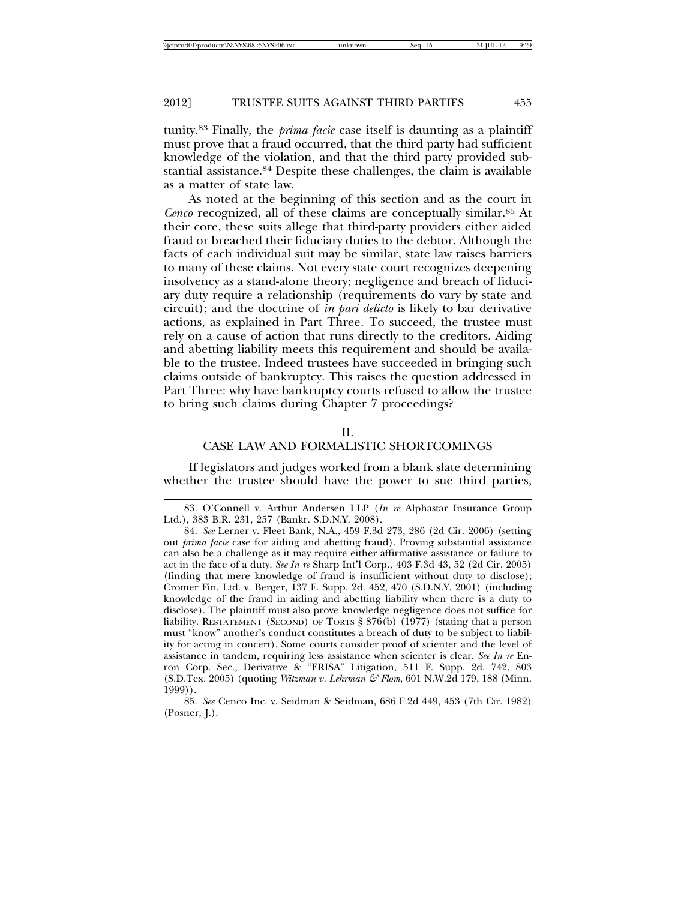tunity.83 Finally, the *prima facie* case itself is daunting as a plaintiff must prove that a fraud occurred, that the third party had sufficient knowledge of the violation, and that the third party provided substantial assistance.84 Despite these challenges, the claim is available as a matter of state law.

As noted at the beginning of this section and as the court in *Cenco* recognized, all of these claims are conceptually similar.85 At their core, these suits allege that third-party providers either aided fraud or breached their fiduciary duties to the debtor. Although the facts of each individual suit may be similar, state law raises barriers to many of these claims. Not every state court recognizes deepening insolvency as a stand-alone theory; negligence and breach of fiduciary duty require a relationship (requirements do vary by state and circuit); and the doctrine of *in pari delicto* is likely to bar derivative actions, as explained in Part Three*.* To succeed, the trustee must rely on a cause of action that runs directly to the creditors. Aiding and abetting liability meets this requirement and should be available to the trustee. Indeed trustees have succeeded in bringing such claims outside of bankruptcy. This raises the question addressed in Part Three: why have bankruptcy courts refused to allow the trustee to bring such claims during Chapter 7 proceedings?

#### $II$ .

### CASE LAW AND FORMALISTIC SHORTCOMINGS

If legislators and judges worked from a blank slate determining whether the trustee should have the power to sue third parties,

<sup>83.</sup> O'Connell v. Arthur Andersen LLP (*In re* Alphastar Insurance Group Ltd.), 383 B.R. 231, 257 (Bankr. S.D.N.Y. 2008).

<sup>84.</sup> *See* Lerner v. Fleet Bank, N.A., 459 F.3d 273, 286 (2d Cir. 2006) (setting out *prima facie* case for aiding and abetting fraud). Proving substantial assistance can also be a challenge as it may require either affirmative assistance or failure to act in the face of a duty. *See In re* Sharp Int'l Corp.*,* 403 F.3d 43, 52 (2d Cir. 2005) (finding that mere knowledge of fraud is insufficient without duty to disclose); Cromer Fin. Ltd. v. Berger, 137 F. Supp. 2d. 452, 470 (S.D.N.Y. 2001) (including knowledge of the fraud in aiding and abetting liability when there is a duty to disclose). The plaintiff must also prove knowledge negligence does not suffice for liability. RESTATEMENT (SECOND) OF TORTS § 876(b) (1977) (stating that a person must "know" another's conduct constitutes a breach of duty to be subject to liability for acting in concert). Some courts consider proof of scienter and the level of assistance in tandem, requiring less assistance when scienter is clear. *See In re* Enron Corp. Sec., Derivative & "ERISA" Litigation, 511 F. Supp. 2d. 742, 803 (S.D.Tex. 2005) (quoting *Witzman v. Lehrman & Flom*, 601 N.W.2d 179, 188 (Minn. 1999)).

<sup>85.</sup> *See* Cenco Inc. v. Seidman & Seidman, 686 F.2d 449, 453 (7th Cir. 1982) (Posner, J.).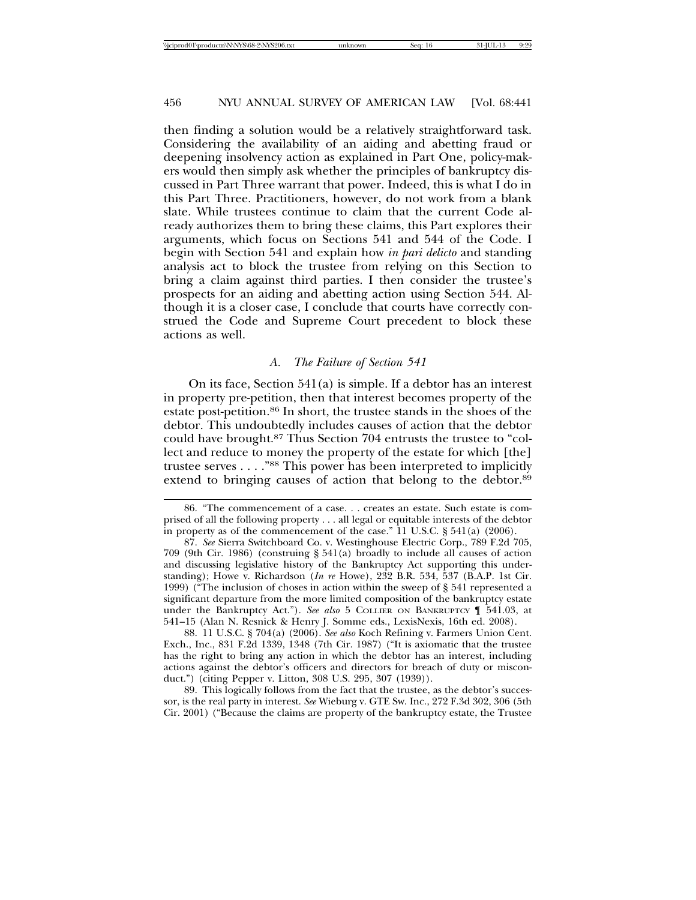then finding a solution would be a relatively straightforward task. Considering the availability of an aiding and abetting fraud or deepening insolvency action as explained in Part One, policy-makers would then simply ask whether the principles of bankruptcy discussed in Part Three warrant that power. Indeed, this is what I do in this Part Three. Practitioners, however, do not work from a blank slate. While trustees continue to claim that the current Code already authorizes them to bring these claims, this Part explores their arguments, which focus on Sections 541 and 544 of the Code. I begin with Section 541 and explain how *in pari delicto* and standing analysis act to block the trustee from relying on this Section to bring a claim against third parties. I then consider the trustee's prospects for an aiding and abetting action using Section 544. Although it is a closer case, I conclude that courts have correctly construed the Code and Supreme Court precedent to block these actions as well.

### *A. The Failure of Section 541*

On its face, Section 541(a) is simple. If a debtor has an interest in property pre-petition, then that interest becomes property of the estate post-petition.86 In short, the trustee stands in the shoes of the debtor. This undoubtedly includes causes of action that the debtor could have brought.87 Thus Section 704 entrusts the trustee to "collect and reduce to money the property of the estate for which [the] trustee serves . . . ."88 This power has been interpreted to implicitly extend to bringing causes of action that belong to the debtor.<sup>89</sup>

88. 11 U.S.C. § 704(a) (2006). *See also* Koch Refining v. Farmers Union Cent. Exch., Inc., 831 F.2d 1339, 1348 (7th Cir. 1987) ("It is axiomatic that the trustee has the right to bring any action in which the debtor has an interest, including actions against the debtor's officers and directors for breach of duty or misconduct.") (citing Pepper v. Litton, 308 U.S. 295, 307 (1939)).

89. This logically follows from the fact that the trustee, as the debtor's successor, is the real party in interest. *See* Wieburg v. GTE Sw. Inc., 272 F.3d 302, 306 (5th Cir. 2001) ("Because the claims are property of the bankruptcy estate, the Trustee

<sup>86. &</sup>quot;The commencement of a case. . . creates an estate. Such estate is comprised of all the following property . . . all legal or equitable interests of the debtor in property as of the commencement of the case." 11 U.S.C. § 541(a) (2006).

<sup>87.</sup> *See* Sierra Switchboard Co. v. Westinghouse Electric Corp., 789 F.2d 705, 709 (9th Cir. 1986) (construing § 541(a) broadly to include all causes of action and discussing legislative history of the Bankruptcy Act supporting this understanding); Howe v. Richardson (*In re* Howe), 232 B.R. 534, 537 (B.A.P. 1st Cir. 1999) ("The inclusion of choses in action within the sweep of § 541 represented a significant departure from the more limited composition of the bankruptcy estate under the Bankruptcy Act."). *See also* 5 COLLIER ON BANKRUPTCY ¶ 541.03, at 541–15 (Alan N. Resnick & Henry J. Somme eds., LexisNexis, 16th ed. 2008).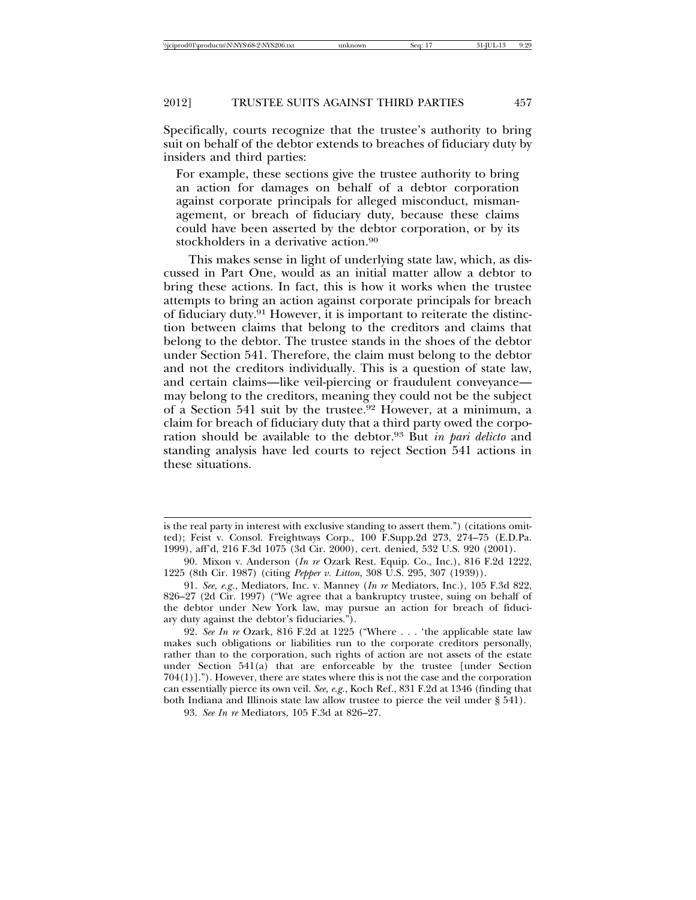Specifically, courts recognize that the trustee's authority to bring suit on behalf of the debtor extends to breaches of fiduciary duty by insiders and third parties:

For example, these sections give the trustee authority to bring an action for damages on behalf of a debtor corporation against corporate principals for alleged misconduct, mismanagement, or breach of fiduciary duty, because these claims could have been asserted by the debtor corporation, or by its stockholders in a derivative action.90

This makes sense in light of underlying state law, which, as discussed in Part One, would as an initial matter allow a debtor to bring these actions. In fact, this is how it works when the trustee attempts to bring an action against corporate principals for breach of fiduciary duty.91 However, it is important to reiterate the distinction between claims that belong to the creditors and claims that belong to the debtor. The trustee stands in the shoes of the debtor under Section 541. Therefore, the claim must belong to the debtor and not the creditors individually. This is a question of state law, and certain claims—like veil-piercing or fraudulent conveyance may belong to the creditors, meaning they could not be the subject of a Section 541 suit by the trustee.92 However, at a minimum, a claim for breach of fiduciary duty that a third party owed the corporation should be available to the debtor.93 But *in pari delicto* and standing analysis have led courts to reject Section 541 actions in these situations.

is the real party in interest with exclusive standing to assert them.") (citations omitted); Feist v. Consol. Freightways Corp., 100 F.Supp.2d 273, 274–75 (E.D.Pa. 1999), aff'd, 216 F.3d 1075 (3d Cir. 2000), cert. denied, 532 U.S. 920 (2001).

<sup>90.</sup> Mixon v. Anderson (*In re* Ozark Rest. Equip. Co., Inc.), 816 F.2d 1222, 1225 (8th Cir. 1987) (citing *Pepper v. Litton*, 308 U.S. 295, 307 (1939)).

<sup>91.</sup> *See, e.g*., Mediators, Inc. v. Manney (*In re* Mediators, Inc.), 105 F.3d 822, 826–27 (2d Cir. 1997) ("We agree that a bankruptcy trustee, suing on behalf of the debtor under New York law, may pursue an action for breach of fiduciary duty against the debtor's fiduciaries.").

<sup>92.</sup> *See In re* Ozark, 816 F.2d at 1225 ("Where . . . 'the applicable state law makes such obligations or liabilities run to the corporate creditors personally, rather than to the corporation, such rights of action are not assets of the estate under Section 541(a) that are enforceable by the trustee [under Section  $704(1)$ ]."). However, there are states where this is not the case and the corporation can essentially pierce its own veil. *See, e.g.*, Koch Ref., 831 F.2d at 1346 (finding that both Indiana and Illinois state law allow trustee to pierce the veil under § 541).

<sup>93.</sup> *See In re* Mediators, 105 F.3d at 826–27.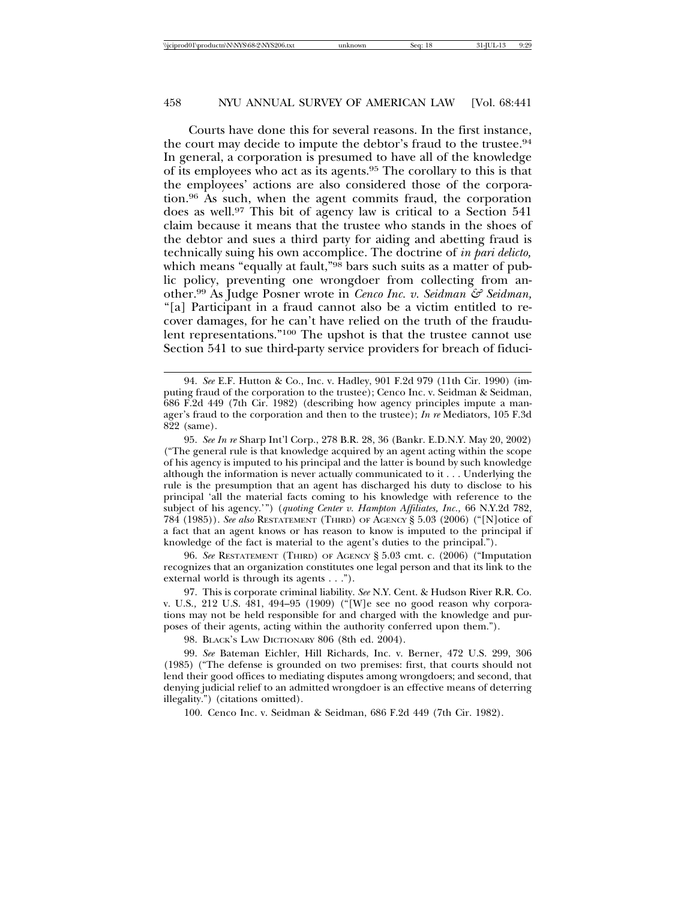Courts have done this for several reasons. In the first instance, the court may decide to impute the debtor's fraud to the trustee.<sup>94</sup> In general, a corporation is presumed to have all of the knowledge of its employees who act as its agents.95 The corollary to this is that the employees' actions are also considered those of the corporation.96 As such, when the agent commits fraud, the corporation does as well.97 This bit of agency law is critical to a Section 541 claim because it means that the trustee who stands in the shoes of the debtor and sues a third party for aiding and abetting fraud is technically suing his own accomplice. The doctrine of *in pari delicto,* which means "equally at fault,"<sup>98</sup> bars such suits as a matter of public policy, preventing one wrongdoer from collecting from another.99 As Judge Posner wrote in *Cenco Inc. v. Seidman & Seidman,* "[a] Participant in a fraud cannot also be a victim entitled to recover damages, for he can't have relied on the truth of the fraudulent representations."100 The upshot is that the trustee cannot use Section 541 to sue third-party service providers for breach of fiduci-

96. *See* RESTATEMENT (THIRD) OF AGENCY § 5.03 cmt. c. (2006) ("Imputation recognizes that an organization constitutes one legal person and that its link to the external world is through its agents . . .").

97. This is corporate criminal liability. *See* N.Y. Cent. & Hudson River R.R. Co. v. U.S.*,* 212 U.S. 481, 494–95 (1909) ("[W]e see no good reason why corporations may not be held responsible for and charged with the knowledge and purposes of their agents, acting within the authority conferred upon them.").

98. BLACK'S LAW DICTIONARY 806 (8th ed. 2004).

99. *See* Bateman Eichler, Hill Richards, Inc. v. Berner, 472 U.S. 299, 306 (1985) ("The defense is grounded on two premises: first, that courts should not lend their good offices to mediating disputes among wrongdoers; and second, that denying judicial relief to an admitted wrongdoer is an effective means of deterring illegality.") (citations omitted).

100. Cenco Inc. v. Seidman & Seidman, 686 F.2d 449 (7th Cir. 1982).

<sup>94.</sup> *See* E.F. Hutton & Co., Inc. v. Hadley, 901 F.2d 979 (11th Cir. 1990) (imputing fraud of the corporation to the trustee); Cenco Inc. v. Seidman & Seidman, 686 F.2d 449 (7th Cir. 1982) (describing how agency principles impute a manager's fraud to the corporation and then to the trustee); *In re* Mediators, 105 F.3d 822 (same).

<sup>95.</sup> *See In re* Sharp Int'l Corp., 278 B.R. 28, 36 (Bankr. E.D.N.Y. May 20, 2002) ("The general rule is that knowledge acquired by an agent acting within the scope of his agency is imputed to his principal and the latter is bound by such knowledge although the information is never actually communicated to it . . . Underlying the rule is the presumption that an agent has discharged his duty to disclose to his principal 'all the material facts coming to his knowledge with reference to the subject of his agency.'") (*quoting Center v. Hampton Affiliates, Inc.,* 66 N.Y.2d 782, 784 (1985)). *See also* RESTATEMENT (THIRD) OF AGENCY § 5.03 (2006) ("[N]otice of a fact that an agent knows or has reason to know is imputed to the principal if knowledge of the fact is material to the agent's duties to the principal.").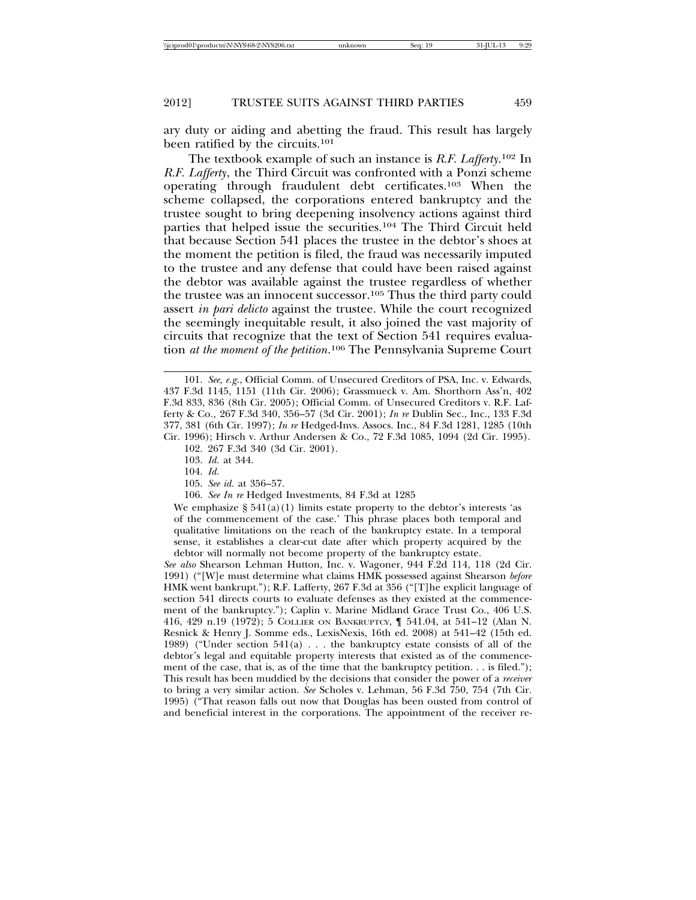ary duty or aiding and abetting the fraud. This result has largely been ratified by the circuits.101

The textbook example of such an instance is *R.F. Lafferty*. <sup>102</sup> In *R.F. Lafferty*, the Third Circuit was confronted with a Ponzi scheme operating through fraudulent debt certificates.103 When the scheme collapsed, the corporations entered bankruptcy and the trustee sought to bring deepening insolvency actions against third parties that helped issue the securities.104 The Third Circuit held that because Section 541 places the trustee in the debtor's shoes at the moment the petition is filed, the fraud was necessarily imputed to the trustee and any defense that could have been raised against the debtor was available against the trustee regardless of whether the trustee was an innocent successor.105 Thus the third party could assert *in pari delicto* against the trustee. While the court recognized the seemingly inequitable result, it also joined the vast majority of circuits that recognize that the text of Section 541 requires evaluation *at the moment of the petition*. 106 The Pennsylvania Supreme Court

- 104. *Id.*
- 105. *See id.* at 356–57.
- 106. *See In re* Hedged Investments, 84 F.3d at 1285

We emphasize  $\S 541(a)(1)$  limits estate property to the debtor's interests 'as of the commencement of the case.' This phrase places both temporal and qualitative limitations on the reach of the bankruptcy estate. In a temporal sense, it establishes a clear-cut date after which property acquired by the debtor will normally not become property of the bankruptcy estate.

*See also* Shearson Lehman Hutton, Inc. v. Wagoner, 944 F.2d 114, 118 (2d Cir. 1991) ("[W]e must determine what claims HMK possessed against Shearson *before* HMK went bankrupt."); R.F. Lafferty, 267 F.3d at 356 ("[T]he explicit language of section 541 directs courts to evaluate defenses as they existed at the commencement of the bankruptcy."); Caplin v. Marine Midland Grace Trust Co., 406 U.S. 416, 429 n.19 (1972); 5 COLLIER ON BANKRUPTCY, ¶ 541.04, at 541–12 (Alan N. Resnick & Henry J. Somme eds., LexisNexis, 16th ed. 2008) at 541–42 (15th ed. 1989) ("Under section 541(a) . . . the bankruptcy estate consists of all of the debtor's legal and equitable property interests that existed as of the commencement of the case, that is, as of the time that the bankruptcy petition. . . is filed."); This result has been muddied by the decisions that consider the power of a *receiver* to bring a very similar action. *See* Scholes v. Lehman, 56 F.3d 750, 754 (7th Cir. 1995) ("That reason falls out now that Douglas has been ousted from control of and beneficial interest in the corporations. The appointment of the receiver re-

<sup>101.</sup> *See, e.g*., Official Comm. of Unsecured Creditors of PSA, Inc. v. Edwards, 437 F.3d 1145, 1151 (11th Cir. 2006); Grassmueck v. Am. Shorthorn Ass'n, 402 F.3d 833, 836 (8th Cir. 2005); Official Comm. of Unsecured Creditors v. R.F. Lafferty & Co*.,* 267 F.3d 340, 356–57 (3d Cir. 2001); *In re* Dublin Sec., Inc., 133 F.3d 377, 381 (6th Cir. 1997); *In re* Hedged-Invs. Assocs. Inc., 84 F.3d 1281, 1285 (10th Cir. 1996); Hirsch v. Arthur Andersen & Co., 72 F.3d 1085, 1094 (2d Cir. 1995).

<sup>102. 267</sup> F.3d 340 (3d Cir. 2001).

<sup>103.</sup> *Id.* at 344.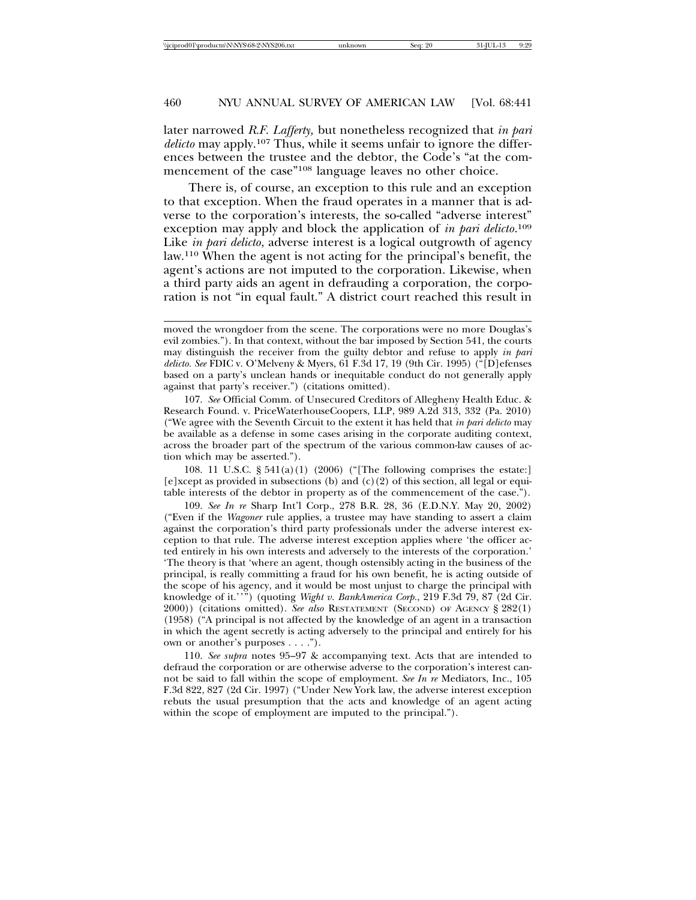later narrowed *R.F. Lafferty,* but nonetheless recognized that *in pari delicto* may apply.107 Thus, while it seems unfair to ignore the differences between the trustee and the debtor, the Code's "at the commencement of the case"<sup>108</sup> language leaves no other choice.

There is, of course, an exception to this rule and an exception to that exception. When the fraud operates in a manner that is adverse to the corporation's interests, the so-called "adverse interest" exception may apply and block the application of *in pari delicto*. 109 Like *in pari delicto*, adverse interest is a logical outgrowth of agency law.110 When the agent is not acting for the principal's benefit, the agent's actions are not imputed to the corporation. Likewise, when a third party aids an agent in defrauding a corporation, the corporation is not "in equal fault." A district court reached this result in

108. 11 U.S.C. § 541(a)(1) (2006) ("[The following comprises the estate:]  $[e]$ xcept as provided in subsections (b) and  $(c)(2)$  of this section, all legal or equitable interests of the debtor in property as of the commencement of the case.").

109. *See In re* Sharp Int'l Corp., 278 B.R. 28, 36 (E.D.N.Y. May 20, 2002) ("Even if the *Wagoner* rule applies, a trustee may have standing to assert a claim against the corporation's third party professionals under the adverse interest exception to that rule. The adverse interest exception applies where 'the officer acted entirely in his own interests and adversely to the interests of the corporation.' 'The theory is that 'where an agent, though ostensibly acting in the business of the principal, is really committing a fraud for his own benefit, he is acting outside of the scope of his agency, and it would be most unjust to charge the principal with knowledge of it.''") (quoting *Wight v. BankAmerica Corp.*, 219 F.3d 79, 87 (2d Cir. 2000)) (citations omitted). *See also* RESTATEMENT (SECOND) OF AGENCY § 282(1) (1958) ("A principal is not affected by the knowledge of an agent in a transaction in which the agent secretly is acting adversely to the principal and entirely for his own or another's purposes . . . .").

110. *See supra* notes 95–97 & accompanying text. Acts that are intended to defraud the corporation or are otherwise adverse to the corporation's interest cannot be said to fall within the scope of employment. *See In re* Mediators, Inc., 105 F.3d 822, 827 (2d Cir. 1997) ("Under New York law, the adverse interest exception rebuts the usual presumption that the acts and knowledge of an agent acting within the scope of employment are imputed to the principal.").

moved the wrongdoer from the scene. The corporations were no more Douglas's evil zombies."). In that context, without the bar imposed by Section 541, the courts may distinguish the receiver from the guilty debtor and refuse to apply *in pari delicto. See* FDIC v. O'Melveny & Myers, 61 F.3d 17, 19 (9th Cir. 1995) ("[D]efenses based on a party's unclean hands or inequitable conduct do not generally apply against that party's receiver.") (citations omitted).

<sup>107.</sup> *See* Official Comm. of Unsecured Creditors of Allegheny Health Educ. & Research Found. v. PriceWaterhouseCoopers, LLP, 989 A.2d 313, 332 (Pa. 2010) ("We agree with the Seventh Circuit to the extent it has held that *in pari delicto* may be available as a defense in some cases arising in the corporate auditing context, across the broader part of the spectrum of the various common-law causes of action which may be asserted.").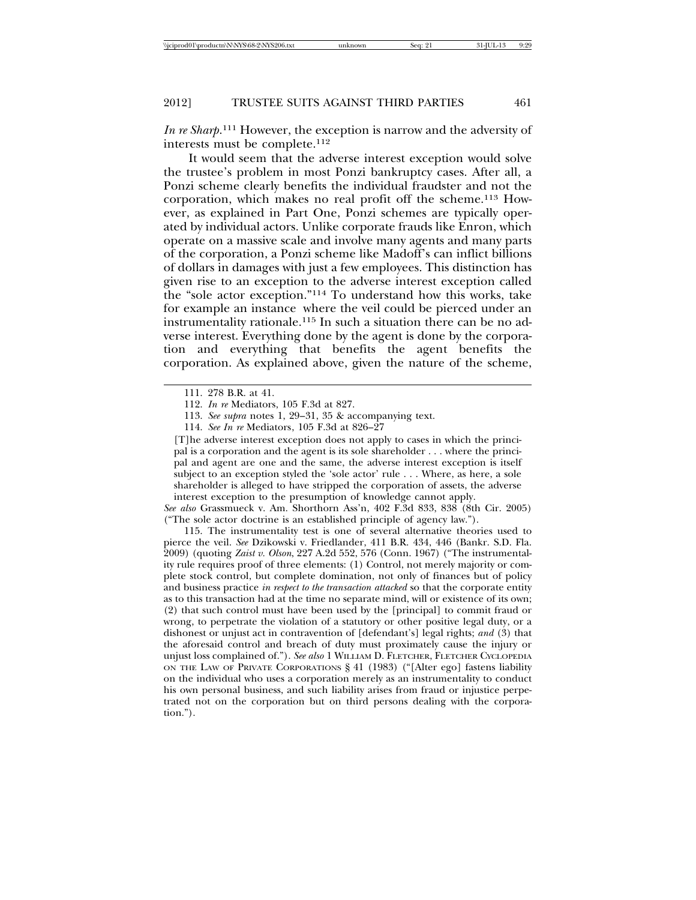*In re Sharp*. 111 However, the exception is narrow and the adversity of interests must be complete.112

It would seem that the adverse interest exception would solve the trustee's problem in most Ponzi bankruptcy cases. After all, a Ponzi scheme clearly benefits the individual fraudster and not the corporation, which makes no real profit off the scheme.113 However, as explained in Part One, Ponzi schemes are typically operated by individual actors. Unlike corporate frauds like Enron, which operate on a massive scale and involve many agents and many parts of the corporation, a Ponzi scheme like Madoff's can inflict billions of dollars in damages with just a few employees. This distinction has given rise to an exception to the adverse interest exception called the "sole actor exception."114 To understand how this works, take for example an instance where the veil could be pierced under an instrumentality rationale.115 In such a situation there can be no adverse interest. Everything done by the agent is done by the corporation and everything that benefits the agent benefits the corporation. As explained above, given the nature of the scheme,

[T]he adverse interest exception does not apply to cases in which the principal is a corporation and the agent is its sole shareholder . . . where the principal and agent are one and the same, the adverse interest exception is itself subject to an exception styled the 'sole actor' rule . . . Where, as here, a sole shareholder is alleged to have stripped the corporation of assets, the adverse interest exception to the presumption of knowledge cannot apply.

*See also* Grassmueck v. Am. Shorthorn Ass'n, 402 F.3d 833, 838 (8th Cir. 2005) ("The sole actor doctrine is an established principle of agency law.").

115. The instrumentality test is one of several alternative theories used to pierce the veil. *See* Dzikowski v. Friedlander, 411 B.R. 434, 446 (Bankr. S.D. Fla. 2009) (quoting *Zaist v. Olson*, 227 A.2d 552, 576 (Conn. 1967) ("The instrumentality rule requires proof of three elements: (1) Control, not merely majority or complete stock control, but complete domination, not only of finances but of policy and business practice *in respect to the transaction attacked* so that the corporate entity as to this transaction had at the time no separate mind, will or existence of its own; (2) that such control must have been used by the [principal] to commit fraud or wrong, to perpetrate the violation of a statutory or other positive legal duty, or a dishonest or unjust act in contravention of [defendant's] legal rights; *and* (3) that the aforesaid control and breach of duty must proximately cause the injury or unjust loss complained of."). *See also* 1 WILLIAM D. FLETCHER, FLETCHER CYCLOPEDIA ON THE LAW OF PRIVATE CORPORATIONS § 41 (1983) ("[Alter ego] fastens liability on the individual who uses a corporation merely as an instrumentality to conduct his own personal business, and such liability arises from fraud or injustice perpetrated not on the corporation but on third persons dealing with the corporation.").

<sup>111. 278</sup> B.R. at 41.

<sup>112.</sup> *In re* Mediators, 105 F.3d at 827.

<sup>113.</sup> *See supra* notes 1, 29–31, 35 & accompanying text.

<sup>114.</sup> *See In re* Mediators, 105 F.3d at 826–27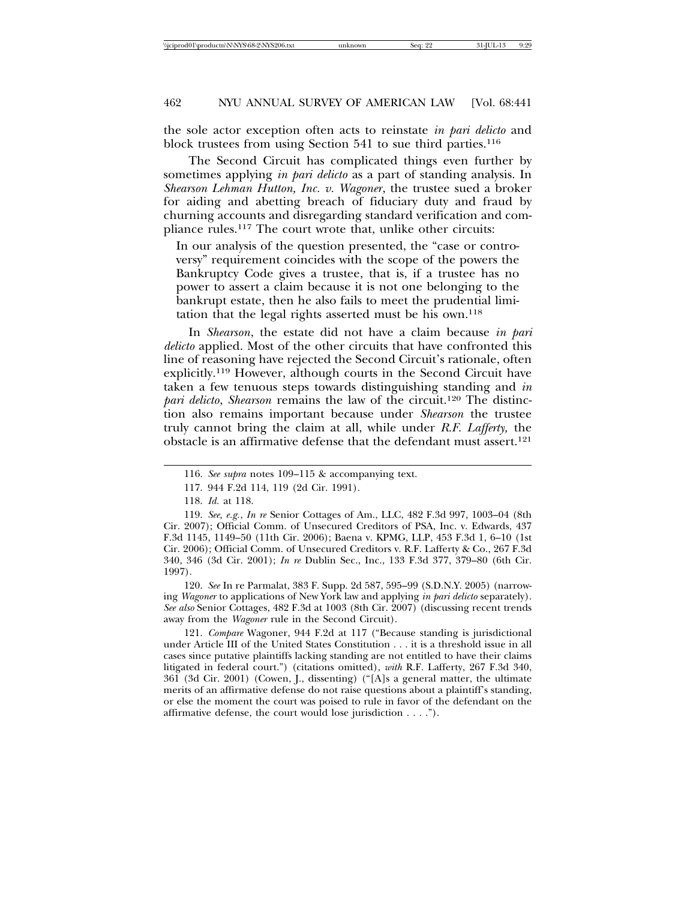the sole actor exception often acts to reinstate *in pari delicto* and block trustees from using Section 541 to sue third parties.<sup>116</sup>

The Second Circuit has complicated things even further by sometimes applying *in pari delicto* as a part of standing analysis. In *Shearson Lehman Hutton, Inc. v. Wagoner*, the trustee sued a broker for aiding and abetting breach of fiduciary duty and fraud by churning accounts and disregarding standard verification and compliance rules.117 The court wrote that, unlike other circuits:

In our analysis of the question presented, the "case or controversy" requirement coincides with the scope of the powers the Bankruptcy Code gives a trustee, that is, if a trustee has no power to assert a claim because it is not one belonging to the bankrupt estate, then he also fails to meet the prudential limitation that the legal rights asserted must be his own.118

In *Shearson*, the estate did not have a claim because *in pari delicto* applied. Most of the other circuits that have confronted this line of reasoning have rejected the Second Circuit's rationale, often explicitly.119 However, although courts in the Second Circuit have taken a few tenuous steps towards distinguishing standing and *in pari delicto*, *Shearson* remains the law of the circuit.120 The distinction also remains important because under *Shearson* the trustee truly cannot bring the claim at all, while under *R.F. Lafferty,* the obstacle is an affirmative defense that the defendant must assert.121

120. *See* In re Parmalat, 383 F. Supp. 2d 587, 595–99 (S.D.N.Y. 2005) (narrowing *Wagoner* to applications of New York law and applying *in pari delicto* separately). *See also* Senior Cottages, 482 F.3d at 1003 (8th Cir. 2007) (discussing recent trends away from the *Wagoner* rule in the Second Circuit).

121. *Compare* Wagoner, 944 F.2d at 117 ("Because standing is jurisdictional under Article III of the United States Constitution . . . it is a threshold issue in all cases since putative plaintiffs lacking standing are not entitled to have their claims litigated in federal court.") (citations omitted), *with* R.F. Lafferty, 267 F.3d 340, 361 (3d Cir. 2001) (Cowen, J., dissenting) ("[A]s a general matter, the ultimate merits of an affirmative defense do not raise questions about a plaintiff's standing, or else the moment the court was poised to rule in favor of the defendant on the affirmative defense, the court would lose jurisdiction . . . .").

<sup>116.</sup> *See supra* notes 109–115 & accompanying text.

<sup>117. 944</sup> F.2d 114, 119 (2d Cir. 1991).

<sup>118.</sup> *Id.* at 118.

<sup>119.</sup> *See, e.g.*, *In re* Senior Cottages of Am., LLC, 482 F.3d 997, 1003–04 (8th Cir. 2007); Official Comm. of Unsecured Creditors of PSA, Inc. v. Edwards, 437 F.3d 1145, 1149–50 (11th Cir. 2006); Baena v. KPMG, LLP, 453 F.3d 1, 6–10 (1st Cir. 2006); Official Comm. of Unsecured Creditors v. R.F. Lafferty & Co., 267 F.3d 340, 346 (3d Cir. 2001); *In re* Dublin Sec., Inc., 133 F.3d 377, 379–80 (6th Cir. 1997).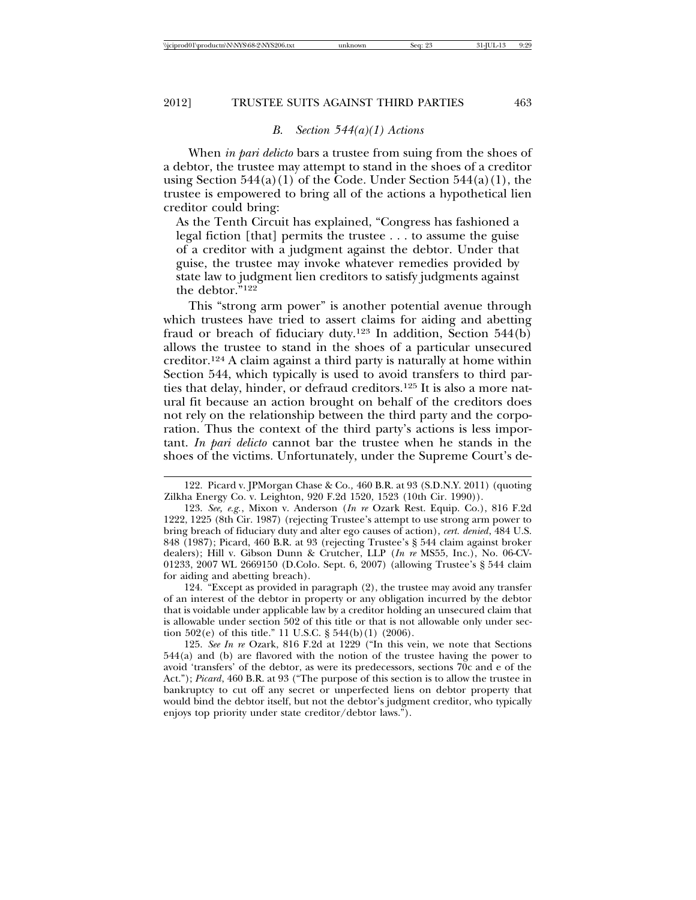### *B. Section 544(a)(1) Actions*

When *in pari delicto* bars a trustee from suing from the shoes of a debtor, the trustee may attempt to stand in the shoes of a creditor using Section  $544(a)(1)$  of the Code. Under Section  $544(a)(1)$ , the trustee is empowered to bring all of the actions a hypothetical lien creditor could bring:

As the Tenth Circuit has explained, "Congress has fashioned a legal fiction [that] permits the trustee . . . to assume the guise of a creditor with a judgment against the debtor. Under that guise, the trustee may invoke whatever remedies provided by state law to judgment lien creditors to satisfy judgments against the debtor."122

This "strong arm power" is another potential avenue through which trustees have tried to assert claims for aiding and abetting fraud or breach of fiduciary duty.<sup>123</sup> In addition, Section  $544(b)$ allows the trustee to stand in the shoes of a particular unsecured creditor.124 A claim against a third party is naturally at home within Section 544, which typically is used to avoid transfers to third parties that delay, hinder, or defraud creditors.125 It is also a more natural fit because an action brought on behalf of the creditors does not rely on the relationship between the third party and the corporation. Thus the context of the third party's actions is less important. *In pari delicto* cannot bar the trustee when he stands in the shoes of the victims. Unfortunately, under the Supreme Court's de-

124. "Except as provided in paragraph (2), the trustee may avoid any transfer of an interest of the debtor in property or any obligation incurred by the debtor that is voidable under applicable law by a creditor holding an unsecured claim that is allowable under section 502 of this title or that is not allowable only under section 502(e) of this title." 11 U.S.C. § 544(b)(1) (2006).

125. *See In re* Ozark, 816 F.2d at 1229 ("In this vein, we note that Sections 544(a) and (b) are flavored with the notion of the trustee having the power to avoid 'transfers' of the debtor, as were its predecessors, sections 70c and e of the Act."); *Picard*, 460 B.R. at 93 ("The purpose of this section is to allow the trustee in bankruptcy to cut off any secret or unperfected liens on debtor property that would bind the debtor itself, but not the debtor's judgment creditor, who typically enjoys top priority under state creditor/debtor laws.").

<sup>122.</sup> Picard v. JPMorgan Chase & Co.*,* 460 B.R. at 93 (S.D.N.Y. 2011) (quoting Zilkha Energy Co. v. Leighton, 920 F.2d 1520, 1523 (10th Cir. 1990)).

<sup>123.</sup> *See, e.g.*, Mixon v. Anderson (*In re* Ozark Rest. Equip. Co.), 816 F.2d 1222, 1225 (8th Cir. 1987) (rejecting Trustee's attempt to use strong arm power to bring breach of fiduciary duty and alter ego causes of action), *cert. denied*, 484 U.S. 848 (1987); Picard, 460 B.R. at 93 (rejecting Trustee's § 544 claim against broker dealers); Hill v. Gibson Dunn & Crutcher, LLP (*In re* MS55, Inc.), No. 06-CV-01233, 2007 WL 2669150 (D.Colo. Sept. 6, 2007) (allowing Trustee's § 544 claim for aiding and abetting breach).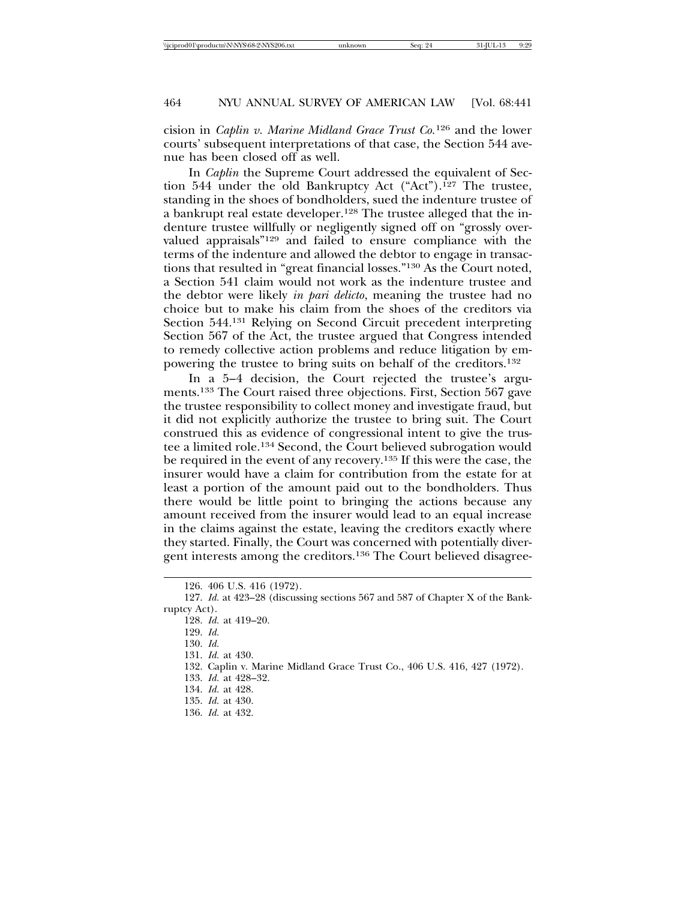cision in *Caplin v. Marine Midland Grace Trust Co.*126 and the lower courts' subsequent interpretations of that case, the Section 544 avenue has been closed off as well.

In *Caplin* the Supreme Court addressed the equivalent of Section 544 under the old Bankruptcy Act ("Act").127 The trustee, standing in the shoes of bondholders, sued the indenture trustee of a bankrupt real estate developer.128 The trustee alleged that the indenture trustee willfully or negligently signed off on "grossly overvalued appraisals"129 and failed to ensure compliance with the terms of the indenture and allowed the debtor to engage in transactions that resulted in "great financial losses."130 As the Court noted, a Section 541 claim would not work as the indenture trustee and the debtor were likely *in pari delicto*, meaning the trustee had no choice but to make his claim from the shoes of the creditors via Section 544.131 Relying on Second Circuit precedent interpreting Section 567 of the Act, the trustee argued that Congress intended to remedy collective action problems and reduce litigation by empowering the trustee to bring suits on behalf of the creditors.132

In a 5–4 decision, the Court rejected the trustee's arguments.133 The Court raised three objections. First, Section 567 gave the trustee responsibility to collect money and investigate fraud, but it did not explicitly authorize the trustee to bring suit. The Court construed this as evidence of congressional intent to give the trustee a limited role.134 Second, the Court believed subrogation would be required in the event of any recovery.135 If this were the case, the insurer would have a claim for contribution from the estate for at least a portion of the amount paid out to the bondholders. Thus there would be little point to bringing the actions because any amount received from the insurer would lead to an equal increase in the claims against the estate, leaving the creditors exactly where they started. Finally, the Court was concerned with potentially divergent interests among the creditors.136 The Court believed disagree-

- 131. *Id.* at 430.
- 132. Caplin v. Marine Midland Grace Trust Co., 406 U.S. 416, 427 (1972).
- 133. *Id.* at 428–32.
- 134. *Id.* at 428.
- 135. *Id.* at 430.
- 136. *Id.* at 432.

<sup>126. 406</sup> U.S. 416 (1972).

<sup>127.</sup> *Id.* at 423–28 (discussing sections 567 and 587 of Chapter X of the Bankruptcy Act).

<sup>128.</sup> *Id.* at 419–20.

<sup>129.</sup> *Id.* 

<sup>130.</sup> *Id.*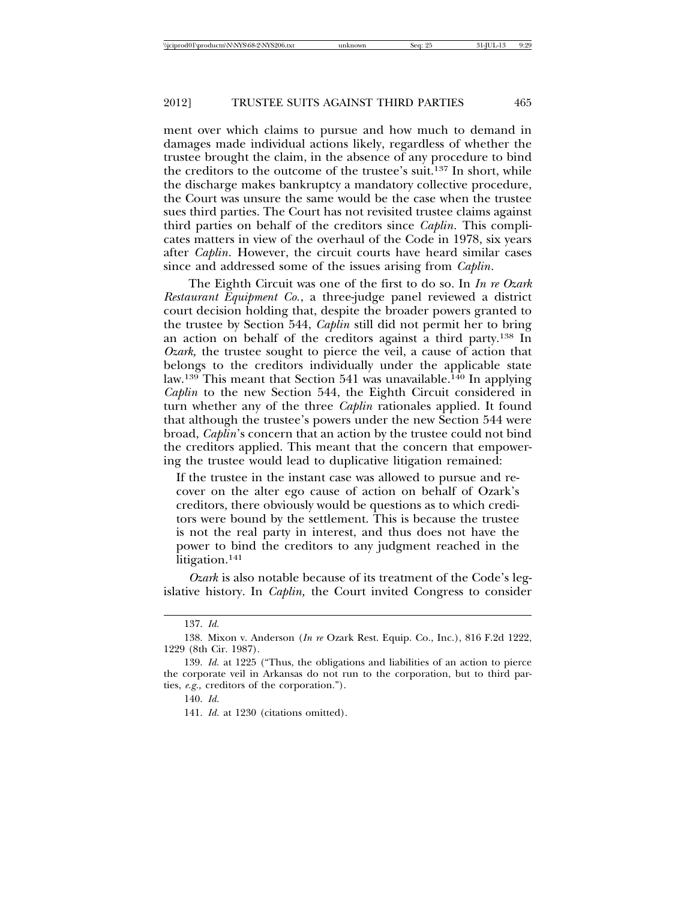ment over which claims to pursue and how much to demand in damages made individual actions likely, regardless of whether the trustee brought the claim, in the absence of any procedure to bind the creditors to the outcome of the trustee's suit.137 In short, while the discharge makes bankruptcy a mandatory collective procedure, the Court was unsure the same would be the case when the trustee sues third parties. The Court has not revisited trustee claims against third parties on behalf of the creditors since *Caplin*. This complicates matters in view of the overhaul of the Code in 1978, six years after *Caplin*. However, the circuit courts have heard similar cases since and addressed some of the issues arising from *Caplin*.

The Eighth Circuit was one of the first to do so. In *In re Ozark Restaurant Equipment Co.*, a three-judge panel reviewed a district court decision holding that, despite the broader powers granted to the trustee by Section 544, *Caplin* still did not permit her to bring an action on behalf of the creditors against a third party.138 In *Ozark,* the trustee sought to pierce the veil, a cause of action that belongs to the creditors individually under the applicable state law.<sup>139</sup> This meant that Section 541 was unavailable.<sup>140</sup> In applying *Caplin* to the new Section 544, the Eighth Circuit considered in turn whether any of the three *Caplin* rationales applied. It found that although the trustee's powers under the new Section 544 were broad, *Caplin*'s concern that an action by the trustee could not bind the creditors applied. This meant that the concern that empowering the trustee would lead to duplicative litigation remained:

If the trustee in the instant case was allowed to pursue and recover on the alter ego cause of action on behalf of Ozark's creditors, there obviously would be questions as to which creditors were bound by the settlement. This is because the trustee is not the real party in interest, and thus does not have the power to bind the creditors to any judgment reached in the litigation.141

*Ozark* is also notable because of its treatment of the Code's legislative history. In *Caplin,* the Court invited Congress to consider

<sup>137.</sup> *Id.* 

<sup>138.</sup> Mixon v. Anderson (*In re* Ozark Rest. Equip. Co., Inc.), 816 F.2d 1222, 1229 (8th Cir. 1987).

<sup>139.</sup> *Id.* at 1225 ("Thus, the obligations and liabilities of an action to pierce the corporate veil in Arkansas do not run to the corporation, but to third parties, *e.g.,* creditors of the corporation.").

<sup>140.</sup> *Id.* 

<sup>141.</sup> *Id.* at 1230 (citations omitted).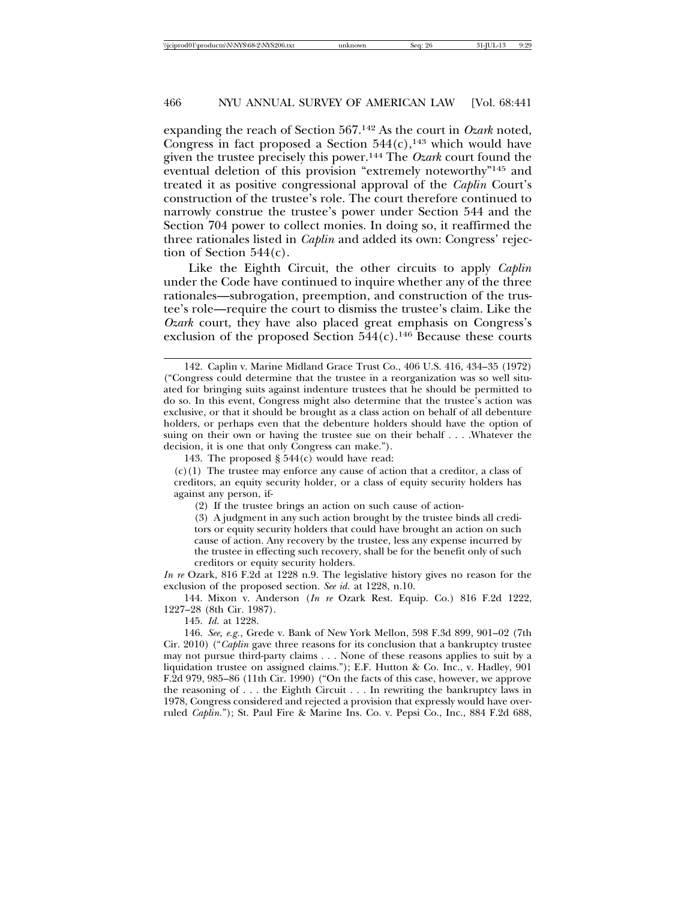expanding the reach of Section 567.142 As the court in *Ozark* noted, Congress in fact proposed a Section  $544(c)$ ,<sup>143</sup> which would have given the trustee precisely this power.144 The *Ozark* court found the eventual deletion of this provision "extremely noteworthy"145 and treated it as positive congressional approval of the *Caplin* Court's construction of the trustee's role. The court therefore continued to narrowly construe the trustee's power under Section 544 and the Section 704 power to collect monies. In doing so, it reaffirmed the three rationales listed in *Caplin* and added its own: Congress' rejection of Section 544(c).

Like the Eighth Circuit, the other circuits to apply *Caplin* under the Code have continued to inquire whether any of the three rationales—subrogation, preemption, and construction of the trustee's role—require the court to dismiss the trustee's claim. Like the *Ozark* court, they have also placed great emphasis on Congress's exclusion of the proposed Section  $544(c)$ .<sup>146</sup> Because these courts

(c)(1) The trustee may enforce any cause of action that a creditor, a class of creditors, an equity security holder, or a class of equity security holders has against any person, if-

(2) If the trustee brings an action on such cause of action-

(3) A judgment in any such action brought by the trustee binds all creditors or equity security holders that could have brought an action on such cause of action. Any recovery by the trustee, less any expense incurred by the trustee in effecting such recovery, shall be for the benefit only of such creditors or equity security holders.

*In re* Ozark, 816 F.2d at 1228 n.9. The legislative history gives no reason for the exclusion of the proposed section. *See id.* at 1228, n.10.

144. Mixon v. Anderson (*In re* Ozark Rest. Equip. Co.) 816 F.2d 1222, 1227–28 (8th Cir. 1987).

145. *Id.* at 1228.

146. *See, e.g.*, Grede v. Bank of New York Mellon, 598 F.3d 899, 901–02 (7th Cir. 2010) ("*Caplin* gave three reasons for its conclusion that a bankruptcy trustee may not pursue third-party claims . . . None of these reasons applies to suit by a liquidation trustee on assigned claims."); E.F. Hutton & Co. Inc., v. Hadley, 901 F.2d 979, 985–86 (11th Cir. 1990) ("On the facts of this case, however, we approve the reasoning of . . . the Eighth Circuit . . . In rewriting the bankruptcy laws in 1978, Congress considered and rejected a provision that expressly would have overruled *Caplin.*"); St. Paul Fire & Marine Ins. Co. v. Pepsi Co., Inc., 884 F.2d 688,

<sup>142.</sup> Caplin v. Marine Midland Grace Trust Co., 406 U.S. 416, 434–35 (1972) ("Congress could determine that the trustee in a reorganization was so well situated for bringing suits against indenture trustees that he should be permitted to do so. In this event, Congress might also determine that the trustee's action was exclusive, or that it should be brought as a class action on behalf of all debenture holders, or perhaps even that the debenture holders should have the option of suing on their own or having the trustee sue on their behalf . . . .Whatever the decision, it is one that only Congress can make.").

<sup>143.</sup> The proposed § 544(c) would have read: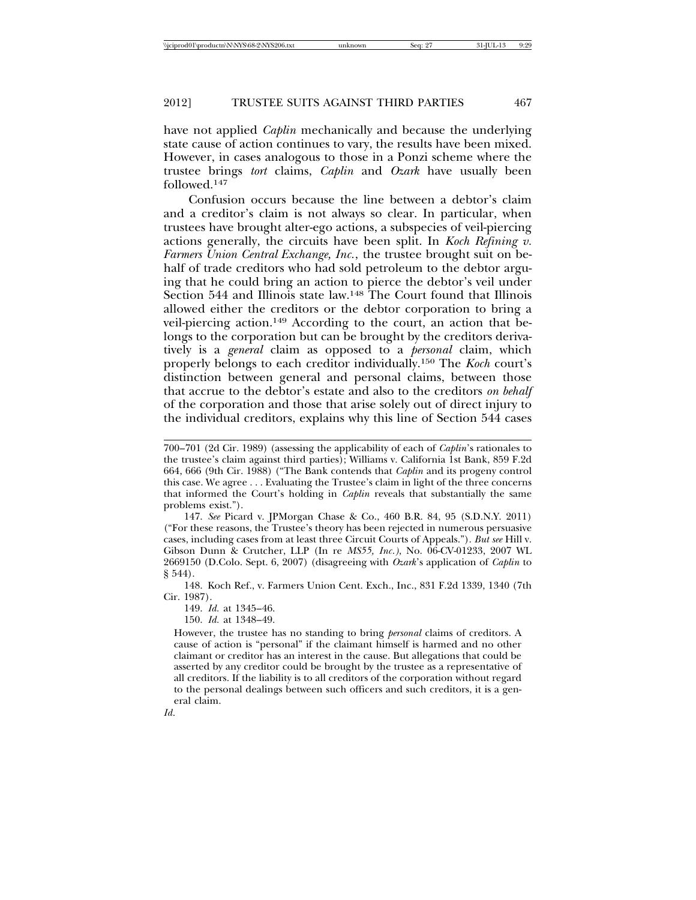have not applied *Caplin* mechanically and because the underlying state cause of action continues to vary, the results have been mixed. However, in cases analogous to those in a Ponzi scheme where the trustee brings *tort* claims, *Caplin* and *Ozark* have usually been followed.147

Confusion occurs because the line between a debtor's claim and a creditor's claim is not always so clear. In particular, when trustees have brought alter-ego actions, a subspecies of veil-piercing actions generally, the circuits have been split. In *Koch Refining v. Farmers Union Central Exchange, Inc.*, the trustee brought suit on behalf of trade creditors who had sold petroleum to the debtor arguing that he could bring an action to pierce the debtor's veil under Section 544 and Illinois state law.<sup>148</sup> The Court found that Illinois allowed either the creditors or the debtor corporation to bring a veil-piercing action.149 According to the court, an action that belongs to the corporation but can be brought by the creditors derivatively is a *general* claim as opposed to a *personal* claim, which properly belongs to each creditor individually.150 The *Koch* court's distinction between general and personal claims, between those that accrue to the debtor's estate and also to the creditors *on behalf* of the corporation and those that arise solely out of direct injury to the individual creditors, explains why this line of Section 544 cases

148. Koch Ref., v. Farmers Union Cent. Exch., Inc., 831 F.2d 1339, 1340 (7th Cir. 1987).

149. *Id.* at 1345–46.

150. *Id.* at 1348–49.

*Id*.

<sup>700–701 (2</sup>d Cir. 1989) (assessing the applicability of each of *Caplin*'s rationales to the trustee's claim against third parties); Williams v. California 1st Bank, 859 F.2d 664, 666 (9th Cir. 1988) ("The Bank contends that *Caplin* and its progeny control this case. We agree . . . Evaluating the Trustee's claim in light of the three concerns that informed the Court's holding in *Caplin* reveals that substantially the same problems exist.").

<sup>147.</sup> *See* Picard v. JPMorgan Chase & Co., 460 B.R. 84, 95 (S.D.N.Y. 2011) ("For these reasons, the Trustee's theory has been rejected in numerous persuasive cases, including cases from at least three Circuit Courts of Appeals."). *But see* Hill v. Gibson Dunn & Crutcher, LLP (In re *MS55, Inc*.*)*, No. 06-CV-01233, 2007 WL 2669150 (D.Colo. Sept. 6, 2007) (disagreeing with *Ozark*'s application of *Caplin* to § 544).

However, the trustee has no standing to bring *personal* claims of creditors. A cause of action is "personal" if the claimant himself is harmed and no other claimant or creditor has an interest in the cause. But allegations that could be asserted by any creditor could be brought by the trustee as a representative of all creditors. If the liability is to all creditors of the corporation without regard to the personal dealings between such officers and such creditors, it is a general claim.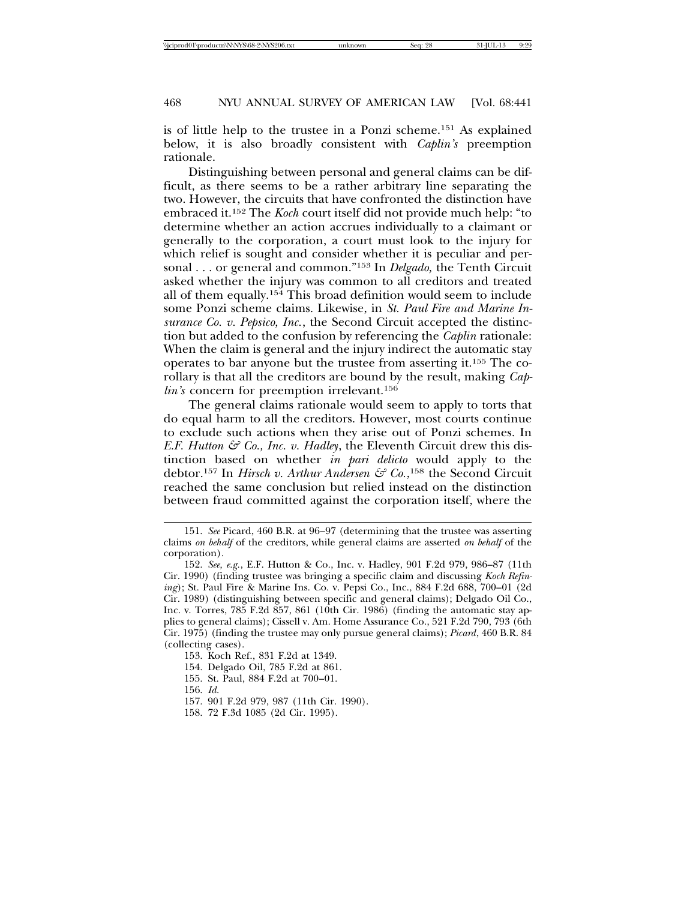is of little help to the trustee in a Ponzi scheme.151 As explained below, it is also broadly consistent with *Caplin's* preemption rationale.

Distinguishing between personal and general claims can be difficult, as there seems to be a rather arbitrary line separating the two. However, the circuits that have confronted the distinction have embraced it.152 The *Koch* court itself did not provide much help: "to determine whether an action accrues individually to a claimant or generally to the corporation, a court must look to the injury for which relief is sought and consider whether it is peculiar and personal . . . or general and common."153 In *Delgado,* the Tenth Circuit asked whether the injury was common to all creditors and treated all of them equally.154 This broad definition would seem to include some Ponzi scheme claims. Likewise, in *St. Paul Fire and Marine Insurance Co. v. Pepsico, Inc.*, the Second Circuit accepted the distinction but added to the confusion by referencing the *Caplin* rationale: When the claim is general and the injury indirect the automatic stay operates to bar anyone but the trustee from asserting it.155 The corollary is that all the creditors are bound by the result, making *Caplin's* concern for preemption irrelevant.<sup>156</sup>

The general claims rationale would seem to apply to torts that do equal harm to all the creditors. However, most courts continue to exclude such actions when they arise out of Ponzi schemes. In *E.F. Hutton*  $\mathcal{S}^2$  *Co., Inc. v. Hadley*, the Eleventh Circuit drew this distinction based on whether *in pari delicto* would apply to the debtor.<sup>157</sup> In *Hirsch v. Arthur Andersen & Co.*,<sup>158</sup> the Second Circuit reached the same conclusion but relied instead on the distinction between fraud committed against the corporation itself, where the

153. Koch Ref., 831 F.2d at 1349.

154. Delgado Oil, 785 F.2d at 861.

155. St. Paul, 884 F.2d at 700–01.

156. *Id.* 

157. 901 F.2d 979, 987 (11th Cir. 1990).

158. 72 F.3d 1085 (2d Cir. 1995).

<sup>151.</sup> *See* Picard, 460 B.R. at 96–97 (determining that the trustee was asserting claims *on behalf* of the creditors, while general claims are asserted *on behalf* of the corporation).

<sup>152.</sup> *See, e.g.*, E.F. Hutton & Co., Inc. v. Hadley, 901 F.2d 979, 986–87 (11th Cir. 1990) (finding trustee was bringing a specific claim and discussing *Koch Refining*); St. Paul Fire & Marine Ins. Co. v. Pepsi Co., Inc., 884 F.2d 688, 700–01 (2d Cir. 1989) (distinguishing between specific and general claims); Delgado Oil Co., Inc. v. Torres, 785 F.2d 857, 861 (10th Cir. 1986) (finding the automatic stay applies to general claims); Cissell v. Am. Home Assurance Co., 521 F.2d 790, 793 (6th Cir. 1975) (finding the trustee may only pursue general claims); *Picard*, 460 B.R. 84 (collecting cases).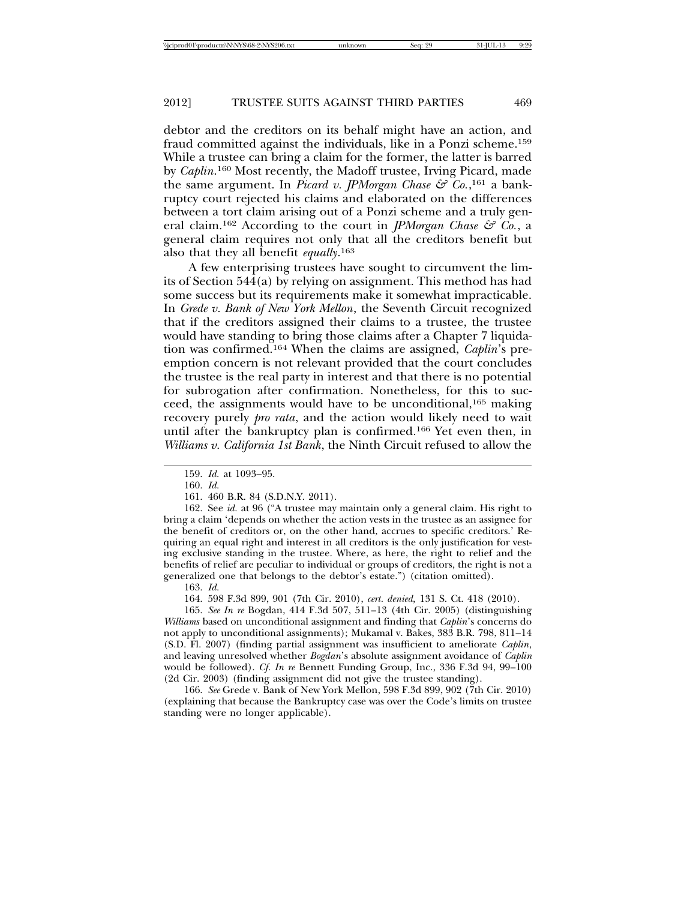debtor and the creditors on its behalf might have an action, and fraud committed against the individuals, like in a Ponzi scheme.159 While a trustee can bring a claim for the former, the latter is barred by *Caplin*.<sup>160</sup> Most recently, the Madoff trustee, Irving Picard, made the same argument. In *Picard v. JPMorgan Chase & Co.*,<sup>161</sup> a bankruptcy court rejected his claims and elaborated on the differences between a tort claim arising out of a Ponzi scheme and a truly general claim.162 According to the court in *JPMorgan Chase & Co.*, a general claim requires not only that all the creditors benefit but also that they all benefit *equally*. 163

A few enterprising trustees have sought to circumvent the limits of Section 544(a) by relying on assignment. This method has had some success but its requirements make it somewhat impracticable. In *Grede v. Bank of New York Mellon*, the Seventh Circuit recognized that if the creditors assigned their claims to a trustee, the trustee would have standing to bring those claims after a Chapter 7 liquidation was confirmed.164 When the claims are assigned, *Caplin*'s preemption concern is not relevant provided that the court concludes the trustee is the real party in interest and that there is no potential for subrogation after confirmation. Nonetheless, for this to succeed, the assignments would have to be unconditional,165 making recovery purely *pro rata*, and the action would likely need to wait until after the bankruptcy plan is confirmed.166 Yet even then, in *Williams v. California 1st Bank*, the Ninth Circuit refused to allow the

162. See *id.* at 96 ("A trustee may maintain only a general claim. His right to bring a claim 'depends on whether the action vests in the trustee as an assignee for the benefit of creditors or, on the other hand, accrues to specific creditors.' Requiring an equal right and interest in all creditors is the only justification for vesting exclusive standing in the trustee. Where, as here, the right to relief and the benefits of relief are peculiar to individual or groups of creditors, the right is not a generalized one that belongs to the debtor's estate.") (citation omitted).

163. *Id.* 

164. 598 F.3d 899, 901 (7th Cir. 2010), *cert. denied,* 131 S. Ct. 418 (2010).

165. *See In re* Bogdan, 414 F.3d 507, 511–13 (4th Cir. 2005) (distinguishing *Williams* based on unconditional assignment and finding that *Caplin*'s concerns do not apply to unconditional assignments); Mukamal v. Bakes, 383 B.R. 798, 811–14 (S.D. Fl. 2007) (finding partial assignment was insufficient to ameliorate *Caplin*, and leaving unresolved whether *Bogdan*'s absolute assignment avoidance of *Caplin* would be followed). *Cf. In re* Bennett Funding Group, Inc., 336 F.3d 94, 99–100 (2d Cir. 2003) (finding assignment did not give the trustee standing).

166. *See* Grede v. Bank of New York Mellon, 598 F.3d 899, 902 (7th Cir. 2010) (explaining that because the Bankruptcy case was over the Code's limits on trustee standing were no longer applicable).

<sup>159.</sup> *Id.* at 1093–95.

<sup>160.</sup> *Id.* 

<sup>161. 460</sup> B.R. 84 (S.D.N.Y. 2011).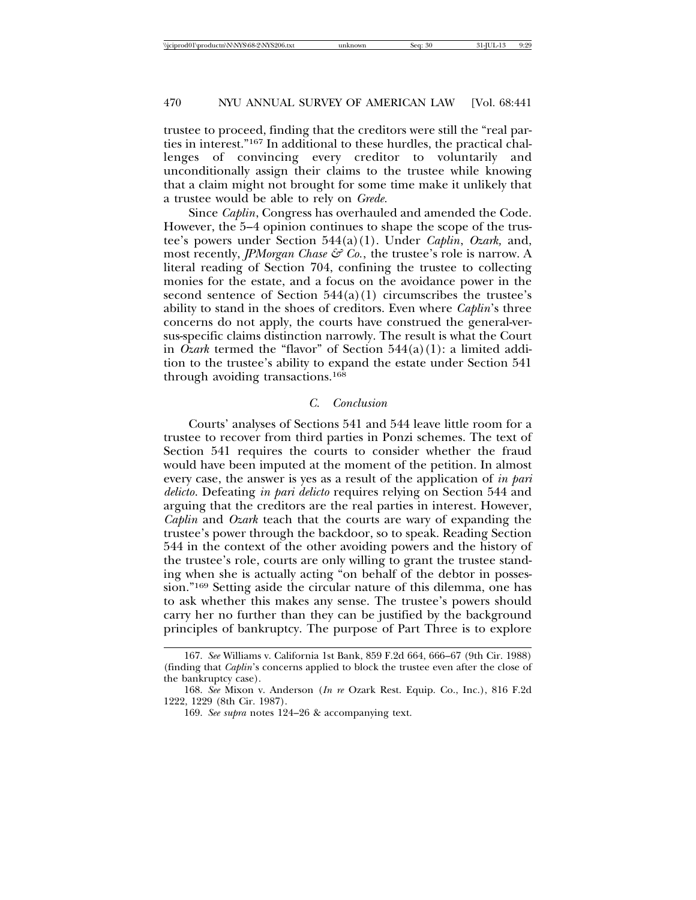trustee to proceed, finding that the creditors were still the "real parties in interest."167 In additional to these hurdles, the practical challenges of convincing every creditor to voluntarily and unconditionally assign their claims to the trustee while knowing that a claim might not brought for some time make it unlikely that a trustee would be able to rely on *Grede.*

Since *Caplin*, Congress has overhauled and amended the Code. However, the 5–4 opinion continues to shape the scope of the trustee's powers under Section 544(a)(1). Under *Caplin*, *Ozark,* and, most recently, *JPMorgan Chase*  $\mathcal{F}$  Co., the trustee's role is narrow. A literal reading of Section 704, confining the trustee to collecting monies for the estate, and a focus on the avoidance power in the second sentence of Section  $544(a)(1)$  circumscribes the trustee's ability to stand in the shoes of creditors. Even where *Caplin*'s three concerns do not apply, the courts have construed the general-versus-specific claims distinction narrowly. The result is what the Court in *Ozark* termed the "flavor" of Section 544(a)(1): a limited addition to the trustee's ability to expand the estate under Section 541 through avoiding transactions.168

#### *C. Conclusion*

Courts' analyses of Sections 541 and 544 leave little room for a trustee to recover from third parties in Ponzi schemes. The text of Section 541 requires the courts to consider whether the fraud would have been imputed at the moment of the petition. In almost every case, the answer is yes as a result of the application of *in pari delicto*. Defeating *in pari delicto* requires relying on Section 544 and arguing that the creditors are the real parties in interest. However, *Caplin* and *Ozark* teach that the courts are wary of expanding the trustee's power through the backdoor, so to speak. Reading Section 544 in the context of the other avoiding powers and the history of the trustee's role, courts are only willing to grant the trustee standing when she is actually acting "on behalf of the debtor in possession."169 Setting aside the circular nature of this dilemma, one has to ask whether this makes any sense. The trustee's powers should carry her no further than they can be justified by the background principles of bankruptcy. The purpose of Part Three is to explore

<sup>167.</sup> *See* Williams v. California 1st Bank, 859 F.2d 664, 666–67 (9th Cir. 1988) (finding that *Caplin*'s concerns applied to block the trustee even after the close of the bankruptcy case).

<sup>168.</sup> *See* Mixon v. Anderson (*In re* Ozark Rest. Equip. Co., Inc.), 816 F.2d 1222, 1229 (8th Cir. 1987).

<sup>169.</sup> *See supra* notes 124–26 & accompanying text.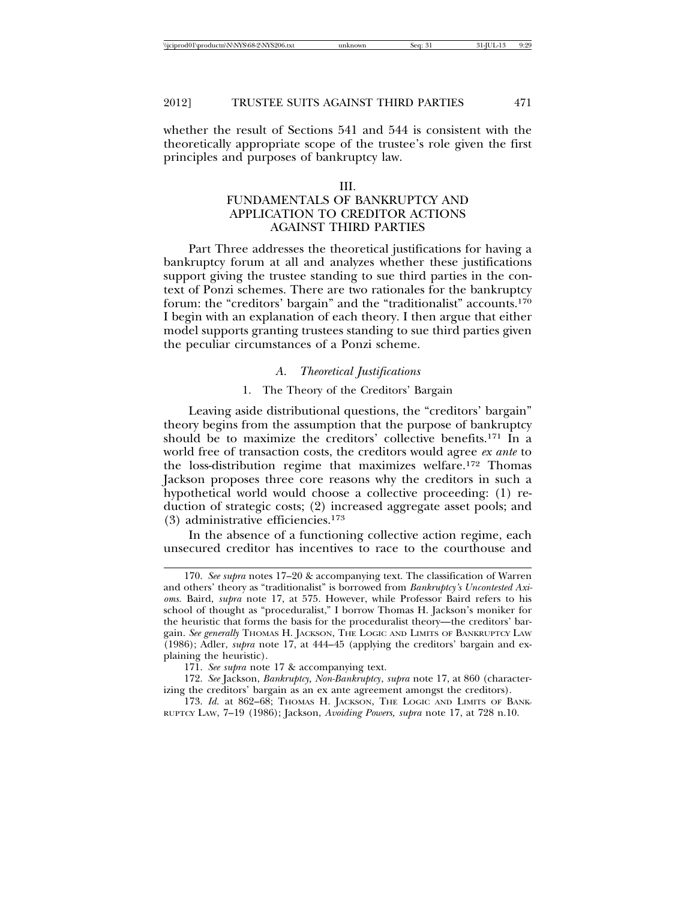whether the result of Sections 541 and 544 is consistent with the theoretically appropriate scope of the trustee's role given the first principles and purposes of bankruptcy law.

#### III.

# FUNDAMENTALS OF BANKRUPTCY AND APPLICATION TO CREDITOR ACTIONS AGAINST THIRD PARTIES

Part Three addresses the theoretical justifications for having a bankruptcy forum at all and analyzes whether these justifications support giving the trustee standing to sue third parties in the context of Ponzi schemes. There are two rationales for the bankruptcy forum: the "creditors' bargain" and the "traditionalist" accounts.170 I begin with an explanation of each theory. I then argue that either model supports granting trustees standing to sue third parties given the peculiar circumstances of a Ponzi scheme.

#### *A. Theoretical Justifications*

### 1. The Theory of the Creditors' Bargain

Leaving aside distributional questions, the "creditors' bargain" theory begins from the assumption that the purpose of bankruptcy should be to maximize the creditors' collective benefits.171 In a world free of transaction costs, the creditors would agree *ex ante* to the loss-distribution regime that maximizes welfare.172 Thomas Jackson proposes three core reasons why the creditors in such a hypothetical world would choose a collective proceeding: (1) reduction of strategic costs; (2) increased aggregate asset pools; and (3) administrative efficiencies.173

In the absence of a functioning collective action regime, each unsecured creditor has incentives to race to the courthouse and

<sup>170.</sup> *See supra* notes 17–20 & accompanying text. The classification of Warren and others' theory as "traditionalist" is borrowed from *Bankruptcy's Uncontested Axioms.* Baird, *supra* note 17, at 575. However, while Professor Baird refers to his school of thought as "proceduralist," I borrow Thomas H. Jackson's moniker for the heuristic that forms the basis for the proceduralist theory—the creditors' bargain. *See generally* THOMAS H. JACKSON, THE LOGIC AND LIMITS OF BANKRUPTCY LAW (1986); Adler, *supra* note 17, at 444–45 (applying the creditors' bargain and explaining the heuristic).

<sup>171.</sup> *See supra* note 17 & accompanying text.

<sup>172.</sup> *See* Jackson, *Bankruptcy, Non-Bankruptcy*, *supra* note 17, at 860 (characterizing the creditors' bargain as an ex ante agreement amongst the creditors).

<sup>173.</sup> *Id.* at 862-68; Thomas H. JACKSON, THE LOGIC AND LIMITS OF BANK-RUPTCY LAW, 7–19 (1986); Jackson, *Avoiding Powers, supra* note 17, at 728 n.10.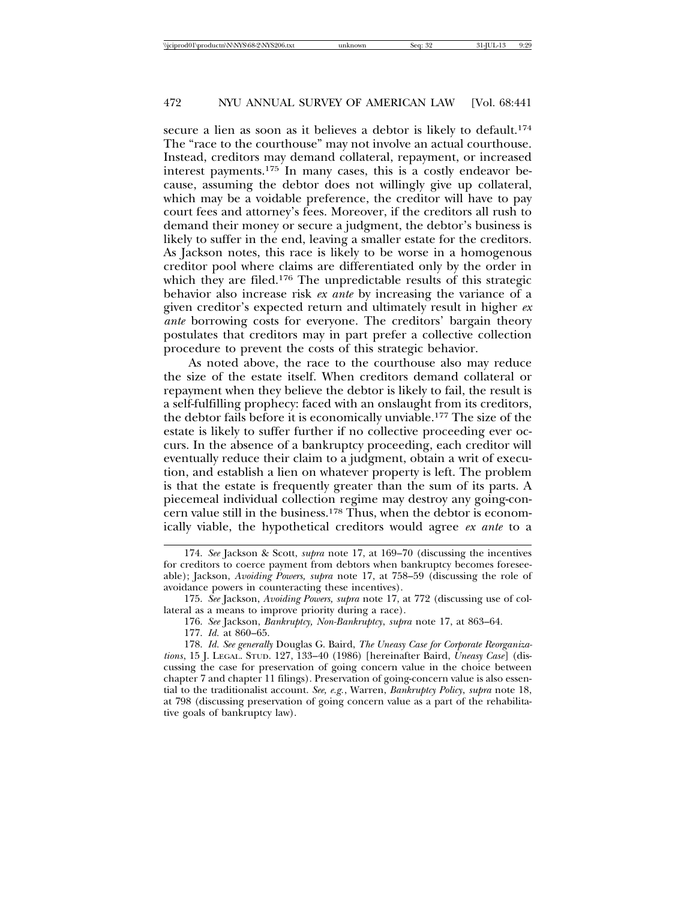secure a lien as soon as it believes a debtor is likely to default.174 The "race to the courthouse" may not involve an actual courthouse. Instead, creditors may demand collateral, repayment, or increased interest payments.175 In many cases, this is a costly endeavor because, assuming the debtor does not willingly give up collateral, which may be a voidable preference, the creditor will have to pay court fees and attorney's fees. Moreover, if the creditors all rush to demand their money or secure a judgment, the debtor's business is likely to suffer in the end, leaving a smaller estate for the creditors. As Jackson notes, this race is likely to be worse in a homogenous creditor pool where claims are differentiated only by the order in which they are filed.<sup>176</sup> The unpredictable results of this strategic behavior also increase risk *ex ante* by increasing the variance of a given creditor's expected return and ultimately result in higher *ex ante* borrowing costs for everyone. The creditors' bargain theory postulates that creditors may in part prefer a collective collection procedure to prevent the costs of this strategic behavior.

As noted above, the race to the courthouse also may reduce the size of the estate itself. When creditors demand collateral or repayment when they believe the debtor is likely to fail, the result is a self-fulfilling prophecy: faced with an onslaught from its creditors, the debtor fails before it is economically unviable.177 The size of the estate is likely to suffer further if no collective proceeding ever occurs. In the absence of a bankruptcy proceeding, each creditor will eventually reduce their claim to a judgment, obtain a writ of execution, and establish a lien on whatever property is left. The problem is that the estate is frequently greater than the sum of its parts. A piecemeal individual collection regime may destroy any going-concern value still in the business.178 Thus, when the debtor is economically viable, the hypothetical creditors would agree *ex ante* to a

<sup>174.</sup> *See* Jackson & Scott, *supra* note 17, at 169–70 (discussing the incentives for creditors to coerce payment from debtors when bankruptcy becomes foreseeable); Jackson, *Avoiding Powers, supra* note 17, at 758–59 (discussing the role of avoidance powers in counteracting these incentives).

<sup>175.</sup> *See* Jackson, *Avoiding Powers, supra* note 17, at 772 (discussing use of collateral as a means to improve priority during a race).

<sup>176.</sup> *See* Jackson, *Bankruptcy, Non-Bankruptcy*, *supra* note 17, at 863–64.

<sup>177.</sup> *Id.* at 860–65.

<sup>178.</sup> *Id. See generally* Douglas G. Baird, *The Uneasy Case for Corporate Reorganizations*, 15 J. LEGAL. STUD. 127, 133–40 (1986) [hereinafter Baird, *Uneasy Case*] (discussing the case for preservation of going concern value in the choice between chapter 7 and chapter 11 filings). Preservation of going-concern value is also essential to the traditionalist account. *See, e.g.*, Warren, *Bankruptcy Policy*, *supra* note 18, at 798 (discussing preservation of going concern value as a part of the rehabilitative goals of bankruptcy law).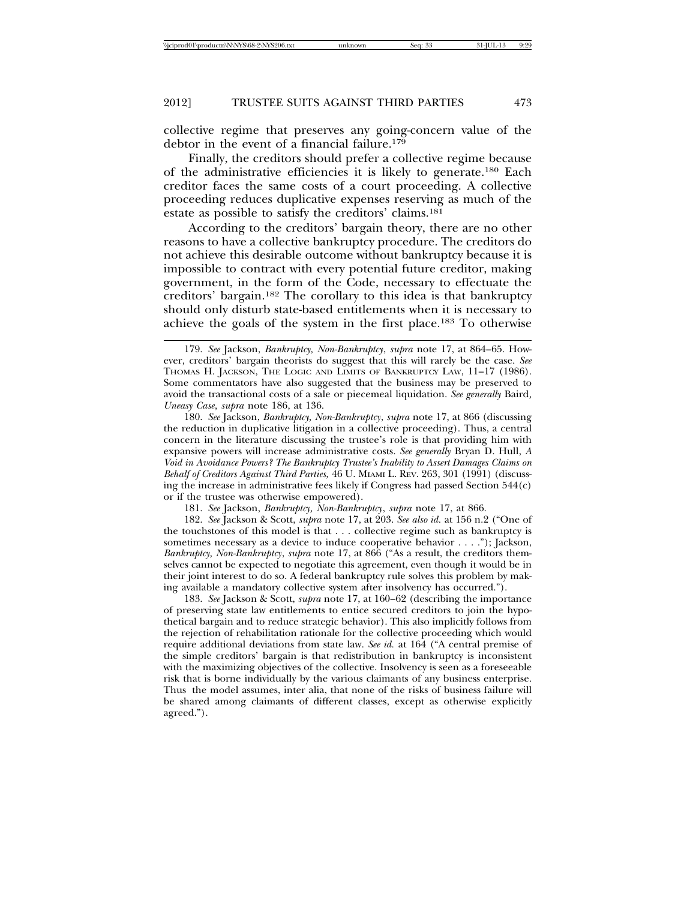collective regime that preserves any going-concern value of the debtor in the event of a financial failure.179

Finally, the creditors should prefer a collective regime because of the administrative efficiencies it is likely to generate.180 Each creditor faces the same costs of a court proceeding. A collective proceeding reduces duplicative expenses reserving as much of the estate as possible to satisfy the creditors' claims.181

According to the creditors' bargain theory, there are no other reasons to have a collective bankruptcy procedure. The creditors do not achieve this desirable outcome without bankruptcy because it is impossible to contract with every potential future creditor, making government, in the form of the Code, necessary to effectuate the creditors' bargain.182 The corollary to this idea is that bankruptcy should only disturb state-based entitlements when it is necessary to achieve the goals of the system in the first place.183 To otherwise

180. *See* Jackson, *Bankruptcy, Non-Bankruptcy*, *supra* note 17, at 866 (discussing the reduction in duplicative litigation in a collective proceeding). Thus, a central concern in the literature discussing the trustee's role is that providing him with expansive powers will increase administrative costs. *See generally* Bryan D. Hull, *A Void in Avoidance Powers? The Bankruptcy Trustee's Inability to Assert Damages Claims on Behalf of Creditors Against Third Parties,* 46 U. MIAMI L. REV. 263, 301 (1991) (discussing the increase in administrative fees likely if Congress had passed Section 544(c) or if the trustee was otherwise empowered).

181. *See* Jackson, *Bankruptcy, Non-Bankruptcy*, *supra* note 17, at 866.

182. *See* Jackson & Scott, *supra* note 17, at 203. *See also id.* at 156 n.2 ("One of the touchstones of this model is that . . . collective regime such as bankruptcy is sometimes necessary as a device to induce cooperative behavior . . . ."); Jackson, *Bankruptcy, Non-Bankruptcy*, *supra* note 17, at 866 ("As a result, the creditors themselves cannot be expected to negotiate this agreement, even though it would be in their joint interest to do so. A federal bankruptcy rule solves this problem by making available a mandatory collective system after insolvency has occurred.").

183. *See* Jackson & Scott, *supra* note 17, at 160–62 (describing the importance of preserving state law entitlements to entice secured creditors to join the hypothetical bargain and to reduce strategic behavior). This also implicitly follows from the rejection of rehabilitation rationale for the collective proceeding which would require additional deviations from state law. *See id.* at 164 ("A central premise of the simple creditors' bargain is that redistribution in bankruptcy is inconsistent with the maximizing objectives of the collective. Insolvency is seen as a foreseeable risk that is borne individually by the various claimants of any business enterprise. Thus the model assumes, inter alia, that none of the risks of business failure will be shared among claimants of different classes, except as otherwise explicitly agreed.").

<sup>179.</sup> *See* Jackson, *Bankruptcy, Non-Bankruptcy*, *supra* note 17, at 864–65. However, creditors' bargain theorists do suggest that this will rarely be the case. *See* THOMAS H. JACKSON, THE LOGIC AND LIMITS OF BANKRUPTCY LAW, 11–17 (1986). Some commentators have also suggested that the business may be preserved to avoid the transactional costs of a sale or piecemeal liquidation. *See generally* Baird*, Uneasy Case*, *supra* note 186, at 136.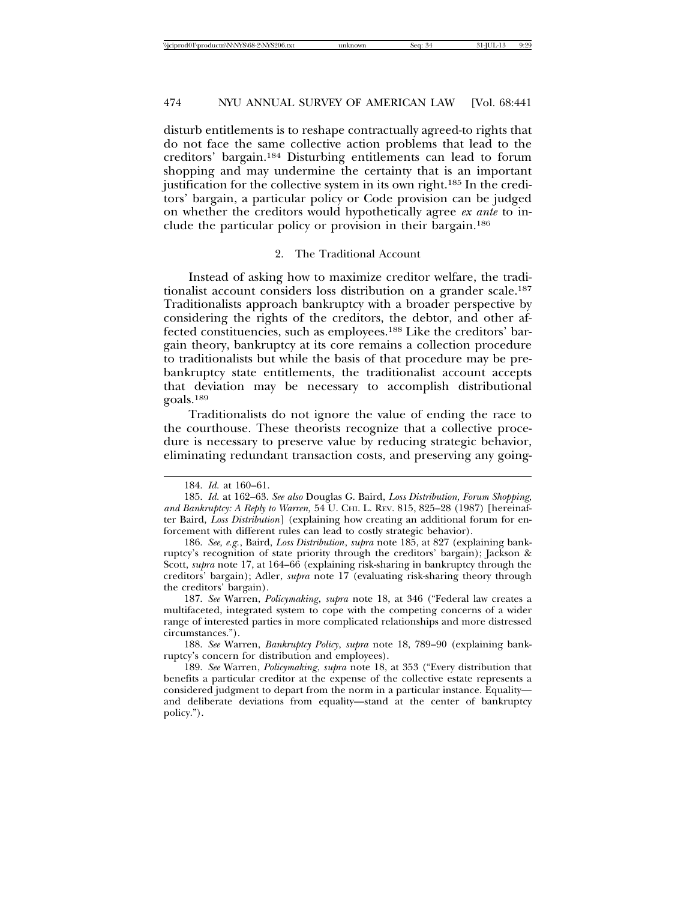disturb entitlements is to reshape contractually agreed-to rights that do not face the same collective action problems that lead to the creditors' bargain.184 Disturbing entitlements can lead to forum shopping and may undermine the certainty that is an important justification for the collective system in its own right.185 In the creditors' bargain, a particular policy or Code provision can be judged on whether the creditors would hypothetically agree *ex ante* to include the particular policy or provision in their bargain.186

#### 2. The Traditional Account

Instead of asking how to maximize creditor welfare, the traditionalist account considers loss distribution on a grander scale.<sup>187</sup> Traditionalists approach bankruptcy with a broader perspective by considering the rights of the creditors, the debtor, and other affected constituencies, such as employees.188 Like the creditors' bargain theory, bankruptcy at its core remains a collection procedure to traditionalists but while the basis of that procedure may be prebankruptcy state entitlements, the traditionalist account accepts that deviation may be necessary to accomplish distributional goals.189

Traditionalists do not ignore the value of ending the race to the courthouse. These theorists recognize that a collective procedure is necessary to preserve value by reducing strategic behavior, eliminating redundant transaction costs, and preserving any going-

188. *See* Warren, *Bankruptcy Policy*, *supra* note 18, 789–90 (explaining bankruptcy's concern for distribution and employees).

<sup>184.</sup> *Id.* at 160–61.

<sup>185.</sup> *Id.* at 162–63. *See also* Douglas G. Baird, *Loss Distribution, Forum Shopping, and Bankruptcy: A Reply to Warren,* 54 U. CHI. L. REV. 815, 825–28 (1987) [hereinafter Baird, *Loss Distribution*] (explaining how creating an additional forum for enforcement with different rules can lead to costly strategic behavior).

<sup>186.</sup> *See, e.g.*, Baird, *Loss Distribution*, *supra* note 185, at 827 (explaining bankruptcy's recognition of state priority through the creditors' bargain); Jackson & Scott, *supra* note 17, at 164–66 (explaining risk-sharing in bankruptcy through the creditors' bargain); Adler, *supra* note 17 (evaluating risk-sharing theory through the creditors' bargain).

<sup>187.</sup> *See* Warren, *Policymaking*, *supra* note 18, at 346 ("Federal law creates a multifaceted, integrated system to cope with the competing concerns of a wider range of interested parties in more complicated relationships and more distressed circumstances.").

<sup>189.</sup> *See* Warren, *Policymaking*, *supra* note 18, at 353 ("Every distribution that benefits a particular creditor at the expense of the collective estate represents a considered judgment to depart from the norm in a particular instance. Equality and deliberate deviations from equality—stand at the center of bankruptcy policy.").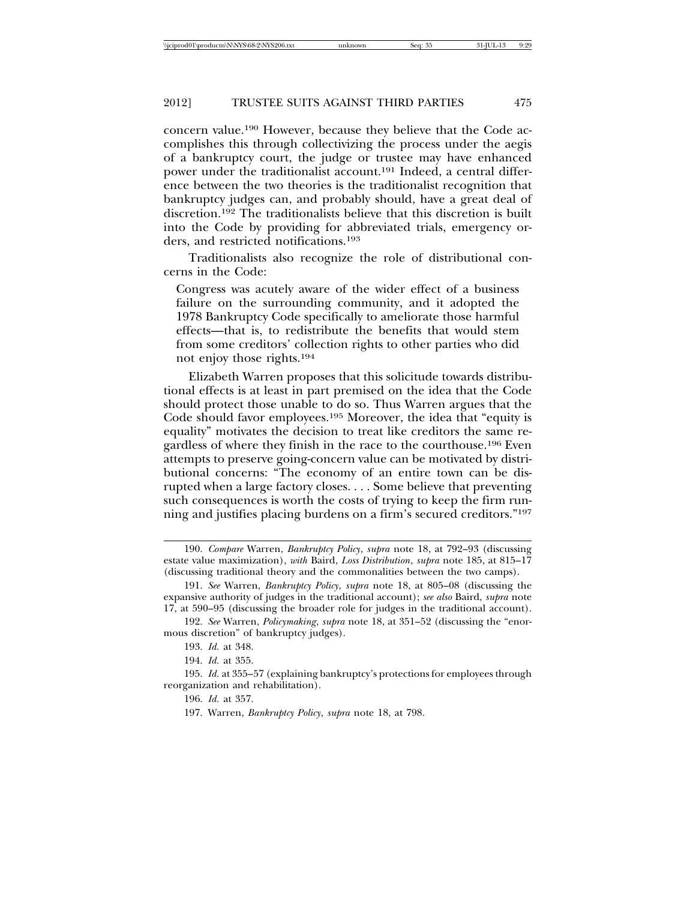concern value.190 However, because they believe that the Code accomplishes this through collectivizing the process under the aegis of a bankruptcy court, the judge or trustee may have enhanced power under the traditionalist account.<sup>191</sup> Indeed, a central difference between the two theories is the traditionalist recognition that bankruptcy judges can, and probably should, have a great deal of discretion.192 The traditionalists believe that this discretion is built into the Code by providing for abbreviated trials, emergency orders, and restricted notifications.193

Traditionalists also recognize the role of distributional concerns in the Code:

Congress was acutely aware of the wider effect of a business failure on the surrounding community, and it adopted the 1978 Bankruptcy Code specifically to ameliorate those harmful effects—that is, to redistribute the benefits that would stem from some creditors' collection rights to other parties who did not enjoy those rights.194

Elizabeth Warren proposes that this solicitude towards distributional effects is at least in part premised on the idea that the Code should protect those unable to do so. Thus Warren argues that the Code should favor employees.195 Moreover, the idea that "equity is equality" motivates the decision to treat like creditors the same regardless of where they finish in the race to the courthouse.<sup>196</sup> Even attempts to preserve going-concern value can be motivated by distributional concerns: "The economy of an entire town can be disrupted when a large factory closes. . . . Some believe that preventing such consequences is worth the costs of trying to keep the firm running and justifies placing burdens on a firm's secured creditors."197

<sup>190.</sup> *Compare* Warren, *Bankruptcy Policy*, *supra* note 18, at 792–93 (discussing estate value maximization), *with* Baird, *Loss Distribution*, *supra* note 185, at 815–17 (discussing traditional theory and the commonalities between the two camps).

<sup>191.</sup> *See* Warren, *Bankruptcy Policy*, *supra* note 18, at 805–08 (discussing the expansive authority of judges in the traditional account); *see also* Baird, *supra* note 17, at 590–95 (discussing the broader role for judges in the traditional account).

<sup>192.</sup> *See* Warren, *Policymaking*, *supra* note 18, at 351–52 (discussing the "enormous discretion" of bankruptcy judges).

<sup>193.</sup> *Id.* at 348.

<sup>194.</sup> *Id.* at 355.

<sup>195.</sup> *Id.* at 355–57 (explaining bankruptcy's protections for employees through reorganization and rehabilitation).

<sup>196.</sup> *Id.* at 357.

<sup>197.</sup> Warren, *Bankruptcy Policy*, *supra* note 18, at 798.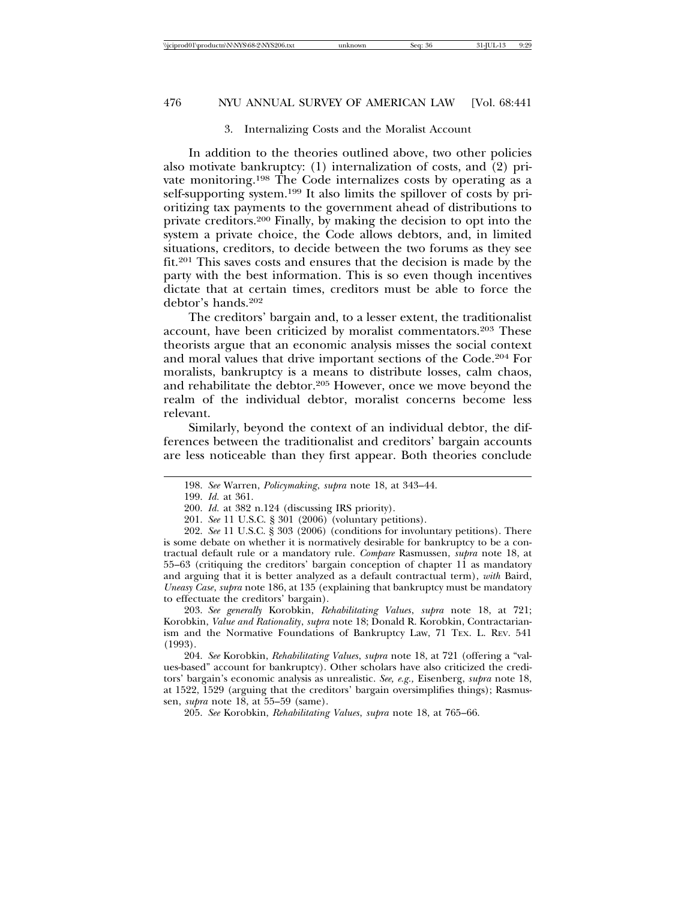### 3. Internalizing Costs and the Moralist Account

In addition to the theories outlined above, two other policies also motivate bankruptcy: (1) internalization of costs, and (2) private monitoring.198 The Code internalizes costs by operating as a self-supporting system.199 It also limits the spillover of costs by prioritizing tax payments to the government ahead of distributions to private creditors.200 Finally, by making the decision to opt into the system a private choice, the Code allows debtors, and, in limited situations, creditors, to decide between the two forums as they see fit.201 This saves costs and ensures that the decision is made by the party with the best information. This is so even though incentives dictate that at certain times, creditors must be able to force the debtor's hands.202

The creditors' bargain and, to a lesser extent, the traditionalist account, have been criticized by moralist commentators.203 These theorists argue that an economic analysis misses the social context and moral values that drive important sections of the Code.204 For moralists, bankruptcy is a means to distribute losses, calm chaos, and rehabilitate the debtor.205 However, once we move beyond the realm of the individual debtor, moralist concerns become less relevant.

Similarly, beyond the context of an individual debtor, the differences between the traditionalist and creditors' bargain accounts are less noticeable than they first appear. Both theories conclude

203. *See generally* Korobkin, *Rehabilitating Values*, *supra* note 18, at 721; Korobkin, *Value and Rationality*, *supra* note 18; Donald R. Korobkin, Contractarianism and the Normative Foundations of Bankruptcy Law, 71 TEX. L. REV. 541 (1993).

204. *See* Korobkin, *Rehabilitating Values*, *supra* note 18, at 721 (offering a "values-based" account for bankruptcy). Other scholars have also criticized the creditors' bargain's economic analysis as unrealistic. *See, e.g.,* Eisenberg, *supra* note 18, at 1522, 1529 (arguing that the creditors' bargain oversimplifies things); Rasmussen, *supra* note 18, at 55–59 (same).

205. *See* Korobkin, *Rehabilitating Values*, *supra* note 18, at 765–66.

<sup>198.</sup> *See* Warren, *Policymaking*, *supra* note 18, at 343–44.

<sup>199.</sup> *Id.* at 361.

<sup>200.</sup> *Id.* at 382 n.124 (discussing IRS priority).

<sup>201.</sup> *See* 11 U.S.C. § 301 (2006) (voluntary petitions).

<sup>202.</sup> *See* 11 U.S.C. § 303 (2006) (conditions for involuntary petitions). There is some debate on whether it is normatively desirable for bankruptcy to be a contractual default rule or a mandatory rule. *Compare* Rasmussen, *supra* note 18, at 55–63 (critiquing the creditors' bargain conception of chapter 11 as mandatory and arguing that it is better analyzed as a default contractual term), *with* Baird, *Uneasy Case*, *supra* note 186, at 135 (explaining that bankruptcy must be mandatory to effectuate the creditors' bargain).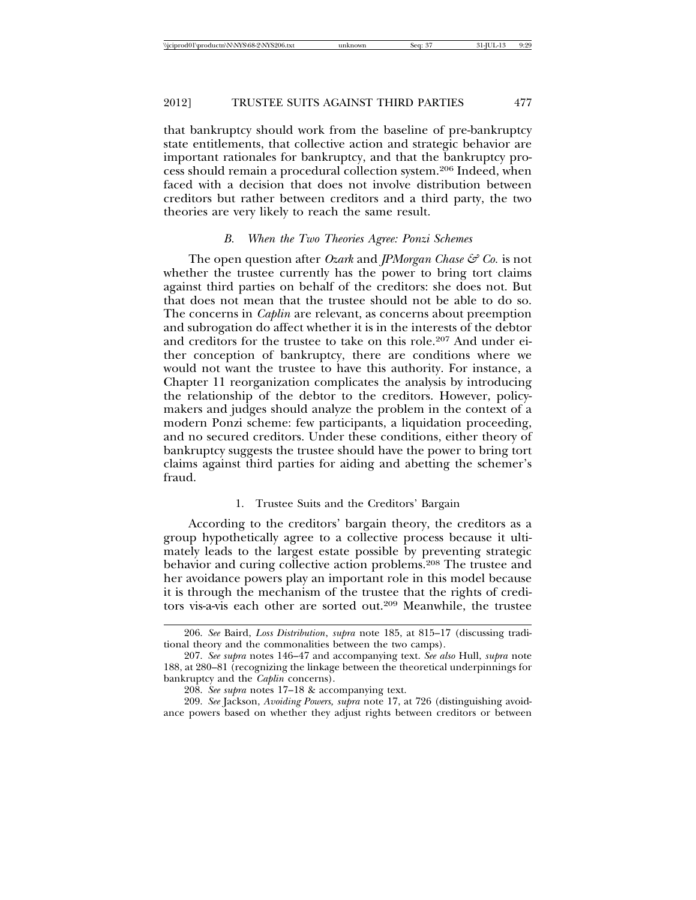that bankruptcy should work from the baseline of pre-bankruptcy state entitlements, that collective action and strategic behavior are important rationales for bankruptcy, and that the bankruptcy process should remain a procedural collection system.206 Indeed, when faced with a decision that does not involve distribution between creditors but rather between creditors and a third party, the two theories are very likely to reach the same result.

#### *B. When the Two Theories Agree: Ponzi Schemes*

The open question after *Ozark* and *JPMorgan Chase & Co.* is not whether the trustee currently has the power to bring tort claims against third parties on behalf of the creditors: she does not. But that does not mean that the trustee should not be able to do so. The concerns in *Caplin* are relevant, as concerns about preemption and subrogation do affect whether it is in the interests of the debtor and creditors for the trustee to take on this role.207 And under either conception of bankruptcy, there are conditions where we would not want the trustee to have this authority. For instance, a Chapter 11 reorganization complicates the analysis by introducing the relationship of the debtor to the creditors. However, policymakers and judges should analyze the problem in the context of a modern Ponzi scheme: few participants, a liquidation proceeding, and no secured creditors. Under these conditions, either theory of bankruptcy suggests the trustee should have the power to bring tort claims against third parties for aiding and abetting the schemer's fraud.

### 1. Trustee Suits and the Creditors' Bargain

According to the creditors' bargain theory, the creditors as a group hypothetically agree to a collective process because it ultimately leads to the largest estate possible by preventing strategic behavior and curing collective action problems.208 The trustee and her avoidance powers play an important role in this model because it is through the mechanism of the trustee that the rights of creditors vis-a-vis each other are sorted out.209 Meanwhile, the trustee

209. *See* Jackson, *Avoiding Powers, supra* note 17, at 726 (distinguishing avoidance powers based on whether they adjust rights between creditors or between

<sup>206.</sup> *See* Baird, *Loss Distribution*, *supra* note 185, at 815–17 (discussing traditional theory and the commonalities between the two camps).

<sup>207.</sup> *See supra* notes 146–47 and accompanying text. *See also* Hull, *supra* note 188, at 280–81 (recognizing the linkage between the theoretical underpinnings for bankruptcy and the *Caplin* concerns).

<sup>208.</sup> *See supra* notes 17–18 & accompanying text.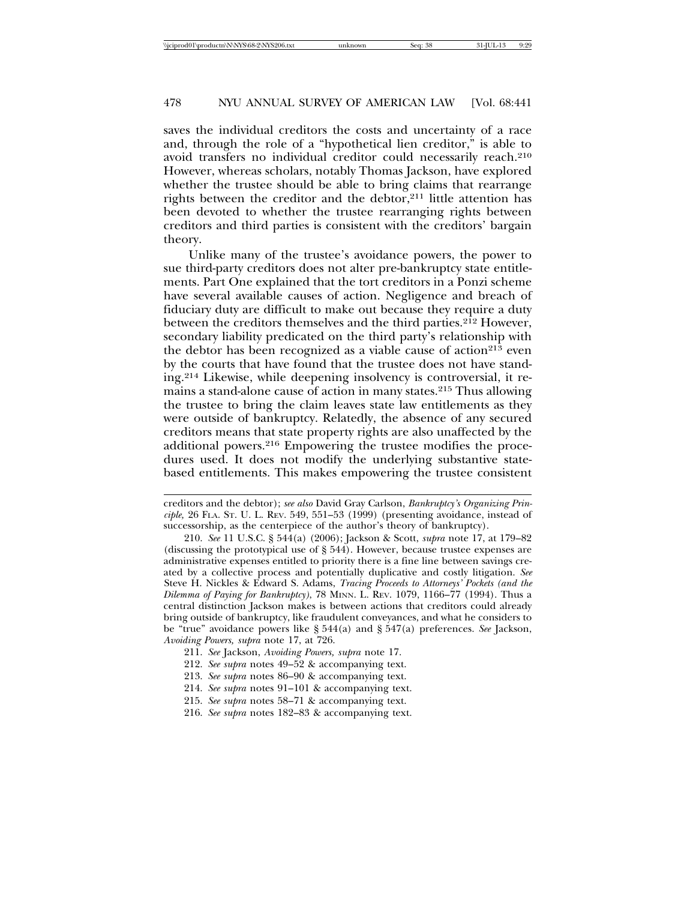saves the individual creditors the costs and uncertainty of a race and, through the role of a "hypothetical lien creditor," is able to avoid transfers no individual creditor could necessarily reach.210 However, whereas scholars, notably Thomas Jackson, have explored whether the trustee should be able to bring claims that rearrange rights between the creditor and the debtor,<sup>211</sup> little attention has been devoted to whether the trustee rearranging rights between creditors and third parties is consistent with the creditors' bargain theory.

Unlike many of the trustee's avoidance powers, the power to sue third-party creditors does not alter pre-bankruptcy state entitlements. Part One explained that the tort creditors in a Ponzi scheme have several available causes of action. Negligence and breach of fiduciary duty are difficult to make out because they require a duty between the creditors themselves and the third parties.<sup>212</sup> However, secondary liability predicated on the third party's relationship with the debtor has been recognized as a viable cause of action<sup>213</sup> even by the courts that have found that the trustee does not have standing.214 Likewise, while deepening insolvency is controversial, it remains a stand-alone cause of action in many states.215 Thus allowing the trustee to bring the claim leaves state law entitlements as they were outside of bankruptcy. Relatedly, the absence of any secured creditors means that state property rights are also unaffected by the additional powers.216 Empowering the trustee modifies the procedures used. It does not modify the underlying substantive statebased entitlements. This makes empowering the trustee consistent

- 212. *See supra* notes 49–52 & accompanying text.
- 213. *See supra* notes 86–90 & accompanying text.
- 214. *See supra* notes 91–101 & accompanying text.
- 215. *See supra* notes 58–71 & accompanying text.
- 216. *See supra* notes 182–83 & accompanying text.

creditors and the debtor); *see also* David Gray Carlson, *Bankruptcy's Organizing Principle,* 26 FLA. ST. U. L. REV. 549, 551–53 (1999) (presenting avoidance, instead of successorship, as the centerpiece of the author's theory of bankruptcy).

<sup>210.</sup> *See* 11 U.S.C. § 544(a) (2006); Jackson & Scott, *supra* note 17, at 179–82 (discussing the prototypical use of § 544). However, because trustee expenses are administrative expenses entitled to priority there is a fine line between savings created by a collective process and potentially duplicative and costly litigation. *See* Steve H. Nickles & Edward S. Adams, *Tracing Proceeds to Attorneys' Pockets (and the Dilemma of Paying for Bankruptcy)*, 78 MINN. L. REV. 1079, 1166–77 (1994). Thus a central distinction Jackson makes is between actions that creditors could already bring outside of bankruptcy, like fraudulent conveyances, and what he considers to be "true" avoidance powers like § 544(a) and § 547(a) preferences. *See* Jackson, *Avoiding Powers, supra* note 17, at 726.

<sup>211.</sup> *See* Jackson, *Avoiding Powers, supra* note 17.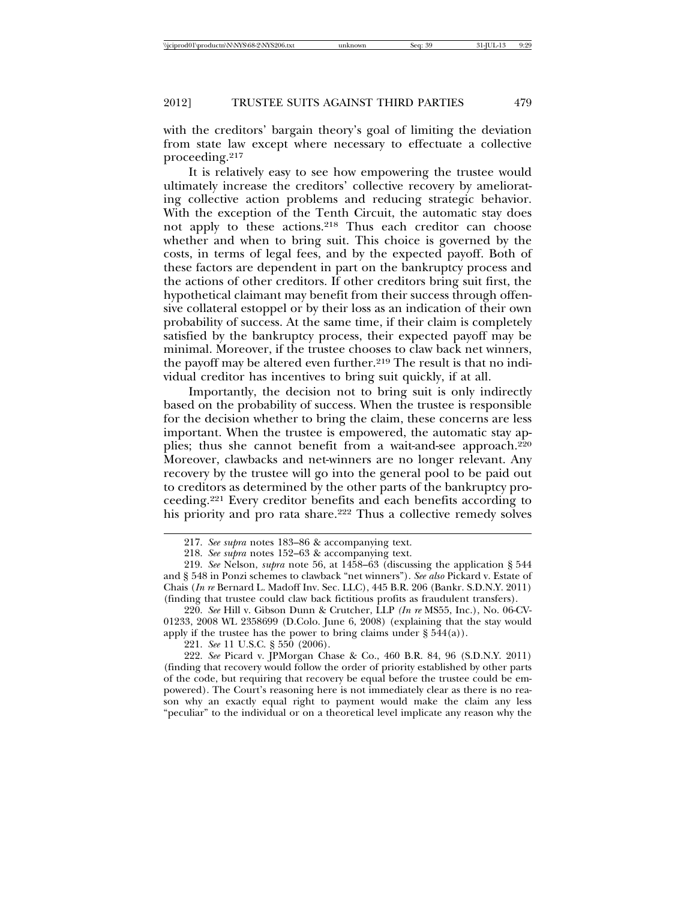with the creditors' bargain theory's goal of limiting the deviation from state law except where necessary to effectuate a collective proceeding.217

It is relatively easy to see how empowering the trustee would ultimately increase the creditors' collective recovery by ameliorating collective action problems and reducing strategic behavior. With the exception of the Tenth Circuit, the automatic stay does not apply to these actions.218 Thus each creditor can choose whether and when to bring suit. This choice is governed by the costs, in terms of legal fees, and by the expected payoff. Both of these factors are dependent in part on the bankruptcy process and the actions of other creditors. If other creditors bring suit first, the hypothetical claimant may benefit from their success through offensive collateral estoppel or by their loss as an indication of their own probability of success. At the same time, if their claim is completely satisfied by the bankruptcy process, their expected payoff may be minimal. Moreover, if the trustee chooses to claw back net winners, the payoff may be altered even further.<sup>219</sup> The result is that no individual creditor has incentives to bring suit quickly, if at all.

Importantly, the decision not to bring suit is only indirectly based on the probability of success. When the trustee is responsible for the decision whether to bring the claim, these concerns are less important. When the trustee is empowered, the automatic stay applies; thus she cannot benefit from a wait-and-see approach.220 Moreover, clawbacks and net-winners are no longer relevant. Any recovery by the trustee will go into the general pool to be paid out to creditors as determined by the other parts of the bankruptcy proceeding.221 Every creditor benefits and each benefits according to his priority and pro rata share.<sup>222</sup> Thus a collective remedy solves

220. *See* Hill v. Gibson Dunn & Crutcher, LLP *(In re* MS55, Inc.), No. 06-CV-01233, 2008 WL 2358699 (D.Colo. June 6, 2008) (explaining that the stay would apply if the trustee has the power to bring claims under  $\S 544(a)$ ).

222. *See* Picard v. JPMorgan Chase & Co., 460 B.R. 84, 96 (S.D.N.Y. 2011) (finding that recovery would follow the order of priority established by other parts of the code, but requiring that recovery be equal before the trustee could be empowered). The Court's reasoning here is not immediately clear as there is no reason why an exactly equal right to payment would make the claim any less "peculiar" to the individual or on a theoretical level implicate any reason why the

<sup>217.</sup> *See supra* notes 183–86 & accompanying text.

<sup>218.</sup> *See supra* notes 152–63 & accompanying text.

<sup>219.</sup> *See* Nelson, *supra* note 56, at 1458–63 (discussing the application § 544 and § 548 in Ponzi schemes to clawback "net winners"). *See also* Pickard v. Estate of Chais (*In re* Bernard L. Madoff Inv. Sec. LLC), 445 B.R. 206 (Bankr. S.D.N.Y. 2011) (finding that trustee could claw back fictitious profits as fraudulent transfers).

<sup>221.</sup> *See* 11 U.S.C. § 550 (2006).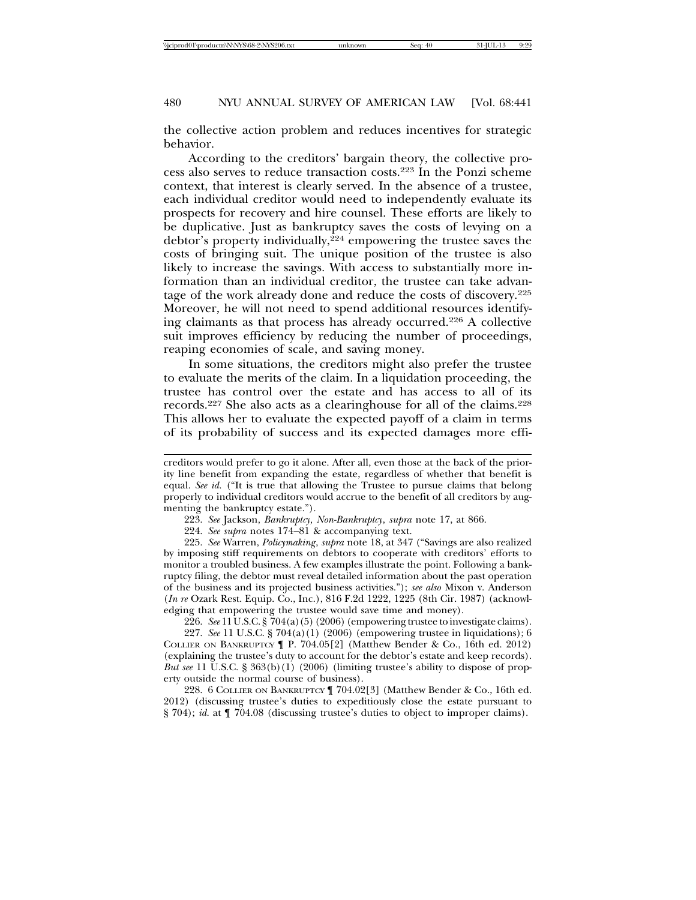the collective action problem and reduces incentives for strategic behavior.

According to the creditors' bargain theory, the collective process also serves to reduce transaction costs.223 In the Ponzi scheme context, that interest is clearly served. In the absence of a trustee, each individual creditor would need to independently evaluate its prospects for recovery and hire counsel. These efforts are likely to be duplicative. Just as bankruptcy saves the costs of levying on a debtor's property individually,<sup>224</sup> empowering the trustee saves the costs of bringing suit. The unique position of the trustee is also likely to increase the savings. With access to substantially more information than an individual creditor, the trustee can take advantage of the work already done and reduce the costs of discovery.225 Moreover, he will not need to spend additional resources identifying claimants as that process has already occurred.226 A collective suit improves efficiency by reducing the number of proceedings, reaping economies of scale, and saving money.

In some situations, the creditors might also prefer the trustee to evaluate the merits of the claim. In a liquidation proceeding, the trustee has control over the estate and has access to all of its records.227 She also acts as a clearinghouse for all of the claims.228 This allows her to evaluate the expected payoff of a claim in terms of its probability of success and its expected damages more effi-

225. *See* Warren, *Policymaking*, *supra* note 18, at 347 ("Savings are also realized by imposing stiff requirements on debtors to cooperate with creditors' efforts to monitor a troubled business. A few examples illustrate the point. Following a bankruptcy filing, the debtor must reveal detailed information about the past operation of the business and its projected business activities."); *see also* Mixon v. Anderson (*In re* Ozark Rest. Equip. Co., Inc.), 816 F.2d 1222, 1225 (8th Cir. 1987) (acknowledging that empowering the trustee would save time and money).

226. *See* 11 U.S.C. § 704(a)(5) (2006) (empowering trustee to investigate claims).

227. *See* 11 U.S.C. § 704(a)(1) (2006) (empowering trustee in liquidations); 6 COLLIER ON BANKRUPTCY ¶ P. 704.05[2] (Matthew Bender & Co., 16th ed. 2012) (explaining the trustee's duty to account for the debtor's estate and keep records). *But see* 11 U.S.C. § 363(b)(1) (2006) (limiting trustee's ability to dispose of property outside the normal course of business).

228. 6 COLLIER ON BANKRUPTCY ¶ 704.02[3] (Matthew Bender & Co., 16th ed. 2012) (discussing trustee's duties to expeditiously close the estate pursuant to § 704); *id.* at ¶ 704.08 (discussing trustee's duties to object to improper claims).

creditors would prefer to go it alone. After all, even those at the back of the priority line benefit from expanding the estate, regardless of whether that benefit is equal. *See id.* ("It is true that allowing the Trustee to pursue claims that belong properly to individual creditors would accrue to the benefit of all creditors by augmenting the bankruptcy estate.").

<sup>223.</sup> *See* Jackson, *Bankruptcy, Non-Bankruptcy*, *supra* note 17, at 866.

<sup>224.</sup> *See supra* notes 174–81 & accompanying text.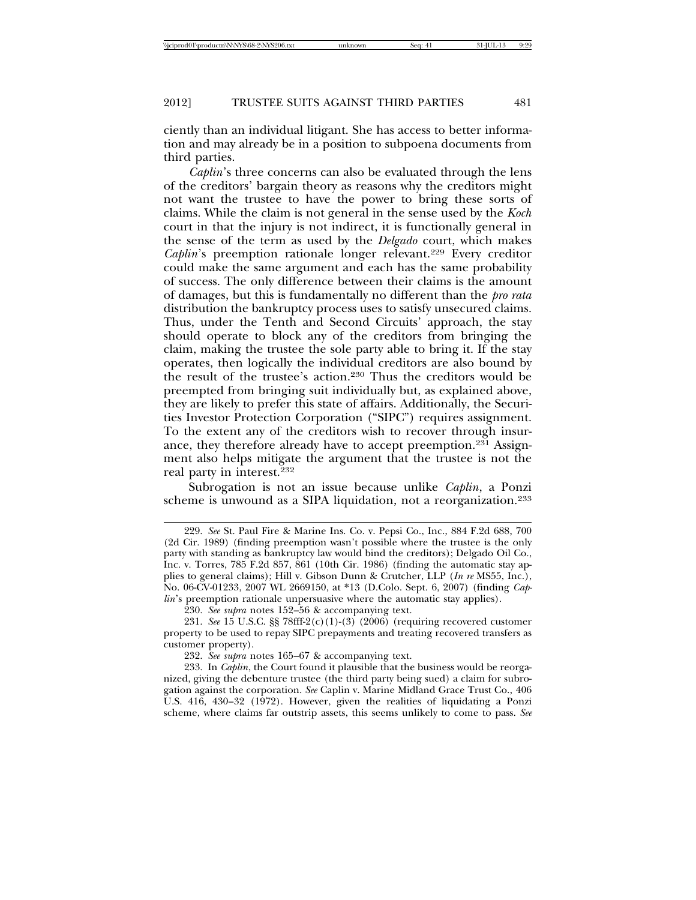ciently than an individual litigant. She has access to better information and may already be in a position to subpoena documents from third parties.

*Caplin*'s three concerns can also be evaluated through the lens of the creditors' bargain theory as reasons why the creditors might not want the trustee to have the power to bring these sorts of claims. While the claim is not general in the sense used by the *Koch* court in that the injury is not indirect, it is functionally general in the sense of the term as used by the *Delgado* court, which makes *Caplin*'s preemption rationale longer relevant.<sup>229</sup> Every creditor could make the same argument and each has the same probability of success. The only difference between their claims is the amount of damages, but this is fundamentally no different than the *pro rata* distribution the bankruptcy process uses to satisfy unsecured claims. Thus, under the Tenth and Second Circuits' approach, the stay should operate to block any of the creditors from bringing the claim, making the trustee the sole party able to bring it. If the stay operates, then logically the individual creditors are also bound by the result of the trustee's action.230 Thus the creditors would be preempted from bringing suit individually but, as explained above, they are likely to prefer this state of affairs. Additionally, the Securities Investor Protection Corporation ("SIPC") requires assignment. To the extent any of the creditors wish to recover through insurance, they therefore already have to accept preemption.231 Assignment also helps mitigate the argument that the trustee is not the real party in interest.232

Subrogation is not an issue because unlike *Caplin*, a Ponzi scheme is unwound as a SIPA liquidation, not a reorganization.<sup>233</sup>

<sup>229.</sup> *See* St. Paul Fire & Marine Ins. Co. v. Pepsi Co., Inc., 884 F.2d 688, 700 (2d Cir. 1989) (finding preemption wasn't possible where the trustee is the only party with standing as bankruptcy law would bind the creditors); Delgado Oil Co., Inc. v. Torres, 785 F.2d 857, 861 (10th Cir. 1986) (finding the automatic stay applies to general claims); Hill v. Gibson Dunn & Crutcher, LLP (*In re* MS55, Inc.), No. 06-CV-01233, 2007 WL 2669150, at \*13 (D.Colo. Sept. 6, 2007) (finding *Caplin*'s preemption rationale unpersuasive where the automatic stay applies).

<sup>230.</sup> *See supra* notes 152–56 & accompanying text.

<sup>231.</sup> *See* 15 U.S.C. §§ 78fff-2(c)(1)-(3) (2006) (requiring recovered customer property to be used to repay SIPC prepayments and treating recovered transfers as customer property).

<sup>232.</sup> *See supra* notes 165–67 & accompanying text.

<sup>233.</sup> In *Caplin*, the Court found it plausible that the business would be reorganized, giving the debenture trustee (the third party being sued) a claim for subrogation against the corporation. *See* Caplin v. Marine Midland Grace Trust Co., 406 U.S. 416, 430–32 (1972). However, given the realities of liquidating a Ponzi scheme, where claims far outstrip assets, this seems unlikely to come to pass. *See*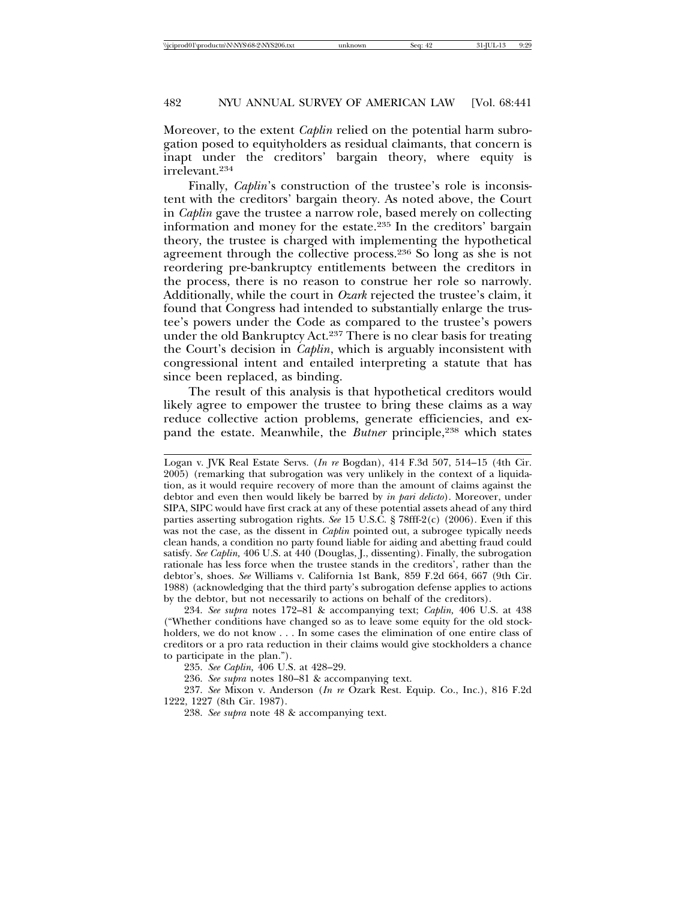Moreover, to the extent *Caplin* relied on the potential harm subrogation posed to equityholders as residual claimants, that concern is inapt under the creditors' bargain theory, where equity is irrelevant.234

Finally, *Caplin's* construction of the trustee's role is inconsistent with the creditors' bargain theory. As noted above, the Court in *Caplin* gave the trustee a narrow role, based merely on collecting information and money for the estate.235 In the creditors' bargain theory, the trustee is charged with implementing the hypothetical agreement through the collective process.236 So long as she is not reordering pre-bankruptcy entitlements between the creditors in the process, there is no reason to construe her role so narrowly. Additionally, while the court in *Ozark* rejected the trustee's claim, it found that Congress had intended to substantially enlarge the trustee's powers under the Code as compared to the trustee's powers under the old Bankruptcy Act.<sup>237</sup> There is no clear basis for treating the Court's decision in *Caplin*, which is arguably inconsistent with congressional intent and entailed interpreting a statute that has since been replaced, as binding.

The result of this analysis is that hypothetical creditors would likely agree to empower the trustee to bring these claims as a way reduce collective action problems, generate efficiencies, and expand the estate. Meanwhile, the *Butner* principle,<sup>238</sup> which states

234. *See supra* notes 172–81 & accompanying text; *Caplin,* 406 U.S. at 438 ("Whether conditions have changed so as to leave some equity for the old stockholders, we do not know . . . In some cases the elimination of one entire class of creditors or a pro rata reduction in their claims would give stockholders a chance to participate in the plan.").

235. *See Caplin,* 406 U.S. at 428–29.

236. *See supra* notes 180–81 & accompanying text.

237. *See* Mixon v. Anderson (*In re* Ozark Rest. Equip. Co., Inc.), 816 F.2d 1222, 1227 (8th Cir. 1987).

238. *See supra* note 48 & accompanying text.

Logan v. JVK Real Estate Servs. (*In re* Bogdan), 414 F.3d 507, 514–15 (4th Cir. 2005) (remarking that subrogation was very unlikely in the context of a liquidation, as it would require recovery of more than the amount of claims against the debtor and even then would likely be barred by *in pari delicto*). Moreover, under SIPA, SIPC would have first crack at any of these potential assets ahead of any third parties asserting subrogation rights. *See* 15 U.S.C. § 78fff-2(c) (2006). Even if this was not the case, as the dissent in *Caplin* pointed out, a subrogee typically needs clean hands, a condition no party found liable for aiding and abetting fraud could satisfy. *See Caplin,* 406 U.S. at 440 (Douglas, J., dissenting). Finally, the subrogation rationale has less force when the trustee stands in the creditors', rather than the debtor's, shoes. *See* Williams v. California 1st Bank*,* 859 F.2d 664, 667 (9th Cir. 1988) (acknowledging that the third party's subrogation defense applies to actions by the debtor, but not necessarily to actions on behalf of the creditors).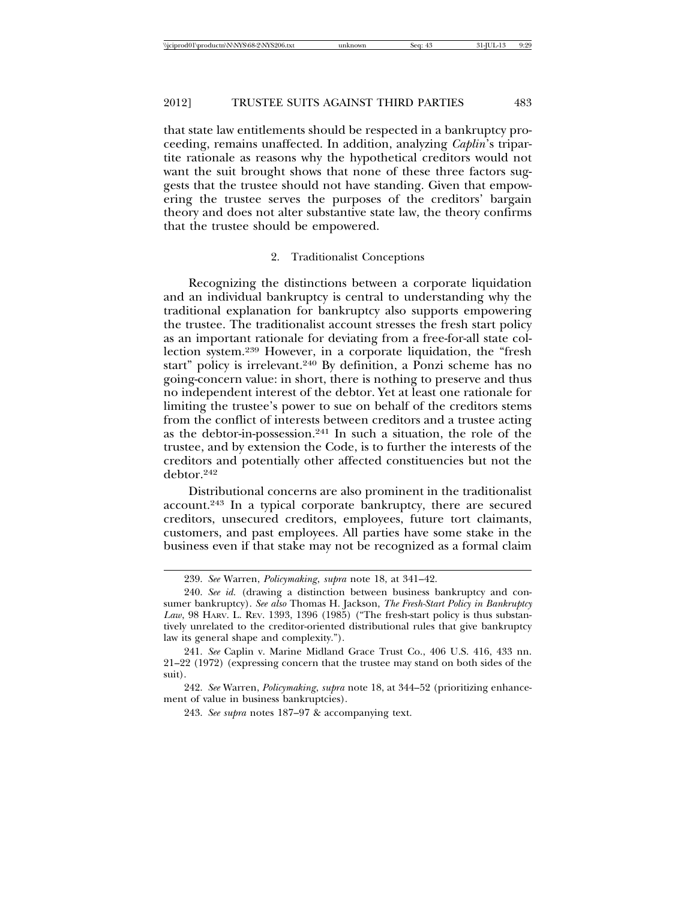that state law entitlements should be respected in a bankruptcy proceeding, remains unaffected. In addition, analyzing *Caplin*'s tripartite rationale as reasons why the hypothetical creditors would not want the suit brought shows that none of these three factors suggests that the trustee should not have standing. Given that empowering the trustee serves the purposes of the creditors' bargain theory and does not alter substantive state law, the theory confirms that the trustee should be empowered.

#### 2. Traditionalist Conceptions

Recognizing the distinctions between a corporate liquidation and an individual bankruptcy is central to understanding why the traditional explanation for bankruptcy also supports empowering the trustee. The traditionalist account stresses the fresh start policy as an important rationale for deviating from a free-for-all state collection system.239 However, in a corporate liquidation, the "fresh start" policy is irrelevant.240 By definition, a Ponzi scheme has no going-concern value: in short, there is nothing to preserve and thus no independent interest of the debtor. Yet at least one rationale for limiting the trustee's power to sue on behalf of the creditors stems from the conflict of interests between creditors and a trustee acting as the debtor-in-possession.241 In such a situation, the role of the trustee, and by extension the Code, is to further the interests of the creditors and potentially other affected constituencies but not the debtor.242

Distributional concerns are also prominent in the traditionalist account.243 In a typical corporate bankruptcy, there are secured creditors, unsecured creditors, employees, future tort claimants, customers, and past employees. All parties have some stake in the business even if that stake may not be recognized as a formal claim

<sup>239.</sup> *See* Warren, *Policymaking*, *supra* note 18, at 341–42.

<sup>240.</sup> *See id.* (drawing a distinction between business bankruptcy and consumer bankruptcy). *See also* Thomas H. Jackson, *The Fresh-Start Policy in Bankruptcy Law*, 98 HARV. L. REV. 1393, 1396 (1985) ("The fresh-start policy is thus substantively unrelated to the creditor-oriented distributional rules that give bankruptcy law its general shape and complexity.").

<sup>241.</sup> *See* Caplin v. Marine Midland Grace Trust Co., 406 U.S. 416, 433 nn. 21–22 (1972) (expressing concern that the trustee may stand on both sides of the suit).

<sup>242.</sup> *See* Warren, *Policymaking*, *supra* note 18, at 344–52 (prioritizing enhancement of value in business bankruptcies).

<sup>243.</sup> *See supra* notes 187–97 & accompanying text.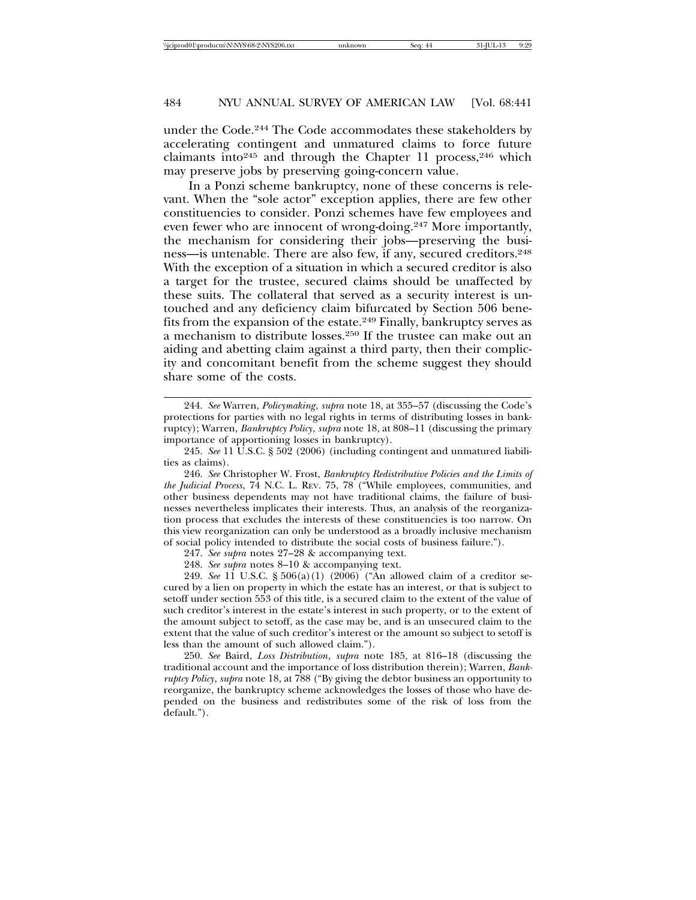under the Code.244 The Code accommodates these stakeholders by accelerating contingent and unmatured claims to force future claimants into<sup>245</sup> and through the Chapter 11 process,<sup>246</sup> which may preserve jobs by preserving going-concern value.

In a Ponzi scheme bankruptcy, none of these concerns is relevant. When the "sole actor" exception applies, there are few other constituencies to consider. Ponzi schemes have few employees and even fewer who are innocent of wrong-doing.247 More importantly, the mechanism for considering their jobs—preserving the business—is untenable. There are also few, if any, secured creditors.<sup>248</sup> With the exception of a situation in which a secured creditor is also a target for the trustee, secured claims should be unaffected by these suits. The collateral that served as a security interest is untouched and any deficiency claim bifurcated by Section 506 benefits from the expansion of the estate.249 Finally, bankruptcy serves as a mechanism to distribute losses.250 If the trustee can make out an aiding and abetting claim against a third party, then their complicity and concomitant benefit from the scheme suggest they should share some of the costs.

246. *See* Christopher W. Frost, *Bankruptcy Redistributive Policies and the Limits of the Judicial Process*, 74 N.C. L. REV. 75, 78 ("While employees, communities, and other business dependents may not have traditional claims, the failure of businesses nevertheless implicates their interests. Thus, an analysis of the reorganization process that excludes the interests of these constituencies is too narrow. On this view reorganization can only be understood as a broadly inclusive mechanism of social policy intended to distribute the social costs of business failure.").

247. *See supra* notes 27–28 & accompanying text.

248. *See supra* notes 8–10 & accompanying text.

249. *See* 11 U.S.C. § 506(a)(1) (2006) ("An allowed claim of a creditor secured by a lien on property in which the estate has an interest, or that is subject to setoff under section 553 of this title, is a secured claim to the extent of the value of such creditor's interest in the estate's interest in such property, or to the extent of the amount subject to setoff, as the case may be, and is an unsecured claim to the extent that the value of such creditor's interest or the amount so subject to setoff is less than the amount of such allowed claim.").

250. *See* Baird, *Loss Distribution*, *supra* note 185, at 816–18 (discussing the traditional account and the importance of loss distribution therein); Warren, *Bankruptcy Policy*, *supra* note 18, at 788 ("By giving the debtor business an opportunity to reorganize, the bankruptcy scheme acknowledges the losses of those who have depended on the business and redistributes some of the risk of loss from the default.").

<sup>244.</sup> *See* Warren, *Policymaking*, *supra* note 18, at 355–57 (discussing the Code's protections for parties with no legal rights in terms of distributing losses in bankruptcy); Warren, *Bankruptcy Policy*, *supra* note 18, at 808–11 (discussing the primary importance of apportioning losses in bankruptcy).

<sup>245.</sup> *See* 11 U.S.C. § 502 (2006) (including contingent and unmatured liabilities as claims).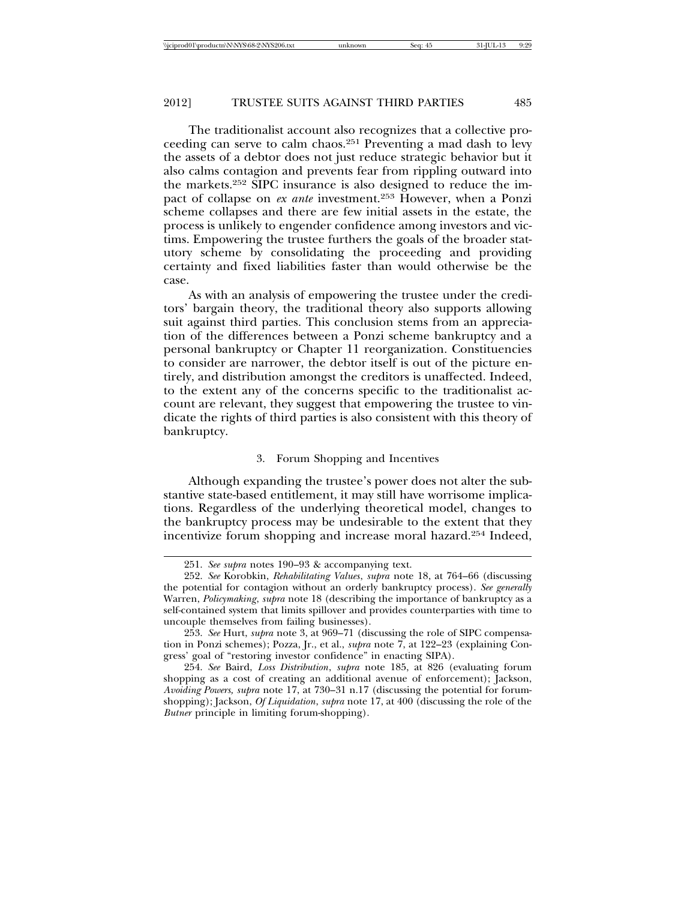The traditionalist account also recognizes that a collective proceeding can serve to calm chaos.251 Preventing a mad dash to levy the assets of a debtor does not just reduce strategic behavior but it also calms contagion and prevents fear from rippling outward into the markets.252 SIPC insurance is also designed to reduce the impact of collapse on *ex ante* investment.253 However, when a Ponzi scheme collapses and there are few initial assets in the estate, the process is unlikely to engender confidence among investors and victims. Empowering the trustee furthers the goals of the broader statutory scheme by consolidating the proceeding and providing certainty and fixed liabilities faster than would otherwise be the case.

As with an analysis of empowering the trustee under the creditors' bargain theory, the traditional theory also supports allowing suit against third parties. This conclusion stems from an appreciation of the differences between a Ponzi scheme bankruptcy and a personal bankruptcy or Chapter 11 reorganization. Constituencies to consider are narrower, the debtor itself is out of the picture entirely, and distribution amongst the creditors is unaffected. Indeed, to the extent any of the concerns specific to the traditionalist account are relevant, they suggest that empowering the trustee to vindicate the rights of third parties is also consistent with this theory of bankruptcy.

#### 3. Forum Shopping and Incentives

Although expanding the trustee's power does not alter the substantive state-based entitlement, it may still have worrisome implications. Regardless of the underlying theoretical model, changes to the bankruptcy process may be undesirable to the extent that they incentivize forum shopping and increase moral hazard.254 Indeed,

<sup>251.</sup> *See supra* notes 190–93 & accompanying text.

<sup>252.</sup> *See* Korobkin, *Rehabilitating Values*, *supra* note 18, at 764–66 (discussing the potential for contagion without an orderly bankruptcy process). *See generally* Warren, *Policymaking*, *supra* note 18 (describing the importance of bankruptcy as a self-contained system that limits spillover and provides counterparties with time to uncouple themselves from failing businesses).

<sup>253.</sup> *See* Hurt, *supra* note 3, at 969–71 (discussing the role of SIPC compensation in Ponzi schemes); Pozza, Jr., et al., *supra* note 7, at 122–23 (explaining Congress' goal of "restoring investor confidence" in enacting SIPA).

<sup>254.</sup> *See* Baird, *Loss Distribution*, *supra* note 185, at 826 (evaluating forum shopping as a cost of creating an additional avenue of enforcement); Jackson, *Avoiding Powers, supra* note 17, at 730–31 n.17 (discussing the potential for forumshopping); Jackson, *Of Liquidation*, *supra* note 17, at 400 (discussing the role of the *Butner* principle in limiting forum-shopping).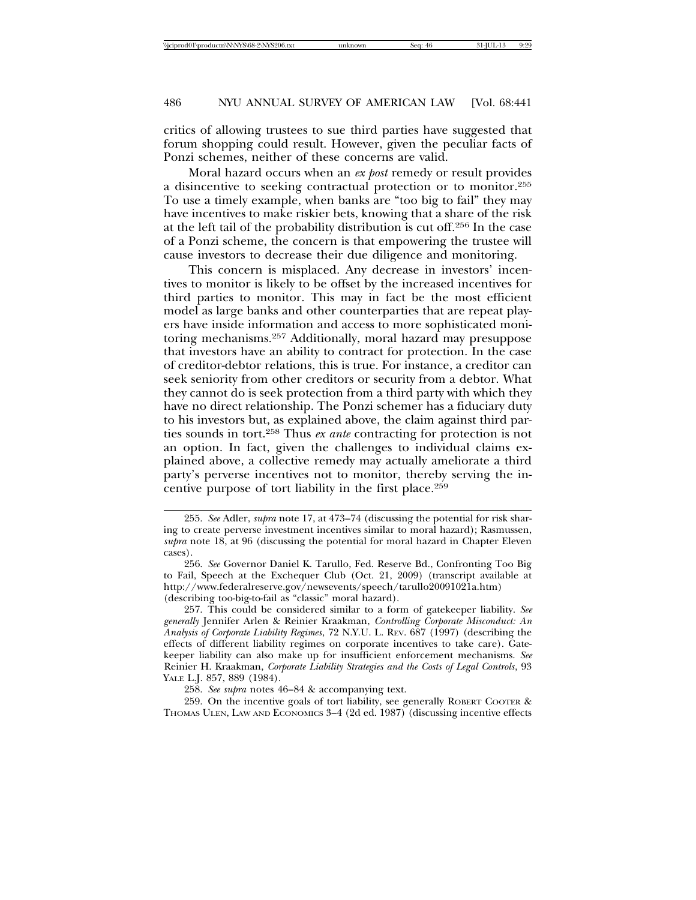critics of allowing trustees to sue third parties have suggested that forum shopping could result. However, given the peculiar facts of Ponzi schemes, neither of these concerns are valid.

Moral hazard occurs when an *ex post* remedy or result provides a disincentive to seeking contractual protection or to monitor.255 To use a timely example, when banks are "too big to fail" they may have incentives to make riskier bets, knowing that a share of the risk at the left tail of the probability distribution is cut off.256 In the case of a Ponzi scheme, the concern is that empowering the trustee will cause investors to decrease their due diligence and monitoring.

This concern is misplaced. Any decrease in investors' incentives to monitor is likely to be offset by the increased incentives for third parties to monitor. This may in fact be the most efficient model as large banks and other counterparties that are repeat players have inside information and access to more sophisticated monitoring mechanisms.257 Additionally, moral hazard may presuppose that investors have an ability to contract for protection. In the case of creditor-debtor relations, this is true. For instance, a creditor can seek seniority from other creditors or security from a debtor. What they cannot do is seek protection from a third party with which they have no direct relationship. The Ponzi schemer has a fiduciary duty to his investors but, as explained above, the claim against third parties sounds in tort.258 Thus *ex ante* contracting for protection is not an option. In fact, given the challenges to individual claims explained above, a collective remedy may actually ameliorate a third party's perverse incentives not to monitor, thereby serving the incentive purpose of tort liability in the first place.259

259. On the incentive goals of tort liability, see generally ROBERT COOTER & THOMAS ULEN, LAW AND ECONOMICS 3–4 (2d ed. 1987) (discussing incentive effects

<sup>255.</sup> *See* Adler, *supra* note 17, at 473–74 (discussing the potential for risk sharing to create perverse investment incentives similar to moral hazard); Rasmussen, *supra* note 18, at 96 (discussing the potential for moral hazard in Chapter Eleven cases).

<sup>256.</sup> *See* Governor Daniel K. Tarullo, Fed. Reserve Bd., Confronting Too Big to Fail, Speech at the Exchequer Club (Oct. 21, 2009) (transcript available at http://www.federalreserve.gov/newsevents/speech/tarullo20091021a.htm) (describing too-big-to-fail as "classic" moral hazard).

<sup>257.</sup> This could be considered similar to a form of gatekeeper liability. *See generally* Jennifer Arlen & Reinier Kraakman, *Controlling Corporate Misconduct: An Analysis of Corporate Liability Regimes*, 72 N.Y.U. L. REV. 687 (1997) (describing the effects of different liability regimes on corporate incentives to take care). Gatekeeper liability can also make up for insufficient enforcement mechanisms. *See* Reinier H. Kraakman, *Corporate Liability Strategies and the Costs of Legal Controls*, 93 YALE L.J. 857, 889 (1984).

<sup>258.</sup> *See supra* notes 46–84 & accompanying text.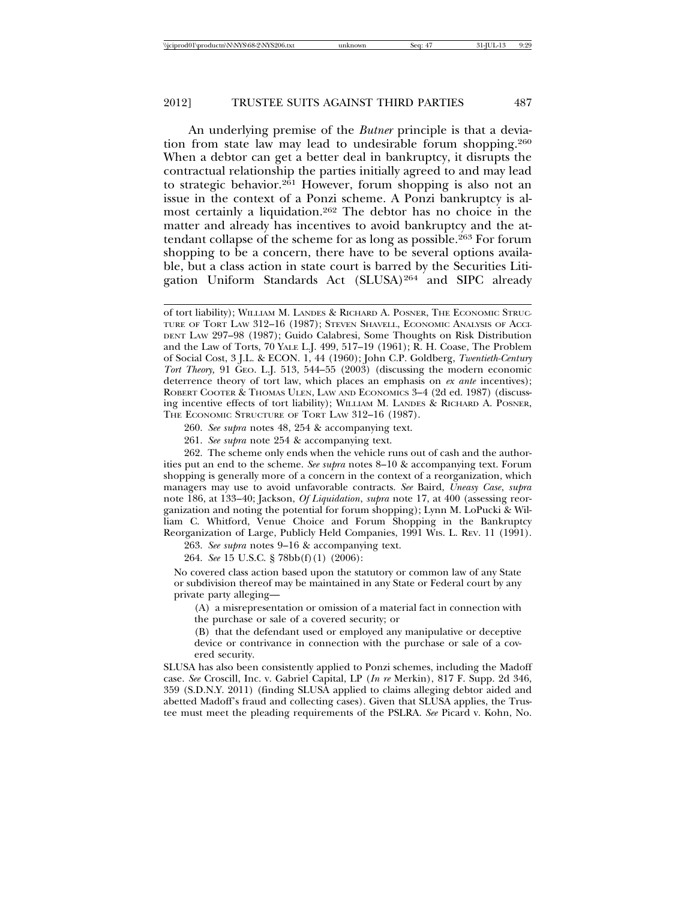An underlying premise of the *Butner* principle is that a deviation from state law may lead to undesirable forum shopping.260 When a debtor can get a better deal in bankruptcy, it disrupts the contractual relationship the parties initially agreed to and may lead to strategic behavior.<sup>261</sup> However, forum shopping is also not an issue in the context of a Ponzi scheme. A Ponzi bankruptcy is almost certainly a liquidation.262 The debtor has no choice in the matter and already has incentives to avoid bankruptcy and the attendant collapse of the scheme for as long as possible.263 For forum shopping to be a concern, there have to be several options available, but a class action in state court is barred by the Securities Litigation Uniform Standards Act (SLUSA)264 and SIPC already

260. *See supra* notes 48, 254 & accompanying text.

261. *See supra* note 254 & accompanying text.

262. The scheme only ends when the vehicle runs out of cash and the authorities put an end to the scheme. *See supra* notes 8–10 & accompanying text. Forum shopping is generally more of a concern in the context of a reorganization, which managers may use to avoid unfavorable contracts. *See* Baird, *Uneasy Case*, *supra* note 186, at 133–40; Jackson, *Of Liquidation*, *supra* note 17, at 400 (assessing reorganization and noting the potential for forum shopping); Lynn M. LoPucki & William C. Whitford, Venue Choice and Forum Shopping in the Bankruptcy Reorganization of Large, Publicly Held Companies, 1991 WIS. L. REV. 11 (1991).

263. *See supra* notes 9–16 & accompanying text.

264. *See* 15 U.S.C. § 78bb(f)(1) (2006):

No covered class action based upon the statutory or common law of any State or subdivision thereof may be maintained in any State or Federal court by any private party alleging—

(A) a misrepresentation or omission of a material fact in connection with the purchase or sale of a covered security; or

(B) that the defendant used or employed any manipulative or deceptive device or contrivance in connection with the purchase or sale of a covered security.

SLUSA has also been consistently applied to Ponzi schemes, including the Madoff case. *See* Croscill, Inc. v. Gabriel Capital, LP (*In re* Merkin), 817 F. Supp. 2d 346, 359 (S.D.N.Y. 2011) (finding SLUSA applied to claims alleging debtor aided and abetted Madoff's fraud and collecting cases). Given that SLUSA applies, the Trustee must meet the pleading requirements of the PSLRA. *See* Picard v. Kohn, No.

of tort liability); WILLIAM M. LANDES & RICHARD A. POSNER, THE ECONOMIC STRUC-TURE OF TORT LAW 312–16 (1987); STEVEN SHAVELL, ECONOMIC ANALYSIS OF ACCI-DENT LAW 297–98 (1987); Guido Calabresi, Some Thoughts on Risk Distribution and the Law of Torts, 70 YALE L.J. 499, 517–19 (1961); R. H. Coase, The Problem of Social Cost, 3 J.L. & ECON. 1, 44 (1960); John C.P. Goldberg, *Twentieth-Century Tort Theory,* 91 GEO. L.J. 513, 544–55 (2003) (discussing the modern economic deterrence theory of tort law, which places an emphasis on *ex ante* incentives); ROBERT COOTER & THOMAS ULEN, LAW AND ECONOMICS 3–4 (2d ed. 1987) (discussing incentive effects of tort liability); WILLIAM M. LANDES & RICHARD A. POSNER, THE ECONOMIC STRUCTURE OF TORT LAW 312–16 (1987).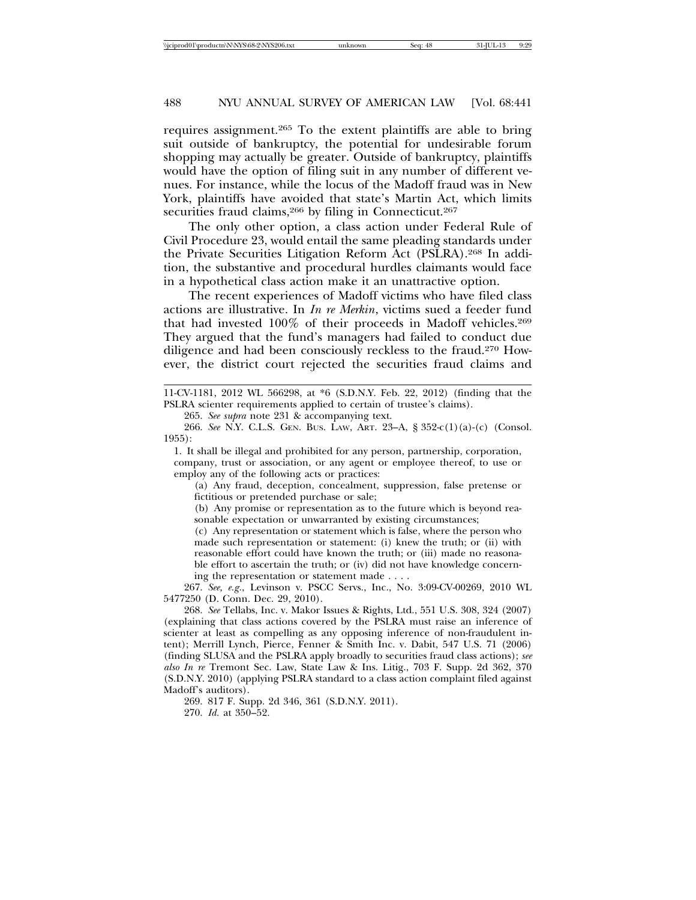requires assignment.265 To the extent plaintiffs are able to bring suit outside of bankruptcy, the potential for undesirable forum shopping may actually be greater. Outside of bankruptcy, plaintiffs would have the option of filing suit in any number of different venues. For instance, while the locus of the Madoff fraud was in New York, plaintiffs have avoided that state's Martin Act, which limits securities fraud claims,<sup>266</sup> by filing in Connecticut.<sup>267</sup>

The only other option, a class action under Federal Rule of Civil Procedure 23, would entail the same pleading standards under the Private Securities Litigation Reform Act (PSLRA).268 In addition, the substantive and procedural hurdles claimants would face in a hypothetical class action make it an unattractive option.

The recent experiences of Madoff victims who have filed class actions are illustrative. In *In re Merkin*, victims sued a feeder fund that had invested 100% of their proceeds in Madoff vehicles.269 They argued that the fund's managers had failed to conduct due diligence and had been consciously reckless to the fraud.270 However, the district court rejected the securities fraud claims and

265. *See supra* note 231 & accompanying text.

1. It shall be illegal and prohibited for any person, partnership, corporation, company, trust or association, or any agent or employee thereof, to use or employ any of the following acts or practices:

(a) Any fraud, deception, concealment, suppression, false pretense or fictitious or pretended purchase or sale;

(b) Any promise or representation as to the future which is beyond reasonable expectation or unwarranted by existing circumstances;

(c) Any representation or statement which is false, where the person who made such representation or statement: (i) knew the truth; or (ii) with reasonable effort could have known the truth; or (iii) made no reasonable effort to ascertain the truth; or (iv) did not have knowledge concerning the representation or statement made . . . .

267. *See, e.g*., Levinson v. PSCC Servs., Inc., No. 3:09-CV-00269, 2010 WL 5477250 (D. Conn. Dec. 29, 2010).

268. *See* Tellabs, Inc. v. Makor Issues & Rights, Ltd., 551 U.S. 308, 324 (2007) (explaining that class actions covered by the PSLRA must raise an inference of scienter at least as compelling as any opposing inference of non-fraudulent intent); Merrill Lynch, Pierce, Fenner & Smith Inc. v. Dabit, 547 U.S. 71 (2006) (finding SLUSA and the PSLRA apply broadly to securities fraud class actions); *see also In re* Tremont Sec. Law, State Law & Ins. Litig., 703 F. Supp. 2d 362, 370 (S.D.N.Y. 2010) (applying PSLRA standard to a class action complaint filed against Madoff's auditors).

269. 817 F. Supp. 2d 346, 361 (S.D.N.Y. 2011).

270. *Id.* at 350–52.

<sup>11-</sup>CV-1181, 2012 WL 566298, at \*6 (S.D.N.Y. Feb. 22, 2012) (finding that the PSLRA scienter requirements applied to certain of trustee's claims).

<sup>266.</sup> *See* N.Y. C.L.S. GEN. BUS. LAW, ART. 23–A, § 352-c(1)(a)-(c) (Consol. 1955):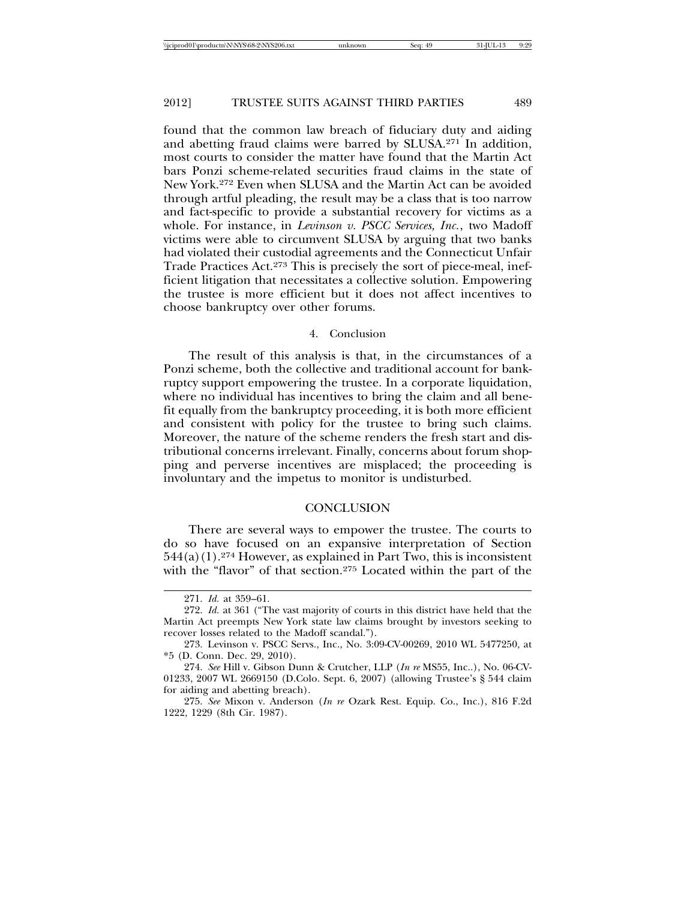found that the common law breach of fiduciary duty and aiding and abetting fraud claims were barred by SLUSA.271 In addition, most courts to consider the matter have found that the Martin Act bars Ponzi scheme-related securities fraud claims in the state of New York.272 Even when SLUSA and the Martin Act can be avoided through artful pleading, the result may be a class that is too narrow and fact-specific to provide a substantial recovery for victims as a whole. For instance, in *Levinson v. PSCC Services, Inc.*, two Madoff victims were able to circumvent SLUSA by arguing that two banks had violated their custodial agreements and the Connecticut Unfair Trade Practices Act.273 This is precisely the sort of piece-meal, inefficient litigation that necessitates a collective solution. Empowering the trustee is more efficient but it does not affect incentives to choose bankruptcy over other forums.

#### 4. Conclusion

The result of this analysis is that, in the circumstances of a Ponzi scheme, both the collective and traditional account for bankruptcy support empowering the trustee. In a corporate liquidation, where no individual has incentives to bring the claim and all benefit equally from the bankruptcy proceeding, it is both more efficient and consistent with policy for the trustee to bring such claims. Moreover, the nature of the scheme renders the fresh start and distributional concerns irrelevant. Finally, concerns about forum shopping and perverse incentives are misplaced; the proceeding is involuntary and the impetus to monitor is undisturbed.

### **CONCLUSION**

There are several ways to empower the trustee. The courts to do so have focused on an expansive interpretation of Section  $544(a)(1).^{274}$  However, as explained in Part Two, this is inconsistent with the "flavor" of that section.<sup>275</sup> Located within the part of the

<sup>271.</sup> *Id.* at 359–61.

<sup>272.</sup> *Id.* at 361 ("The vast majority of courts in this district have held that the Martin Act preempts New York state law claims brought by investors seeking to recover losses related to the Madoff scandal.").

<sup>273.</sup> Levinson v. PSCC Servs., Inc., No. 3:09-CV-00269, 2010 WL 5477250, at \*5 (D. Conn. Dec. 29, 2010).

<sup>274.</sup> *See* Hill v. Gibson Dunn & Crutcher, LLP (*In re* MS55, Inc..), No. 06-CV-01233, 2007 WL 2669150 (D.Colo. Sept. 6, 2007) (allowing Trustee's § 544 claim for aiding and abetting breach).

<sup>275.</sup> *See* Mixon v. Anderson (*In re* Ozark Rest. Equip. Co., Inc.), 816 F.2d 1222, 1229 (8th Cir. 1987).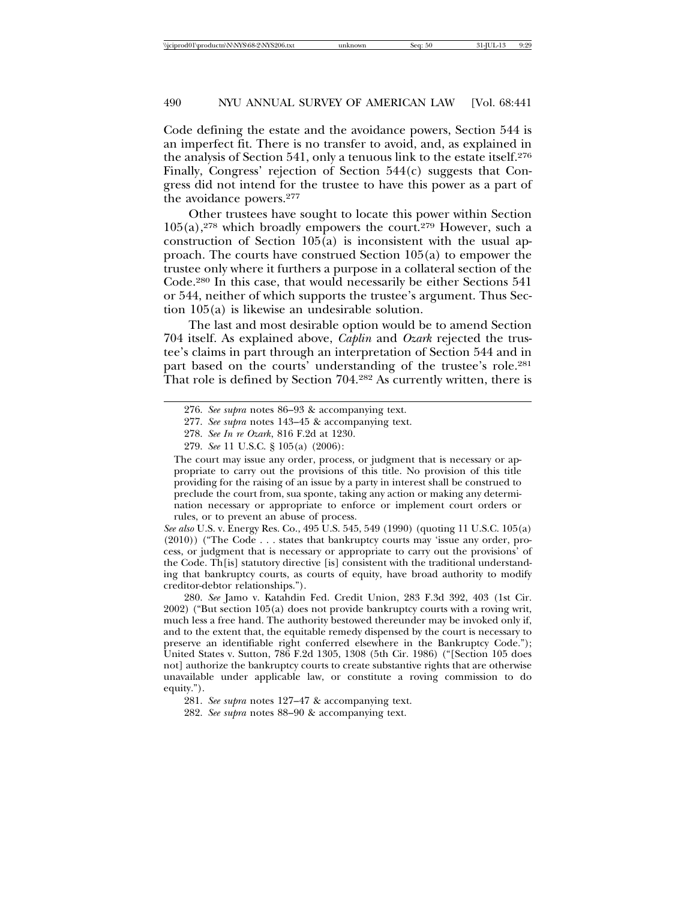Code defining the estate and the avoidance powers, Section 544 is an imperfect fit. There is no transfer to avoid, and, as explained in the analysis of Section 541, only a tenuous link to the estate itself.276 Finally, Congress' rejection of Section 544(c) suggests that Congress did not intend for the trustee to have this power as a part of the avoidance powers.277

Other trustees have sought to locate this power within Section  $105(a)$ ,<sup>278</sup> which broadly empowers the court.<sup>279</sup> However, such a construction of Section 105(a) is inconsistent with the usual approach. The courts have construed Section 105(a) to empower the trustee only where it furthers a purpose in a collateral section of the Code.280 In this case, that would necessarily be either Sections 541 or 544, neither of which supports the trustee's argument. Thus Section 105(a) is likewise an undesirable solution.

The last and most desirable option would be to amend Section 704 itself. As explained above, *Caplin* and *Ozark* rejected the trustee's claims in part through an interpretation of Section 544 and in part based on the courts' understanding of the trustee's role.281 That role is defined by Section 704.282 As currently written, there is

*See also* U.S. v. Energy Res. Co., 495 U.S. 545, 549 (1990) (quoting 11 U.S.C. 105(a) (2010)) ("The Code . . . states that bankruptcy courts may 'issue any order, process, or judgment that is necessary or appropriate to carry out the provisions' of the Code. Th[is] statutory directive [is] consistent with the traditional understanding that bankruptcy courts, as courts of equity, have broad authority to modify creditor-debtor relationships.").

280. *See* Jamo v. Katahdin Fed. Credit Union, 283 F.3d 392, 403 (1st Cir. 2002) ("But section 105(a) does not provide bankruptcy courts with a roving writ, much less a free hand. The authority bestowed thereunder may be invoked only if, and to the extent that, the equitable remedy dispensed by the court is necessary to preserve an identifiable right conferred elsewhere in the Bankruptcy Code."); United States v. Sutton, 786 F.2d 1305, 1308 (5th Cir. 1986) ("[Section 105 does not] authorize the bankruptcy courts to create substantive rights that are otherwise unavailable under applicable law, or constitute a roving commission to do equity.").

<sup>276.</sup> *See supra* notes 86–93 & accompanying text.

<sup>277.</sup> *See supra* notes 143–45 & accompanying text.

<sup>278.</sup> *See In re Ozark*, 816 F.2d at 1230.

<sup>279.</sup> *See* 11 U.S.C. § 105(a) (2006):

The court may issue any order, process, or judgment that is necessary or appropriate to carry out the provisions of this title. No provision of this title providing for the raising of an issue by a party in interest shall be construed to preclude the court from, sua sponte, taking any action or making any determination necessary or appropriate to enforce or implement court orders or rules, or to prevent an abuse of process.

<sup>281.</sup> *See supra* notes 127–47 & accompanying text.

<sup>282.</sup> *See supra* notes 88–90 & accompanying text.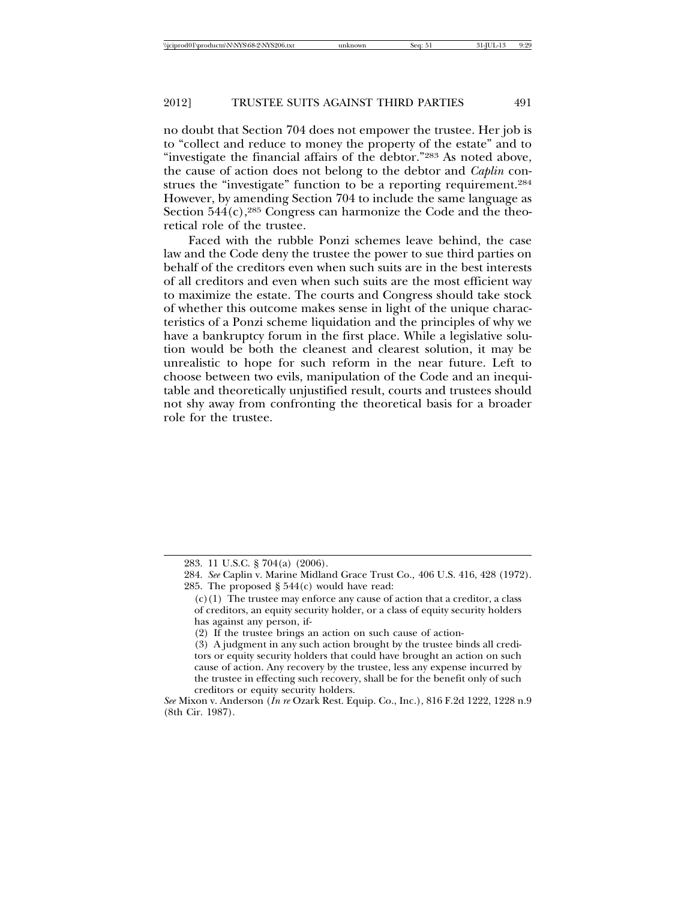no doubt that Section 704 does not empower the trustee. Her job is to "collect and reduce to money the property of the estate" and to "investigate the financial affairs of the debtor."283 As noted above, the cause of action does not belong to the debtor and *Caplin* construes the "investigate" function to be a reporting requirement.284 However, by amending Section 704 to include the same language as Section  $544(c)$ ,  $285$  Congress can harmonize the Code and the theoretical role of the trustee.

Faced with the rubble Ponzi schemes leave behind, the case law and the Code deny the trustee the power to sue third parties on behalf of the creditors even when such suits are in the best interests of all creditors and even when such suits are the most efficient way to maximize the estate. The courts and Congress should take stock of whether this outcome makes sense in light of the unique characteristics of a Ponzi scheme liquidation and the principles of why we have a bankruptcy forum in the first place. While a legislative solution would be both the cleanest and clearest solution, it may be unrealistic to hope for such reform in the near future. Left to choose between two evils, manipulation of the Code and an inequitable and theoretically unjustified result, courts and trustees should not shy away from confronting the theoretical basis for a broader role for the trustee.

<sup>283. 11</sup> U.S.C. § 704(a) (2006).

<sup>284.</sup> *See* Caplin v. Marine Midland Grace Trust Co.*,* 406 U.S. 416, 428 (1972). 285. The proposed  $\S$  544(c) would have read:

 $(c)(1)$  The trustee may enforce any cause of action that a creditor, a class of creditors, an equity security holder, or a class of equity security holders has against any person, if-

<sup>(2)</sup> If the trustee brings an action on such cause of action-

<sup>(3)</sup> A judgment in any such action brought by the trustee binds all creditors or equity security holders that could have brought an action on such cause of action. Any recovery by the trustee, less any expense incurred by the trustee in effecting such recovery, shall be for the benefit only of such creditors or equity security holders.

*See* Mixon v. Anderson (*In re* Ozark Rest. Equip. Co., Inc.), 816 F.2d 1222, 1228 n.9 (8th Cir. 1987).